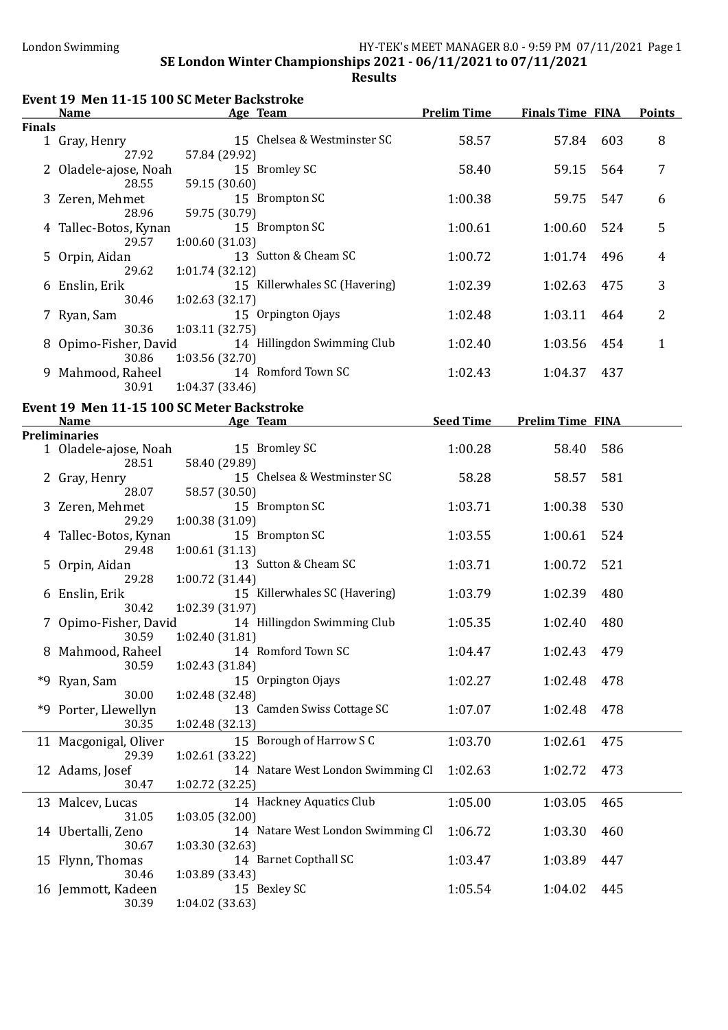|               | <b>Name</b>                    | Event 19 Men 11-15 100 SC Meter Backstroke<br><b>Example 2</b> Age Team | <b>Prelim Time</b> | <b>Finals Time FINA</b> |     | <b>Points</b> |
|---------------|--------------------------------|-------------------------------------------------------------------------|--------------------|-------------------------|-----|---------------|
| <b>Finals</b> |                                |                                                                         |                    |                         |     |               |
|               | 1 Gray, Henry<br>27.92         | 15 Chelsea & Westminster SC<br>57.84 (29.92)                            | 58.57              | 57.84                   | 603 | 8             |
|               | 28.55                          | 2 Oladele-ajose, Noah 15 Bromley SC<br>59.15 (30.60)                    | 58.40              | 59.15                   | 564 | 7             |
|               | 3 Zeren, Mehmet<br>28.96       | 15 Brompton SC<br>59.75 (30.79)                                         | 1:00.38            | 59.75                   | 547 | 6             |
|               | 4 Tallec-Botos, Kynan<br>29.57 | 15 Brompton SC<br>1:00.60(31.03)                                        | 1:00.61            | 1:00.60                 | 524 | 5             |
|               | 5 Orpin, Aidan<br>29.62        | 13 Sutton & Cheam SC<br>1:01.74 (32.12)                                 | 1:00.72            | 1:01.74                 | 496 | 4             |
|               | 6 Enslin, Erik<br>30.46        | 15 Killerwhales SC (Havering)<br>1:02.63(32.17)                         | 1:02.39            | 1:02.63                 | 475 | 3             |
|               | 7 Ryan, Sam<br>30.36           | 15 Orpington Ojays<br>1:03.11 (32.75)                                   | 1:02.48            | 1:03.11                 | 464 | 2             |
|               | 8 Opimo-Fisher, David<br>30.86 | 14 Hillingdon Swimming Club<br>1:03.56 (32.70)                          | 1:02.40            | 1:03.56                 | 454 | 1             |
|               | 9 Mahmood, Raheel<br>30.91     | 14 Romford Town SC<br>1:04.37 (33.46)                                   | 1:02.43            | 1:04.37                 | 437 |               |
|               |                                | Event 19 Men 11-15 100 SC Meter Backstroke                              |                    |                         |     |               |
|               | <b>Name</b>                    | <b>Example 2</b> Age Team                                               | <b>Seed Time</b>   | <b>Prelim Time FINA</b> |     |               |
|               | <b>Preliminaries</b>           |                                                                         |                    |                         |     |               |
|               | 1 Oladele-ajose, Noah<br>28.51 | 15 Bromley SC<br>58.40 (29.89)                                          | 1:00.28            | 58.40                   | 586 |               |
|               | 2 Gray, Henry<br>28.07         | 15 Chelsea & Westminster SC<br>58.57 (30.50)                            | 58.28              | 58.57                   | 581 |               |
|               | 3 Zeren, Mehmet<br>29.29       | 15 Brompton SC<br>1:00.38 (31.09)                                       | 1:03.71            | 1:00.38                 | 530 |               |
|               | 4 Tallec-Botos, Kynan<br>29.48 | 15 Brompton SC<br>1:00.61(31.13)                                        | 1:03.55            | 1:00.61                 | 524 |               |
|               | 5 Orpin, Aidan<br>29.28        | 13 Sutton & Cheam SC<br>1:00.72 (31.44)                                 | 1:03.71            | 1:00.72                 | 521 |               |
|               | 6 Enslin, Erik<br>30.42        | 15 Killerwhales SC (Havering)<br>1:02.39 (31.97)                        | 1:03.79            | 1:02.39                 | 480 |               |
|               | 7 Opimo-Fisher, David<br>30.59 | 14 Hillingdon Swimming Club<br>1:02.40 (31.81)                          | 1:05.35            | 1:02.40                 | 480 |               |
|               | 8 Mahmood, Raheel<br>30.59     | 14 Romford Town SC<br>1:02.43 (31.84)                                   | 1:04.47            | 1:02.43                 | 479 |               |
|               | *9 Ryan, Sam<br>30.00          | 15 Orpington Ojays<br>1:02.48 (32.48)                                   | 1:02.27            | 1:02.48                 | 478 |               |
|               | *9 Porter, Llewellyn<br>30.35  | 13 Camden Swiss Cottage SC<br>1:02.48(32.13)                            | 1:07.07            | 1:02.48                 | 478 |               |
|               | 11 Macgonigal, Oliver<br>29.39 | 15 Borough of Harrow S C<br>1:02.61(33.22)                              | 1:03.70            | 1:02.61                 | 475 |               |
|               | 12 Adams, Josef<br>30.47       | 14 Natare West London Swimming Cl<br>1:02.72 (32.25)                    | 1:02.63            | 1:02.72                 | 473 |               |
|               | 13 Malcev, Lucas<br>31.05      | 14 Hackney Aquatics Club<br>1:03.05(32.00)                              | 1:05.00            | 1:03.05                 | 465 |               |
|               | 14 Ubertalli, Zeno<br>30.67    | 14 Natare West London Swimming Cl<br>1:03.30(32.63)                     | 1:06.72            | 1:03.30                 | 460 |               |
|               | 15 Flynn, Thomas<br>30.46      | 14 Barnet Copthall SC<br>1:03.89 (33.43)                                | 1:03.47            | 1:03.89                 | 447 |               |
|               | 16 Jemmott, Kadeen<br>30.39    | 15 Bexley SC<br>1:04.02 (33.63)                                         | 1:05.54            | 1:04.02                 | 445 |               |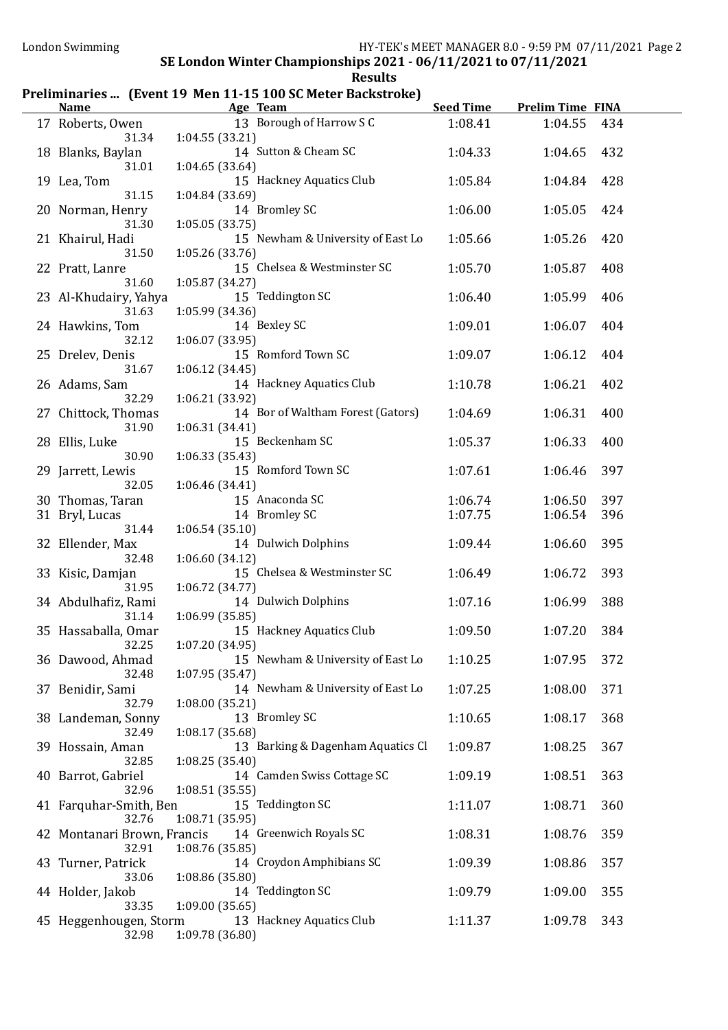### Preliminaries ... (Event 19 Men 11-15 100 SC Meter Backstroke)

| <b>Name</b>                          | Age Team                                             | <b>Seed Time</b> | <b>Prelim Time FINA</b> |     |
|--------------------------------------|------------------------------------------------------|------------------|-------------------------|-----|
| 17 Roberts, Owen<br>31.34            | 13 Borough of Harrow S C<br>1:04.55(33.21)           | 1:08.41          | 1:04.55                 | 434 |
| 18 Blanks, Baylan<br>31.01           | 14 Sutton & Cheam SC<br>1:04.65(33.64)               | 1:04.33          | 1:04.65                 | 432 |
| 19 Lea, Tom<br>31.15                 | 15 Hackney Aquatics Club<br>1:04.84 (33.69)          | 1:05.84          | 1:04.84                 | 428 |
| 20 Norman, Henry<br>31.30            | 14 Bromley SC<br>1:05.05(33.75)                      | 1:06.00          | 1:05.05                 | 424 |
| 21 Khairul, Hadi<br>31.50            | 15 Newham & University of East Lo<br>1:05.26(33.76)  | 1:05.66          | 1:05.26                 | 420 |
| 22 Pratt, Lanre<br>31.60             | 15 Chelsea & Westminster SC<br>1:05.87 (34.27)       | 1:05.70          | 1:05.87                 | 408 |
| 23 Al-Khudairy, Yahya<br>31.63       | 15 Teddington SC<br>1:05.99 (34.36)                  | 1:06.40          | 1:05.99                 | 406 |
| 24 Hawkins, Tom<br>32.12             | 14 Bexley SC<br>1:06.07 (33.95)                      | 1:09.01          | 1:06.07                 | 404 |
| 25 Drelev, Denis<br>31.67            | 15 Romford Town SC<br>1:06.12 (34.45)                | 1:09.07          | 1:06.12                 | 404 |
| 26 Adams, Sam<br>32.29               | 14 Hackney Aquatics Club<br>1:06.21 (33.92)          | 1:10.78          | 1:06.21                 | 402 |
| 27 Chittock, Thomas<br>31.90         | 14 Bor of Waltham Forest (Gators)<br>1:06.31 (34.41) | 1:04.69          | 1:06.31                 | 400 |
| 28 Ellis, Luke<br>30.90              | 15 Beckenham SC<br>1:06.33(35.43)                    | 1:05.37          | 1:06.33                 | 400 |
| 29 Jarrett, Lewis<br>32.05           | 15 Romford Town SC<br>1:06.46 (34.41)                | 1:07.61          | 1:06.46                 | 397 |
| 30 Thomas, Taran                     | 15 Anaconda SC                                       | 1:06.74          | 1:06.50                 | 397 |
| 31 Bryl, Lucas                       | 14 Bromley SC                                        | 1:07.75          | 1:06.54                 | 396 |
| 31.44<br>32 Ellender, Max            | 1:06.54(35.10)<br>14 Dulwich Dolphins                | 1:09.44          | 1:06.60                 | 395 |
| 32.48<br>33 Kisic, Damjan            | 1:06.60 (34.12)<br>15 Chelsea & Westminster SC       | 1:06.49          | 1:06.72                 | 393 |
| 31.95<br>34 Abdulhafiz, Rami         | 1:06.72 (34.77)<br>14 Dulwich Dolphins               | 1:07.16          | 1:06.99                 | 388 |
| 31.14<br>35 Hassaballa, Omar         | 1:06.99(35.85)<br>15 Hackney Aquatics Club           | 1:09.50          | 1:07.20                 | 384 |
| 32.25<br>36 Dawood, Ahmad            | 1:07.20 (34.95)<br>15 Newham & University of East Lo | 1:10.25          | 1:07.95                 | 372 |
| 32.48<br>37 Benidir, Sami            | 1:07.95(35.47)<br>14 Newham & University of East Lo  | 1:07.25          | 1:08.00                 | 371 |
| 32.79<br>38 Landeman, Sonny          | 1:08.00 (35.21)<br>13 Bromley SC                     | 1:10.65          | 1:08.17                 | 368 |
| 32.49<br>39 Hossain, Aman            | 1:08.17 (35.68)<br>13 Barking & Dagenham Aquatics Cl | 1:09.87          | 1:08.25                 | 367 |
| 32.85<br>40 Barrot, Gabriel          | 1:08.25 (35.40)<br>14 Camden Swiss Cottage SC        | 1:09.19          | 1:08.51                 | 363 |
| 32.96<br>41 Farquhar-Smith, Ben      | 1:08.51(35.55)<br>15 Teddington SC                   | 1:11.07          | 1:08.71                 | 360 |
| 32.76<br>42 Montanari Brown, Francis | 1:08.71 (35.95)<br>14 Greenwich Royals SC            | 1:08.31          | 1:08.76                 | 359 |
| 32.91<br>43 Turner, Patrick          | 1:08.76(35.85)<br>14 Croydon Amphibians SC           | 1:09.39          | 1:08.86                 | 357 |
| 33.06<br>44 Holder, Jakob            | 1:08.86 (35.80)<br>14 Teddington SC                  | 1:09.79          | 1:09.00                 | 355 |
| 33.35<br>45 Heggenhougen, Storm      | 1:09.00(35.65)<br>13 Hackney Aquatics Club           | 1:11.37          | 1:09.78                 | 343 |
| 32.98                                | 1:09.78 (36.80)                                      |                  |                         |     |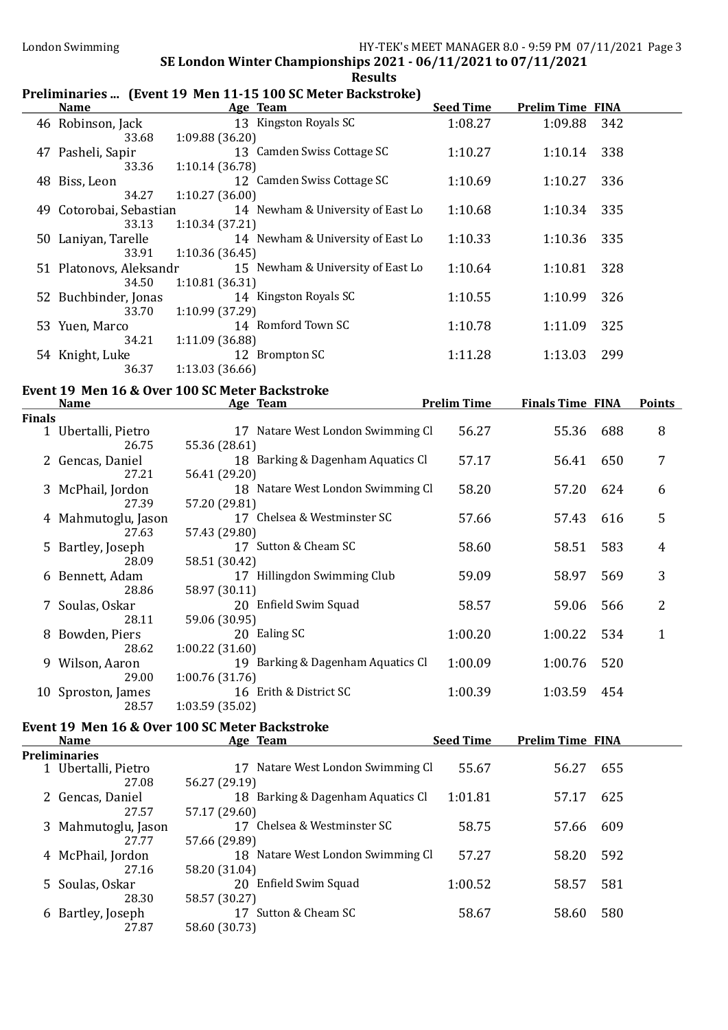### Preliminaries ... (Event 19 Men 11-15 100 SC Meter Backstroke)

|               | <b>Name</b>              | Chininal ics  (Livent 19 Then 11 15 100 56 Meter Daenströße)<br>Age Team | <b>Seed Time</b>   | <b>Prelim Time FINA</b> |     |               |
|---------------|--------------------------|--------------------------------------------------------------------------|--------------------|-------------------------|-----|---------------|
|               | 46 Robinson, Jack        | 13 Kingston Royals SC                                                    | 1:08.27            | 1:09.88                 | 342 |               |
|               | 33.68                    | 1:09.88 (36.20)                                                          |                    |                         |     |               |
|               | 47 Pasheli, Sapir        | 13 Camden Swiss Cottage SC                                               | 1:10.27            | 1:10.14                 | 338 |               |
|               | 33.36                    | 1:10.14 (36.78)                                                          |                    |                         |     |               |
|               | 48 Biss, Leon            | 12 Camden Swiss Cottage SC                                               | 1:10.69            | 1:10.27                 | 336 |               |
|               | 34.27                    | 1:10.27 (36.00)                                                          |                    |                         |     |               |
|               | 49 Cotorobai, Sebastian  | 14 Newham & University of East Lo                                        | 1:10.68            | 1:10.34                 | 335 |               |
|               | 33.13                    | 1:10.34 (37.21)                                                          |                    |                         |     |               |
|               | 50 Laniyan, Tarelle      | 14 Newham & University of East Lo                                        | 1:10.33            | 1:10.36                 | 335 |               |
|               | 33.91                    | 1:10.36 (36.45)                                                          |                    |                         |     |               |
|               | 51 Platonovs, Aleksandr  | 15 Newham & University of East Lo                                        | 1:10.64            | 1:10.81                 | 328 |               |
|               | 34.50                    | 1:10.81 (36.31)                                                          |                    |                         |     |               |
|               | 52 Buchbinder, Jonas     | 14 Kingston Royals SC                                                    | 1:10.55            | 1:10.99                 | 326 |               |
|               | 33.70                    | 1:10.99 (37.29)                                                          |                    |                         |     |               |
|               | 53 Yuen, Marco           | 14 Romford Town SC                                                       | 1:10.78            | 1:11.09                 | 325 |               |
|               | 34.21<br>54 Knight, Luke | 1:11.09 (36.88)<br>12 Brompton SC                                        | 1:11.28            | 1:13.03                 | 299 |               |
|               | 36.37                    | 1:13.03(36.66)                                                           |                    |                         |     |               |
|               |                          |                                                                          |                    |                         |     |               |
|               |                          | Event 19 Men 16 & Over 100 SC Meter Backstroke                           |                    |                         |     |               |
| <b>Finals</b> | <b>Name</b>              | Age Team                                                                 | <b>Prelim Time</b> | <b>Finals Time FINA</b> |     | <b>Points</b> |
|               | 1 Ubertalli, Pietro      | 17 Natare West London Swimming Cl                                        | 56.27              | 55.36                   | 688 | 8             |
|               | 26.75                    | 55.36 (28.61)                                                            |                    |                         |     |               |
|               | 2 Gencas, Daniel         | 18 Barking & Dagenham Aquatics Cl                                        | 57.17              | 56.41                   | 650 | 7             |
|               | 27.21                    | 56.41 (29.20)                                                            |                    |                         |     |               |
|               | 3 McPhail, Jordon        | 18 Natare West London Swimming Cl                                        | 58.20              | 57.20                   | 624 | 6             |
|               | 27.39                    | 57.20 (29.81)                                                            |                    |                         |     |               |
|               | 4 Mahmutoglu, Jason      | 17 Chelsea & Westminster SC                                              | 57.66              | 57.43                   | 616 | 5             |
|               | 27.63                    | 57.43 (29.80)                                                            |                    |                         |     |               |
|               | 5 Bartley, Joseph        | 17 Sutton & Cheam SC                                                     | 58.60              | 58.51                   | 583 | 4             |
|               | 28.09                    | 58.51 (30.42)                                                            |                    |                         |     |               |
|               | 6 Bennett, Adam<br>28.86 | 17 Hillingdon Swimming Club                                              | 59.09              | 58.97                   | 569 | 3             |
|               | 7 Soulas, Oskar          | 58.97 (30.11)<br>20 Enfield Swim Squad                                   | 58.57              | 59.06                   | 566 | 2             |
|               | 28.11                    | 59.06 (30.95)                                                            |                    |                         |     |               |
|               | 8 Bowden, Piers          | 20 Ealing SC                                                             | 1:00.20            | 1:00.22                 | 534 | $\mathbf{1}$  |
|               | 28.62                    | 1:00.22 (31.60)                                                          |                    |                         |     |               |
|               | 9 Wilson, Aaron          | 19 Barking & Dagenham Aquatics Cl                                        | 1:00.09            | 1:00.76                 | 520 |               |
|               | 29.00                    | 1:00.76 (31.76)                                                          |                    |                         |     |               |
|               | 10 Sproston, James       | 16 Erith & District SC                                                   | 1:00.39            | 1:03.59                 | 454 |               |
|               | 28.57                    | 1:03.59 (35.02)                                                          |                    |                         |     |               |
|               |                          | Event 19 Men 16 & Over 100 SC Meter Backstroke                           |                    |                         |     |               |
|               | <u>Name</u>              | Age Team                                                                 | <b>Seed Time</b>   | <b>Prelim Time FINA</b> |     |               |

|  | <b>Preliminaries</b> |  |
|--|----------------------|--|
|  |                      |  |

Preliminaries 1 Ubertalli, Pietro 17 Natare West London Swimming Cl 55.67 56.27 655 27.08 56.27 (29.19) 2 Gencas, Daniel 18 Barking & Dagenham Aquatics Cl 1:01.81 57.17 625<br>27.57 57.17 (29.60) 27.57 57.17 (29.60) 3 Mahmutoglu, Jason 17 Chelsea & Westminster SC 58.75 57.66 609 27.77 57.66 (29.89) 4 McPhail, Jordon 18 Natare West London Swimming Cl 57.27 58.20 592 27.16 58.20 (31.04) 5 Soulas, Oskar 20 Enfield Swim Squad 1:00.52 58.57 581 28.30 58.57 (30.27) 6 Bartley, Joseph 17 Sutton & Cheam SC 58.67 58.60 580 27.87 58.60 (30.73)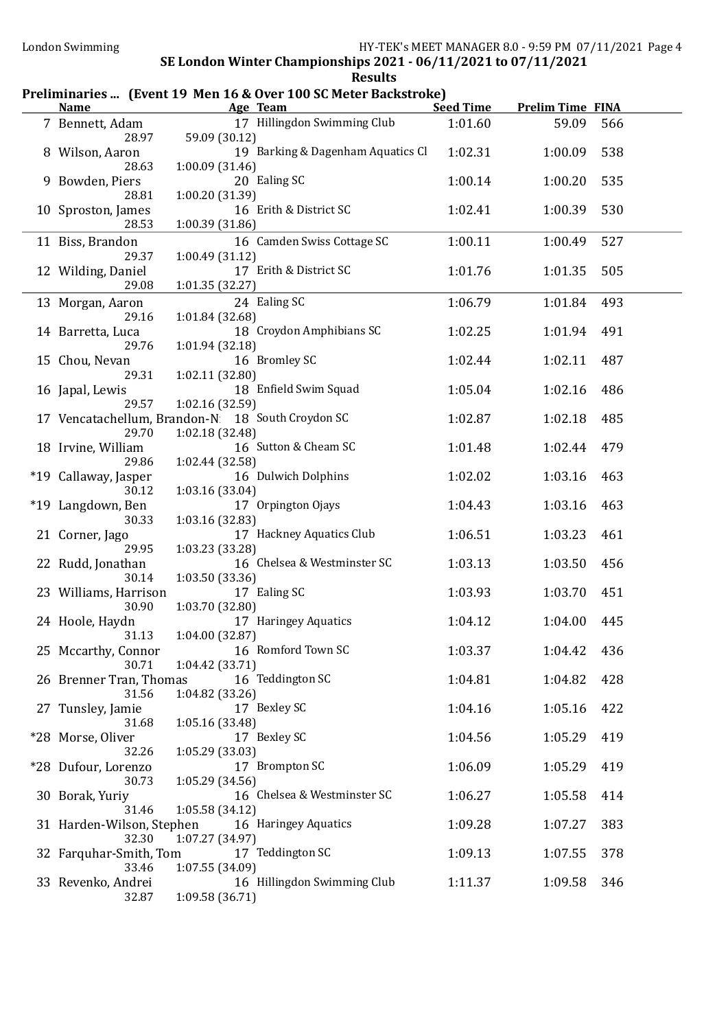### Preliminaries ... (Event 19 Men 16 & Over 100 SC Meter Backstroke)

| <b>Name</b>                                               |                 | Age Team                          | <b>Seed Time</b> | <b>Prelim Time FINA</b> |     |
|-----------------------------------------------------------|-----------------|-----------------------------------|------------------|-------------------------|-----|
| 7 Bennett, Adam<br>28.97                                  | 59.09 (30.12)   | 17 Hillingdon Swimming Club       | 1:01.60          | 59.09                   | 566 |
| 8 Wilson, Aaron<br>28.63                                  | 1:00.09(31.46)  | 19 Barking & Dagenham Aquatics Cl | 1:02.31          | 1:00.09                 | 538 |
| 9 Bowden, Piers<br>28.81                                  | 1:00.20 (31.39) | 20 Ealing SC                      | 1:00.14          | 1:00.20                 | 535 |
| 10 Sproston, James<br>28.53                               | 1:00.39 (31.86) | 16 Erith & District SC            | 1:02.41          | 1:00.39                 | 530 |
| 11 Biss, Brandon                                          |                 | 16 Camden Swiss Cottage SC        | 1:00.11          | 1:00.49                 | 527 |
| 29.37<br>12 Wilding, Daniel                               | 1:00.49(31.12)  | 17 Erith & District SC            | 1:01.76          | 1:01.35                 | 505 |
| 29.08<br>13 Morgan, Aaron                                 | 1:01.35(32.27)  | 24 Ealing SC                      | 1:06.79          | 1:01.84                 | 493 |
| 29.16                                                     | 1:01.84 (32.68) |                                   |                  |                         |     |
| 14 Barretta, Luca<br>29.76                                | 1:01.94 (32.18) | 18 Croydon Amphibians SC          | 1:02.25          | 1:01.94                 | 491 |
| 15 Chou, Nevan                                            |                 | 16 Bromley SC                     | 1:02.44          | 1:02.11                 | 487 |
| 29.31<br>16 Japal, Lewis                                  | 1:02.11 (32.80) | 18 Enfield Swim Squad             | 1:05.04          | 1:02.16                 | 486 |
| 29.57                                                     | 1:02.16 (32.59) |                                   |                  |                         |     |
| 17 Vencatachellum, Brandon-N 18 South Croydon SC<br>29.70 | 1:02.18 (32.48) |                                   | 1:02.87          | 1:02.18                 | 485 |
| 18 Irvine, William                                        |                 | 16 Sutton & Cheam SC              | 1:01.48          | 1:02.44                 | 479 |
| 29.86<br>*19 Callaway, Jasper                             | 1:02.44 (32.58) | 16 Dulwich Dolphins               | 1:02.02          | 1:03.16                 | 463 |
| 30.12<br>*19 Langdown, Ben                                | 1:03.16 (33.04) | 17 Orpington Ojays                | 1:04.43          | 1:03.16                 | 463 |
| 30.33                                                     | 1:03.16 (32.83) |                                   |                  |                         |     |
| 21 Corner, Jago<br>29.95                                  | 1:03.23 (33.28) | 17 Hackney Aquatics Club          | 1:06.51          | 1:03.23                 | 461 |
| 22 Rudd, Jonathan<br>30.14                                | 1:03.50 (33.36) | 16 Chelsea & Westminster SC       | 1:03.13          | 1:03.50                 | 456 |
| 23 Williams, Harrison<br>30.90                            | 1:03.70 (32.80) | 17 Ealing SC                      | 1:03.93          | 1:03.70                 | 451 |
| 24 Hoole, Haydn                                           |                 | 17 Haringey Aquatics              | 1:04.12          | 1:04.00                 | 445 |
| 31.13<br>25 Mccarthy, Connor                              | 1:04.00 (32.87) | 16 Romford Town SC                | 1:03.37          | 1:04.42 436             |     |
| 30.71<br>26 Brenner Tran, Thomas                          | 1:04.42(33.71)  | 16 Teddington SC                  | 1:04.81          | 1:04.82                 | 428 |
| 31.56                                                     | 1:04.82 (33.26) |                                   |                  |                         |     |
| 27 Tunsley, Jamie<br>31.68                                | 1:05.16 (33.48) | 17 Bexley SC                      | 1:04.16          | 1:05.16                 | 422 |
| *28 Morse, Oliver<br>32.26                                | 1:05.29(33.03)  | 17 Bexley SC                      | 1:04.56          | 1:05.29                 | 419 |
| *28 Dufour, Lorenzo                                       |                 | 17 Brompton SC                    | 1:06.09          | 1:05.29                 | 419 |
| 30.73<br>30 Borak, Yuriy                                  | 1:05.29(34.56)  | 16 Chelsea & Westminster SC       | 1:06.27          | 1:05.58                 | 414 |
| 31.46<br>31 Harden-Wilson, Stephen                        | 1:05.58 (34.12) | 16 Haringey Aquatics              | 1:09.28          | 1:07.27                 | 383 |
| 32.30<br>32 Farquhar-Smith, Tom                           | 1:07.27 (34.97) | 17 Teddington SC                  | 1:09.13          | 1:07.55                 | 378 |
| 33.46<br>33 Revenko, Andrei                               | 1:07.55 (34.09) | 16 Hillingdon Swimming Club       | 1:11.37          | 1:09.58                 | 346 |
| 32.87                                                     | 1:09.58 (36.71) |                                   |                  |                         |     |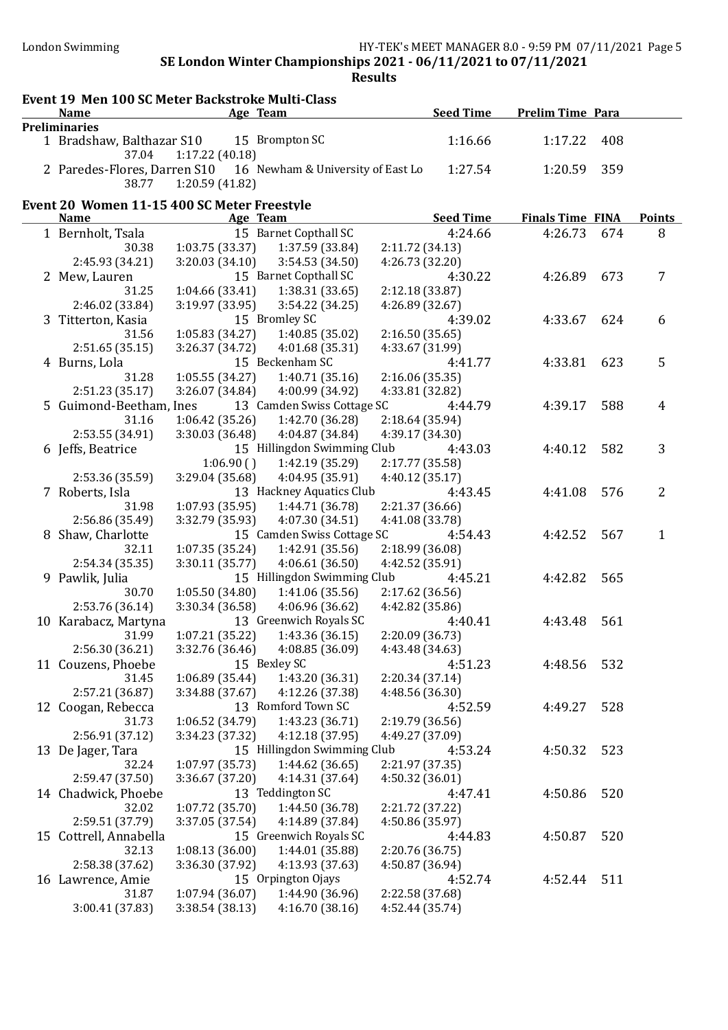| Event 19 Men 100 SC Meter Backstroke Multi-Class<br><b>Name</b> |                 | Age Team                                                       |                 | <b>Seed Time</b> | <b>Prelim Time Para</b> |     |               |
|-----------------------------------------------------------------|-----------------|----------------------------------------------------------------|-----------------|------------------|-------------------------|-----|---------------|
| <b>Preliminaries</b>                                            |                 |                                                                |                 |                  |                         |     |               |
| 1 Bradshaw, Balthazar S10                                       |                 | 15 Brompton SC                                                 |                 | 1:16.66          | 1:17.22                 | 408 |               |
| 37.04                                                           | 1:17.22(40.18)  |                                                                |                 |                  |                         |     |               |
|                                                                 |                 | 2 Paredes-Flores, Darren S10 16 Newham & University of East Lo |                 | 1:27.54          | 1:20.59                 | 359 |               |
| 38.77                                                           | 1:20.59(41.82)  |                                                                |                 |                  |                         |     |               |
|                                                                 |                 |                                                                |                 |                  |                         |     |               |
| Event 20 Women 11-15 400 SC Meter Freestyle<br><b>Name</b>      |                 | Age Team                                                       |                 | <b>Seed Time</b> | <b>Finals Time FINA</b> |     | <b>Points</b> |
| 1 Bernholt, Tsala                                               |                 | 15 Barnet Copthall SC                                          |                 | 4:24.66          | 4:26.73                 | 674 | 8             |
| 30.38                                                           | 1:03.75(33.37)  | 1:37.59 (33.84)                                                | 2:11.72 (34.13) |                  |                         |     |               |
| 2:45.93 (34.21)                                                 | 3:20.03(34.10)  | 3:54.53 (34.50)                                                | 4:26.73 (32.20) |                  |                         |     |               |
| 2 Mew, Lauren                                                   |                 | 15 Barnet Copthall SC                                          |                 | 4:30.22          | 4:26.89                 | 673 | 7             |
| 31.25                                                           | 1:04.66 (33.41) | 1:38.31(33.65)                                                 | 2:12.18(33.87)  |                  |                         |     |               |
| 2:46.02 (33.84)                                                 | 3:19.97 (33.95) | 3:54.22 (34.25)                                                | 4:26.89 (32.67) |                  |                         |     |               |
| 3 Titterton, Kasia                                              |                 | 15 Bromley SC                                                  |                 | 4:39.02          | 4:33.67                 | 624 | 6             |
| 31.56                                                           | 1:05.83(34.27)  | 1:40.85 (35.02)                                                | 2:16.50(35.65)  |                  |                         |     |               |
| 2:51.65(35.15)                                                  | 3:26.37 (34.72) | 4:01.68 (35.31)                                                | 4:33.67 (31.99) |                  |                         |     |               |
| 4 Burns, Lola                                                   |                 | 15 Beckenham SC                                                |                 | 4:41.77          | 4:33.81                 | 623 | 5             |
| 31.28                                                           | 1:05.55(34.27)  | 1:40.71(35.16)                                                 | 2:16.06(35.35)  |                  |                         |     |               |
| 2:51.23 (35.17)                                                 | 3:26.07 (34.84) | 4:00.99 (34.92)                                                | 4:33.81 (32.82) |                  |                         |     |               |
| 5 Guimond-Beetham, Ines                                         |                 | 13 Camden Swiss Cottage SC                                     |                 | 4:44.79          | 4:39.17                 | 588 | 4             |
| 31.16                                                           | 1:06.42(35.26)  | 1:42.70 (36.28)                                                | 2:18.64 (35.94) |                  |                         |     |               |
| 2:53.55 (34.91)                                                 | 3:30.03 (36.48) | 4:04.87 (34.84)                                                | 4:39.17 (34.30) |                  |                         |     |               |
| 6 Jeffs, Beatrice                                               |                 | 15 Hillingdon Swimming Club                                    |                 | 4:43.03          | 4:40.12                 | 582 | 3             |
|                                                                 | 1:06.90(        | 1:42.19 (35.29)                                                | 2:17.77 (35.58) |                  |                         |     |               |
| 2:53.36 (35.59)                                                 | 3:29.04 (35.68) | 4:04.95 (35.91)                                                | 4:40.12(35.17)  |                  |                         |     |               |
| 7 Roberts, Isla                                                 |                 | 13 Hackney Aquatics Club                                       |                 | 4:43.45          | 4:41.08                 | 576 | 2             |
| 31.98                                                           | 1:07.93 (35.95) | 1:44.71 (36.78)                                                | 2:21.37 (36.66) |                  |                         |     |               |
| 2:56.86 (35.49)                                                 | 3:32.79 (35.93) | 4:07.30 (34.51)                                                | 4:41.08 (33.78) |                  |                         |     |               |
| 8 Shaw, Charlotte                                               |                 | 15 Camden Swiss Cottage SC                                     |                 | 4:54.43          | 4:42.52                 | 567 | 1             |
| 32.11                                                           | 1:07.35 (35.24) | 1:42.91 (35.56)                                                | 2:18.99 (36.08) |                  |                         |     |               |
| 2:54.34 (35.35)                                                 | 3:30.11(35.77)  | 4:06.61(36.50)                                                 | 4:42.52 (35.91) |                  |                         |     |               |
| 9 Pawlik, Julia                                                 |                 | 15 Hillingdon Swimming Club                                    |                 | 4:45.21          | 4:42.82                 | 565 |               |
| 30.70                                                           | 1:05.50(34.80)  | 1:41.06(35.56)                                                 | 2:17.62(36.56)  |                  |                         |     |               |
| 2:53.76 (36.14)                                                 | 3:30.34 (36.58) | 4:06.96 (36.62)                                                | 4:42.82 (35.86) |                  |                         |     |               |
| 10 Karabacz, Martyna                                            |                 | 13 Greenwich Royals SC                                         |                 | 4:40.41          | 4:43.48                 | 561 |               |
| 31.99                                                           | 1:07.21 (35.22) | 1:43.36 (36.15)                                                | 2:20.09 (36.73) |                  |                         |     |               |
| 2:56.30 (36.21)                                                 | 3:32.76 (36.46) | 4:08.85 (36.09)                                                | 4:43.48 (34.63) |                  |                         |     |               |
| 11 Couzens, Phoebe                                              |                 | 15 Bexley SC                                                   |                 | 4:51.23          | 4:48.56                 | 532 |               |
| 31.45                                                           | 1:06.89 (35.44) | 1:43.20 (36.31)                                                | 2:20.34(37.14)  |                  |                         |     |               |
| 2:57.21 (36.87)                                                 | 3:34.88 (37.67) | 4:12.26 (37.38)                                                | 4:48.56 (36.30) |                  |                         |     |               |
| 12 Coogan, Rebecca                                              |                 | 13 Romford Town SC                                             |                 | 4:52.59          | 4:49.27                 | 528 |               |
| 31.73                                                           | 1:06.52 (34.79) | 1:43.23 (36.71)                                                | 2:19.79 (36.56) |                  |                         |     |               |
| 2:56.91 (37.12)                                                 | 3:34.23 (37.32) | 4:12.18 (37.95)                                                | 4:49.27 (37.09) |                  |                         |     |               |
| 13 De Jager, Tara                                               |                 | 15 Hillingdon Swimming Club                                    |                 | 4:53.24          | 4:50.32                 | 523 |               |
| 32.24                                                           | 1:07.97 (35.73) | 1:44.62(36.65)                                                 | 2:21.97 (37.35) |                  |                         |     |               |
| 2:59.47 (37.50)                                                 | 3:36.67 (37.20) | 4:14.31 (37.64)                                                | 4:50.32 (36.01) |                  |                         |     |               |
| 14 Chadwick, Phoebe                                             |                 | 13 Teddington SC                                               |                 | 4:47.41          | 4:50.86                 | 520 |               |
| 32.02                                                           | 1:07.72 (35.70) | 1:44.50 (36.78)                                                | 2:21.72 (37.22) |                  |                         |     |               |
| 2:59.51 (37.79)                                                 | 3:37.05 (37.54) | 4:14.89 (37.84)                                                | 4:50.86 (35.97) |                  |                         |     |               |
| 15 Cottrell, Annabella                                          |                 | 15 Greenwich Royals SC                                         |                 | 4:44.83          | 4:50.87                 | 520 |               |
| 32.13                                                           | 1:08.13(36.00)  | 1:44.01 (35.88)                                                | 2:20.76 (36.75) |                  |                         |     |               |
| 2:58.38 (37.62)                                                 | 3:36.30 (37.92) | 4:13.93 (37.63)                                                | 4:50.87 (36.94) |                  |                         |     |               |
| 16 Lawrence, Amie                                               |                 | 15 Orpington Ojays                                             |                 | 4:52.74          | 4:52.44                 | 511 |               |
| 31.87                                                           | 1:07.94 (36.07) | 1:44.90 (36.96)                                                | 2:22.58 (37.68) |                  |                         |     |               |
| 3:00.41 (37.83)                                                 | 3:38.54(38.13)  | 4:16.70(38.16)                                                 | 4:52.44 (35.74) |                  |                         |     |               |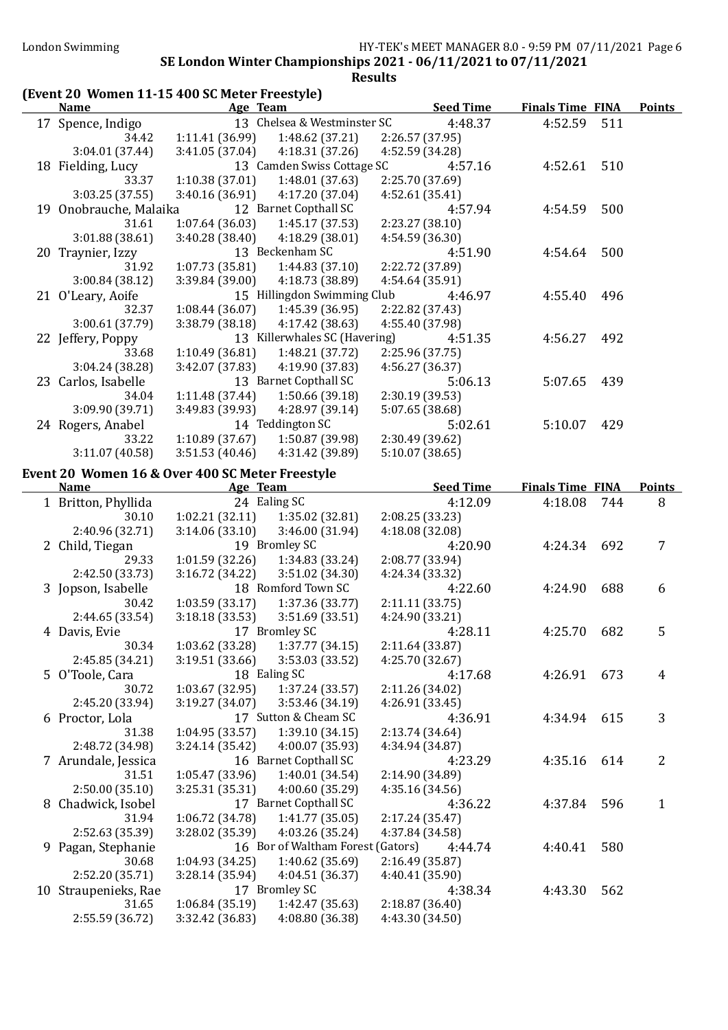#### (Event 20 Women 11-15 400 SC Meter Freestyle) Name Age Team Seed Time Finals Time FINA Points 17 Spence, Indigo 13 Chelsea & Westminster SC 4:48.37 4:52.59 511 34.42 1:11.41 (36.99) 1:48.62 (37.21) 2:26.57 (37.95) 3:04.01 (37.44) 3:41.05 (37.04) 4:18.31 (37.26) 4:52.59 (34.28) 18 Fielding, Lucy 13 Camden Swiss Cottage SC 4:57.16 4:52.61 510<br>33.37 1:10.38 (37.01) 1:48.01 (37.63) 2:25.70 (37.69) 33.37 1:10.38 (37.01) 1:48.01 (37.63) 2:25.70 (37.69) 3:03.25 (37.55) 3:40.16 (36.91) 4:17.20 (37.04) 4:52.61 (35.41) 19 Onobrauche, Malaika 12 Barnet Copthall SC 4:57.94 4:54.59 500 31.61 1:07.64 (36.03) 1:45.17 (37.53) 3:01.88 (38.61) 3:40.28 (38.40) 4:18.29 (38.01) 4:54.59 (36.30) 20 Traynier, Izzy 13 Beckenham SC 4:51.90 4:54.64 500 31.92 1:07.73 (35.81) 1:44.83 (37.10) 2:22.72 (37.89) 3:00.84 (38.12) 3:39.84 (39.00) 4:18.73 (38.89) 4:54.64 (35.91) 21 O'Leary, Aoife 15 Hillingdon Swimming Club 4:46.97 4:55.40 496 32.37 1:08.44 (36.07) 1:45.39 (36.95) 2:22.82 (37.43) 3:00.61 (37.79) 3:38.79 (38.18) 4:17.42 (38.63) 4:55.40 (37.98) 22 Jeffery, Poppy 13 Killerwhales SC (Havering) 4:51.35 4:56.27 492 33.68 1:10.49 (36.81) 1:48.21 (37.72) 2:25.96 (37.75) 3:04.24 (38.28) 3:42.07 (37.83) 4:19.90 (37.83) 4:56.27 (36.37) 23 Carlos, Isabelle 13 Barnet Copthall SC 5:06.13 5:07.65 439 34.04 1:11.48 (37.44) 1:50.66 (39.18) 2:30.19 (39.53) 3:09.90 (39.71) 3:49.83 (39.93) 4:28.97 (39.14) 5:07.65 (38.68) 24 Rogers, Anabel 14 Teddington SC 5:02.61 5:10.07 429 33.22 1:10.89 (37.67) 1:50.87 (39.98) 2:30.49 (39.62) 3:11.07 (40.58) 3:51.53 (40.46) 4:31.42 (39.89) 5:10.07 (38.65) Event 20 Women 16 & Over 400 SC Meter Freestyle Name **Age Team** Age Team Seed Time Finals Time FINA Points 1 Britton, Phyllida 24 Ealing SC 4:12.09 4:18.08 744 8 30.10 1:02.21 (32.11) 1:35.02 (32.81) 2:08.25 (33.23) 2:40.96 (32.71) 3:14.06 (33.10) 3:46.00 (31.94) 4:18.08 (32.08) 2 Child, Tiegan 19 Bromley SC 4:20.90 4:24.34 692 7 29.33 1:01.59 (32.26) 1:34.83 (33.24) 2:08.77 (33.94) 2:42.50 (33.73) 3:16.72 (34.22) 3:51.02 (34.30) 4:24.34 (33.32) 3 Jopson, Isabelle 18 Romford Town SC 4:22.60 4:24.90 688 6 30.42 1:03.59 (33.17) 1:37.36 (33.77) 2:11.11 (33.75) 2:44.65 (33.54) 3:18.18 (33.53) 3:51.69 (33.51) 4:24.90 (33.21) 4 Davis, Evie 17 Bromley SC 4:28.11 4:25.70 682 5 30.34 1:03.62 (33.28) 1:37.77 (34.15) 2:11.64 (33.87) 2:45.85 (34.21) 3:19.51 (33.66) 3:53.03 (33.52) 4:25.70 (32.67) 5 O'Toole, Cara 18 Ealing SC 4:17.68 4:26.91 673 4 30.72 1:03.67 (32.95) 1:37.24 (33.57) 2:11.26 (34.02) 2:45.20 (33.94) 3:19.27 (34.07) 3:53.46 (34.19) 4:26.91 (33.45) 6 Proctor, Lola 17 Sutton & Cheam SC 4:36.91 4:34.94 615 3 31.38 1:04.95 (33.57) 1:39.10 (34.15) 2:13.74 (34.64) 2:48.72 (34.98) 3:24.14 (35.42) 4:00.07 (35.93) 4:34.94 (34.87) 7 Arundale, Jessica 16 Barnet Copthall SC 4:23.29 4:35.16 614 2 31.51 1:05.47 (33.96) 1:40.01 (34.54) 2:14.90 (34.89) 2:50.00 (35.10) 3:25.31 (35.31) 4:00.60 (35.29) 4:35.16 (34.56) 8 Chadwick, Isobel 17 Barnet Copthall SC 4:36.22 4:37.84 596 1 31.94 1:06.72 (34.78) 1:41.77 (35.05) 2:17.24 (35.47) 2:52.63 (35.39) 3:28.02 (35.39) 4:03.26 (35.24) 4:37.84 (34.58) 9 Pagan, Stephanie 16 Bor of Waltham Forest (Gators) 4:44.74 4:40.41 580 30.68 1:04.93 (34.25) 1:40.62 (35.69) 2:16.49 (35.87) 2:52.20 (35.71) 3:28.14 (35.94) 4:04.51 (36.37) 4:40.41 (35.90) 10 Straupenieks, Rae 17 Bromley SC 4:38.34 4:43.30 562<br>31.65 1:06.84 (35.19) 1:42.47 (35.63) 2:18.87 (36.40) 31.65 1:06.84 (35.19) 2:55.59 (36.72) 3:32.42 (36.83) 4:08.80 (36.38) 4:43.30 (34.50)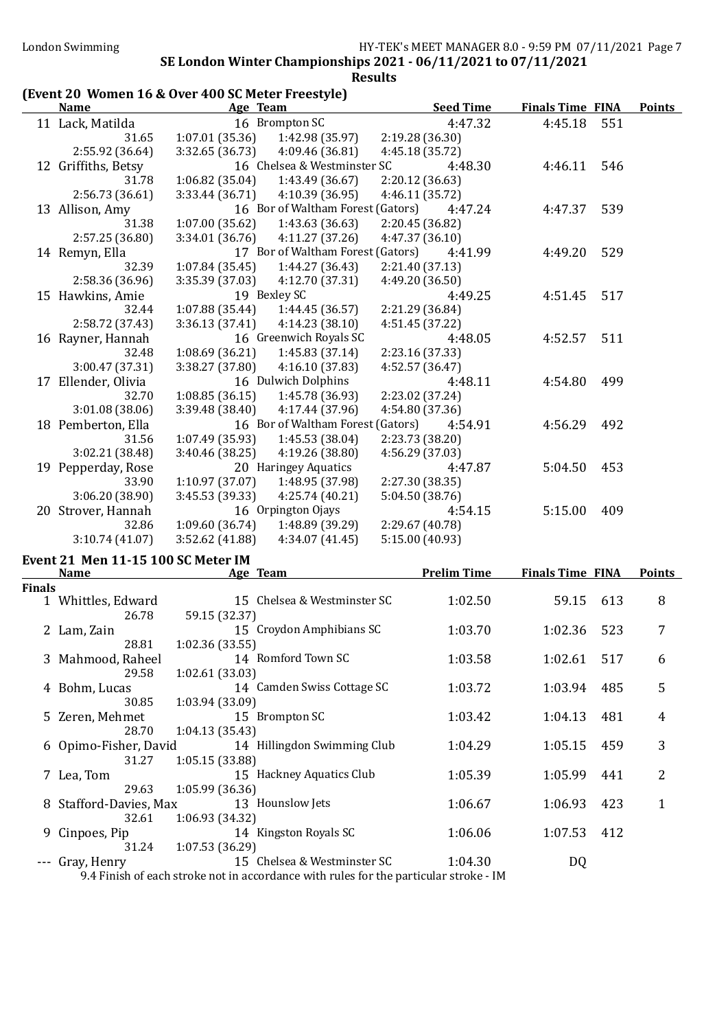### (Event 20 Women 16 & Over 400 SC Meter Freestyle)

| <b>Name</b>         | Age Team                           | <b>Seed Time</b> | <b>Finals Time FINA</b> | <b>Points</b> |
|---------------------|------------------------------------|------------------|-------------------------|---------------|
| 11 Lack, Matilda    | 16 Brompton SC                     | 4:47.32          | 4:45.18                 | 551           |
| 31.65               | 1:07.01(35.36)<br>1:42.98 (35.97)  | 2:19.28 (36.30)  |                         |               |
| 2:55.92 (36.64)     | 3:32.65 (36.73)<br>4:09.46 (36.81) | 4:45.18 (35.72)  |                         |               |
| 12 Griffiths, Betsy | 16 Chelsea & Westminster SC        | 4:48.30          | 4:46.11                 | 546           |
| 31.78               | 1:06.82(35.04)<br>1:43.49 (36.67)  | 2:20.12(36.63)   |                         |               |
| 2:56.73 (36.61)     | 3:33.44(36.71)<br>4:10.39 (36.95)  | 4:46.11 (35.72)  |                         |               |
| 13 Allison, Amy     | 16 Bor of Waltham Forest (Gators)  | 4:47.24          | 4:47.37                 | 539           |
| 31.38               | 1:07.00(35.62)<br>1:43.63 (36.63)  | 2:20.45 (36.82)  |                         |               |
| 2:57.25 (36.80)     | 3:34.01(36.76)<br>4:11.27(37.26)   | 4:47.37 (36.10)  |                         |               |
| 14 Remyn, Ella      | 17 Bor of Waltham Forest (Gators)  | 4:41.99          | 4:49.20                 | 529           |
| 32.39               | 1:07.84(35.45)<br>1:44.27 (36.43)  | 2:21.40 (37.13)  |                         |               |
| 2:58.36 (36.96)     | 3:35.39 (37.03)<br>4:12.70 (37.31) | 4:49.20 (36.50)  |                         |               |
| 15 Hawkins, Amie    | 19 Bexley SC                       | 4:49.25          | 4:51.45                 | 517           |
| 32.44               | 1:07.88(35.44)<br>1:44.45 (36.57)  | 2:21.29 (36.84)  |                         |               |
| 2:58.72 (37.43)     | 3:36.13(37.41)<br>4:14.23(38.10)   | 4:51.45 (37.22)  |                         |               |
| 16 Rayner, Hannah   | 16 Greenwich Royals SC             | 4:48.05          | 4:52.57                 | 511           |
| 32.48               | 1:08.69(36.21)<br>1:45.83(37.14)   | 2:23.16 (37.33)  |                         |               |
| 3:00.47 (37.31)     | 3:38.27 (37.80)<br>4:16.10(37.83)  | 4:52.57 (36.47)  |                         |               |
| 17 Ellender, Olivia | 16 Dulwich Dolphins                | 4:48.11          | 4:54.80                 | 499           |
| 32.70               | 1:08.85(36.15)<br>1:45.78 (36.93)  | 2:23.02 (37.24)  |                         |               |
| 3:01.08 (38.06)     | 3:39.48(38.40)<br>4:17.44 (37.96)  | 4:54.80 (37.36)  |                         |               |
| 18 Pemberton, Ella  | 16 Bor of Waltham Forest (Gators)  | 4:54.91          | 4:56.29                 | 492           |
| 31.56               | 1:07.49 (35.93)<br>1:45.53 (38.04) | 2:23.73 (38.20)  |                         |               |
| 3:02.21 (38.48)     | 3:40.46(38.25)<br>4:19.26 (38.80)  | 4:56.29 (37.03)  |                         |               |
| 19 Pepperday, Rose  | 20 Haringey Aquatics               | 4:47.87          | 5:04.50                 | 453           |
| 33.90               | 1:10.97(37.07)<br>1:48.95 (37.98)  | 2:27.30 (38.35)  |                         |               |
| 3:06.20 (38.90)     | 3:45.53 (39.33)<br>4:25.74(40.21)  | 5:04.50 (38.76)  |                         |               |
| 20 Strover, Hannah  | 16 Orpington Ojays                 | 4:54.15          | 5:15.00                 | 409           |
| 32.86               | 1:09.60(36.74)<br>1:48.89 (39.29)  | 2:29.67 (40.78)  |                         |               |
| 3:10.74(41.07)      | 3:52.62 (41.88)<br>4:34.07 (41.45) | 5:15.00 (40.93)  |                         |               |

### Event 21 Men 11-15 100 SC Meter IM

|               | <b>Name</b>            | Age Team         |                                                                                       | <b>Prelim Time</b> | <b>Finals Time FINA</b> |     | <b>Points</b> |
|---------------|------------------------|------------------|---------------------------------------------------------------------------------------|--------------------|-------------------------|-----|---------------|
| <b>Finals</b> |                        |                  |                                                                                       |                    |                         |     |               |
|               | 1 Whittles, Edward     |                  | 15 Chelsea & Westminster SC                                                           | 1:02.50            | 59.15                   | 613 | 8             |
|               | 26.78                  | 59.15 (32.37)    |                                                                                       |                    |                         |     |               |
|               | 2 Lam, Zain            |                  | 15 Croydon Amphibians SC                                                              | 1:03.70            | 1:02.36                 | 523 | 7             |
|               | 28.81                  | 1:02.36(33.55)   |                                                                                       |                    |                         |     |               |
|               | 3 Mahmood, Raheel      |                  | 14 Romford Town SC                                                                    | 1:03.58            | 1:02.61                 | 517 | 6             |
|               | 29.58                  | 1:02.61(33.03)   |                                                                                       |                    |                         |     |               |
|               | 4 Bohm, Lucas          |                  | 14 Camden Swiss Cottage SC                                                            | 1:03.72            | 1:03.94                 | 485 | 5             |
|               | 30.85                  | 1:03.94 (33.09)  |                                                                                       |                    |                         |     |               |
|               | 5 Zeren, Mehmet        | 15 Brompton SC   |                                                                                       | 1:03.42            | 1:04.13                 | 481 | 4             |
|               | 28.70                  | 1:04.13(35.43)   |                                                                                       |                    |                         |     |               |
|               | 6 Opimo-Fisher, David  |                  | 14 Hillingdon Swimming Club                                                           | 1:04.29            | 1:05.15                 | 459 | 3             |
|               | 31.27                  | 1:05.15(33.88)   |                                                                                       |                    |                         |     |               |
|               | 7 Lea, Tom             |                  | 15 Hackney Aquatics Club                                                              | 1:05.39            | 1:05.99                 | 441 | 2             |
|               | 29.63                  | 1:05.99(36.36)   |                                                                                       |                    |                         |     |               |
|               | 8 Stafford-Davies, Max | 13 Hounslow Jets |                                                                                       | 1:06.67            | 1:06.93                 | 423 | 1             |
|               | 32.61                  | 1:06.93(34.32)   |                                                                                       |                    |                         |     |               |
|               | 9 Cinpoes, Pip         |                  | 14 Kingston Royals SC                                                                 | 1:06.06            | 1:07.53                 | 412 |               |
|               | 31.24                  | 1:07.53(36.29)   |                                                                                       |                    |                         |     |               |
|               | --- Gray, Henry        |                  | 15 Chelsea & Westminster SC                                                           | 1:04.30            | DQ                      |     |               |
|               |                        |                  | 9.4 Finish of each stroke not in accordance with rules for the particular stroke - IM |                    |                         |     |               |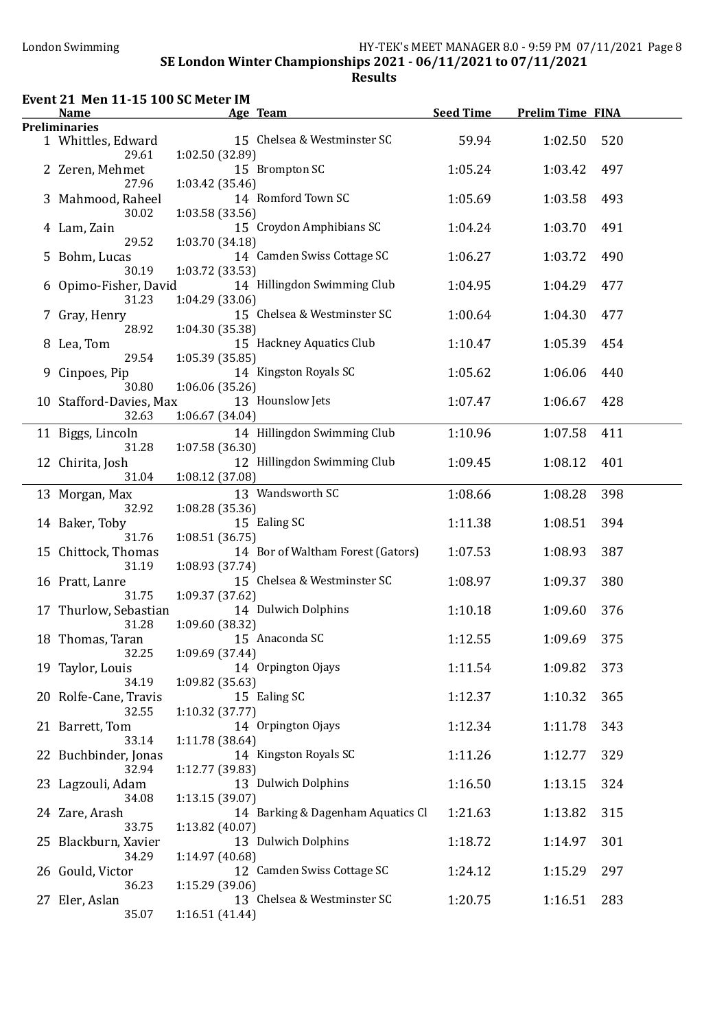# Event 21 Men 11-15 100 SC Meter IM

|   | <b>Name</b>                      |                 | Age Team                          | <b>Seed Time</b> | <b>Prelim Time FINA</b> |     |
|---|----------------------------------|-----------------|-----------------------------------|------------------|-------------------------|-----|
|   | <b>Preliminaries</b>             |                 |                                   |                  |                         |     |
|   | 1 Whittles, Edward<br>29.61      | 1:02.50 (32.89) | 15 Chelsea & Westminster SC       | 59.94            | 1:02.50                 | 520 |
|   | 2 Zeren, Mehmet<br>27.96         | 1:03.42(35.46)  | 15 Brompton SC                    | 1:05.24          | 1:03.42                 | 497 |
|   | 3 Mahmood, Raheel<br>30.02       | 1:03.58(33.56)  | 14 Romford Town SC                | 1:05.69          | 1:03.58                 | 493 |
|   | 4 Lam, Zain<br>29.52             | 1:03.70 (34.18) | 15 Croydon Amphibians SC          | 1:04.24          | 1:03.70                 | 491 |
|   | 5 Bohm, Lucas<br>30.19           | 1:03.72 (33.53) | 14 Camden Swiss Cottage SC        | 1:06.27          | 1:03.72                 | 490 |
|   | 6 Opimo-Fisher, David<br>31.23   | 1:04.29(33.06)  | 14 Hillingdon Swimming Club       | 1:04.95          | 1:04.29                 | 477 |
| 7 | Gray, Henry<br>28.92             | 1:04.30 (35.38) | 15 Chelsea & Westminster SC       | 1:00.64          | 1:04.30                 | 477 |
|   | 8 Lea, Tom<br>29.54              | 1:05.39(35.85)  | 15 Hackney Aquatics Club          | 1:10.47          | 1:05.39                 | 454 |
|   | 9 Cinpoes, Pip<br>30.80          | 1:06.06(35.26)  | 14 Kingston Royals SC             | 1:05.62          | 1:06.06                 | 440 |
|   | 10 Stafford-Davies, Max<br>32.63 | 1:06.67 (34.04) | 13 Hounslow Jets                  | 1:07.47          | 1:06.67                 | 428 |
|   | 11 Biggs, Lincoln<br>31.28       | 1:07.58(36.30)  | 14 Hillingdon Swimming Club       | 1:10.96          | 1:07.58                 | 411 |
|   | 12 Chirita, Josh<br>31.04        | 1:08.12 (37.08) | 12 Hillingdon Swimming Club       | 1:09.45          | 1:08.12                 | 401 |
|   | 13 Morgan, Max<br>32.92          | 1:08.28 (35.36) | 13 Wandsworth SC                  | 1:08.66          | 1:08.28                 | 398 |
|   | 14 Baker, Toby<br>31.76          | 1:08.51(36.75)  | 15 Ealing SC                      | 1:11.38          | 1:08.51                 | 394 |
|   | 15 Chittock, Thomas<br>31.19     | 1:08.93 (37.74) | 14 Bor of Waltham Forest (Gators) | 1:07.53          | 1:08.93                 | 387 |
|   | 16 Pratt, Lanre<br>31.75         | 1:09.37 (37.62) | 15 Chelsea & Westminster SC       | 1:08.97          | 1:09.37                 | 380 |
|   | 17 Thurlow, Sebastian<br>31.28   | 1:09.60 (38.32) | 14 Dulwich Dolphins               | 1:10.18          | 1:09.60                 | 376 |
|   | 18 Thomas, Taran<br>32.25        | 1:09.69 (37.44) | 15 Anaconda SC                    | 1:12.55          | 1:09.69                 | 375 |
|   | 19 Taylor, Louis<br>34.19        | 1:09.82 (35.63) | 14 Orpington Ojays                | 1:11.54          | 1:09.82                 | 373 |
|   | 20 Rolfe-Cane, Travis<br>32.55   | 1:10.32 (37.77) | 15 Ealing SC                      | 1:12.37          | 1:10.32                 | 365 |
|   | 21 Barrett, Tom<br>33.14         | 1:11.78 (38.64) | 14 Orpington Ojays                | 1:12.34          | 1:11.78                 | 343 |
|   | 22 Buchbinder, Jonas<br>32.94    | 1:12.77 (39.83) | 14 Kingston Royals SC             | 1:11.26          | 1:12.77                 | 329 |
|   | 23 Lagzouli, Adam<br>34.08       | 1:13.15(39.07)  | 13 Dulwich Dolphins               | 1:16.50          | 1:13.15                 | 324 |
|   | 24 Zare, Arash<br>33.75          | 1:13.82 (40.07) | 14 Barking & Dagenham Aquatics Cl | 1:21.63          | 1:13.82                 | 315 |
|   | 25 Blackburn, Xavier<br>34.29    | 1:14.97 (40.68) | 13 Dulwich Dolphins               | 1:18.72          | 1:14.97                 | 301 |
|   | 26 Gould, Victor<br>36.23        | 1:15.29 (39.06) | 12 Camden Swiss Cottage SC        | 1:24.12          | 1:15.29                 | 297 |
|   | 27 Eler, Aslan<br>35.07          | 1:16.51(41.44)  | 13 Chelsea & Westminster SC       | 1:20.75          | 1:16.51                 | 283 |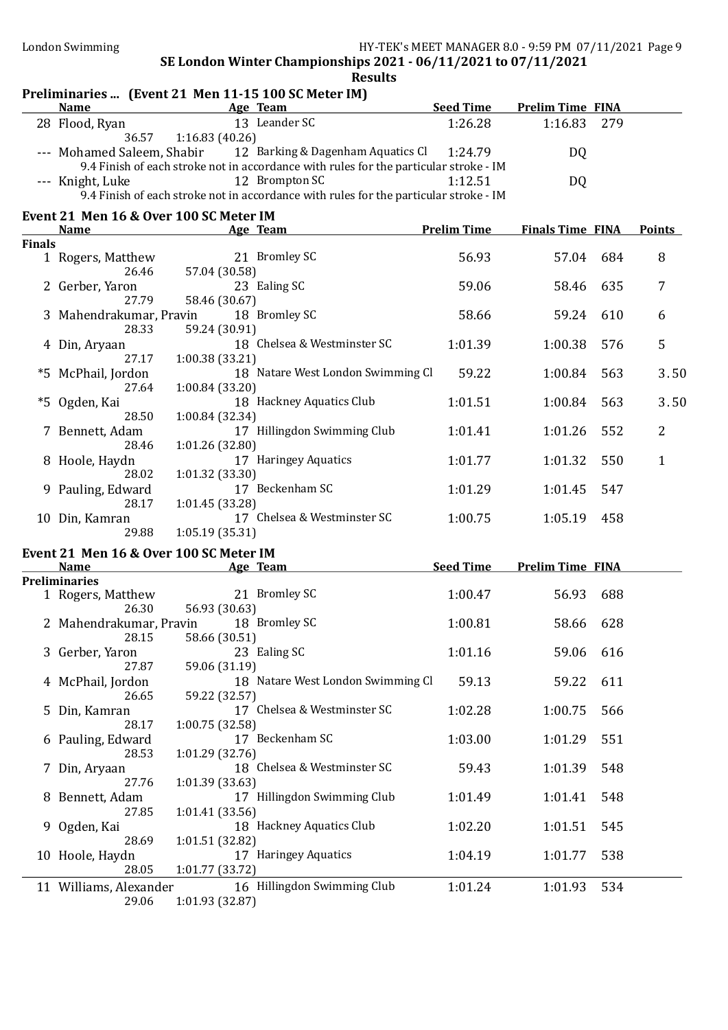|               | <b>Name</b>                               | Preliminaries  (Event 21 Men 11-15 100 SC Meter IM)<br>Age Team                       | <b>Seed Time</b>   | <b>Prelim Time FINA</b> |     |                |
|---------------|-------------------------------------------|---------------------------------------------------------------------------------------|--------------------|-------------------------|-----|----------------|
|               |                                           | 13 Leander SC                                                                         |                    |                         |     |                |
|               | 28 Flood, Ryan<br>36.57                   | 1:16.83(40.26)                                                                        | 1:26.28            | 1:16.83                 | 279 |                |
|               | --- Mohamed Saleem, Shabir                | 12 Barking & Dagenham Aquatics Cl                                                     | 1:24.79            | DQ                      |     |                |
|               |                                           | 9.4 Finish of each stroke not in accordance with rules for the particular stroke - IM |                    |                         |     |                |
|               | --- Knight, Luke                          | 12 Brompton SC                                                                        | 1:12.51            | DQ                      |     |                |
|               |                                           | 9.4 Finish of each stroke not in accordance with rules for the particular stroke - IM |                    |                         |     |                |
|               | Event 21 Men 16 & Over 100 SC Meter IM    |                                                                                       |                    |                         |     |                |
|               | <b>Name</b>                               | Age Team                                                                              | <b>Prelim Time</b> | <b>Finals Time FINA</b> |     | <b>Points</b>  |
| <b>Finals</b> |                                           |                                                                                       |                    |                         |     |                |
|               | 1 Rogers, Matthew                         | 21 Bromley SC                                                                         | 56.93              | 57.04                   | 684 | 8              |
|               | 26.46                                     | 57.04 (30.58)                                                                         |                    |                         |     |                |
|               | 2 Gerber, Yaron                           | 23 Ealing SC                                                                          | 59.06              | 58.46                   | 635 | 7              |
|               | 27.79                                     | 58.46 (30.67)                                                                         |                    |                         |     |                |
|               | 3 Mahendrakumar, Pravin                   | 18 Bromley SC                                                                         | 58.66              | 59.24                   | 610 | 6              |
|               | 28.33                                     | 59.24 (30.91)                                                                         |                    |                         |     |                |
|               | 4 Din, Aryaan<br>27.17                    | 18 Chelsea & Westminster SC                                                           | 1:01.39            | 1:00.38                 | 576 | 5              |
|               | *5 McPhail, Jordon                        | 1:00.38 (33.21)<br>18 Natare West London Swimming Cl                                  | 59.22              | 1:00.84                 | 563 | 3.50           |
|               | 27.64                                     | 1:00.84(33.20)                                                                        |                    |                         |     |                |
|               | *5 Ogden, Kai                             | 18 Hackney Aquatics Club                                                              | 1:01.51            | 1:00.84                 | 563 | 3.50           |
|               | 28.50                                     | 1:00.84 (32.34)                                                                       |                    |                         |     |                |
|               | 7 Bennett, Adam                           | 17 Hillingdon Swimming Club                                                           | 1:01.41            | 1:01.26                 | 552 | $\overline{2}$ |
|               | 28.46                                     | 1:01.26 (32.80)                                                                       |                    |                         |     |                |
|               | 8 Hoole, Haydn                            | 17 Haringey Aquatics                                                                  | 1:01.77            | 1:01.32                 | 550 | $\mathbf{1}$   |
|               | 28.02                                     | 1:01.32(33.30)                                                                        |                    |                         |     |                |
|               | 9 Pauling, Edward                         | 17 Beckenham SC                                                                       | 1:01.29            | 1:01.45                 | 547 |                |
|               | 28.17                                     | 1:01.45 (33.28)                                                                       |                    |                         |     |                |
|               | 10 Din, Kamran                            | 17 Chelsea & Westminster SC                                                           | 1:00.75            | 1:05.19                 | 458 |                |
|               | 29.88                                     | 1:05.19(35.31)                                                                        |                    |                         |     |                |
|               | Event 21 Men 16 & Over 100 SC Meter IM    |                                                                                       |                    |                         |     |                |
|               | <b>Name</b>                               | Age Team                                                                              | <b>Seed Time</b>   | <b>Prelim Time FINA</b> |     |                |
|               | <b>Preliminaries</b><br>1 Rogers, Matthew | 21 Bromley SC                                                                         | 1:00.47            | 56.93                   | 688 |                |
|               | 26.30                                     | 56.93 (30.63)                                                                         |                    |                         |     |                |
|               | 2 Mahendrakumar, Pravin                   | 18 Bromley SC                                                                         | 1:00.81            | 58.66                   | 628 |                |
|               | 28.15                                     | 58.66 (30.51)                                                                         |                    |                         |     |                |
|               | 3 Gerber, Yaron                           | 23 Ealing SC                                                                          | 1:01.16            | 59.06                   | 616 |                |
|               | 27.87                                     | 59.06 (31.19)                                                                         |                    |                         |     |                |
|               | 4 McPhail, Jordon                         | 18 Natare West London Swimming Cl                                                     | 59.13              | 59.22                   | 611 |                |
|               | 26.65                                     | 59.22 (32.57)                                                                         |                    |                         |     |                |
| 5             | Din, Kamran                               | 17 Chelsea & Westminster SC                                                           | 1:02.28            | 1:00.75                 | 566 |                |
|               | 28.17                                     | 1:00.75(32.58)                                                                        |                    |                         |     |                |
|               | 6 Pauling, Edward                         | 17 Beckenham SC                                                                       | 1:03.00            | 1:01.29                 | 551 |                |
|               | 28.53                                     | 1:01.29(32.76)                                                                        |                    |                         |     |                |
| 7             | Din, Aryaan                               | 18 Chelsea & Westminster SC                                                           | 59.43              | 1:01.39                 | 548 |                |
|               | 27.76                                     | 1:01.39(33.63)                                                                        |                    |                         |     |                |
|               | 8 Bennett, Adam                           | 17 Hillingdon Swimming Club                                                           | 1:01.49            | 1:01.41                 | 548 |                |
|               | 27.85                                     | 1:01.41(33.56)<br>18 Hackney Aquatics Club                                            | 1:02.20            | 1:01.51                 | 545 |                |
| 9             | Ogden, Kai<br>28.69                       | 1:01.51 (32.82)                                                                       |                    |                         |     |                |
|               | 10 Hoole, Haydn                           | 17 Haringey Aquatics                                                                  | 1:04.19            | 1:01.77                 | 538 |                |
|               | 28.05                                     | 1:01.77(33.72)                                                                        |                    |                         |     |                |
|               | 11 Williams, Alexander                    | 16 Hillingdon Swimming Club                                                           | 1:01.24            | 1:01.93                 | 534 |                |
|               | 29.06                                     | 1:01.93 (32.87)                                                                       |                    |                         |     |                |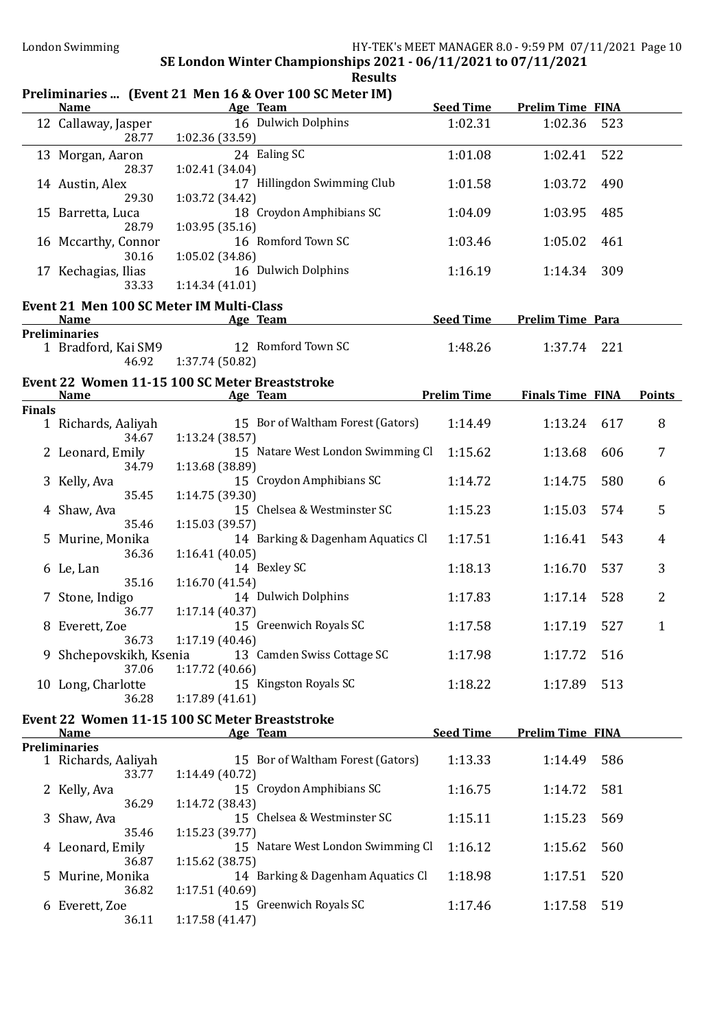# Preliminaries ... (Event 21 Men 16 & Over 100 SC Meter IM)

|               | <u>Name</u>                                                   | <b>Example 2</b> Age Team | aries  [Livent 21 Men 10 & Over 100 Semeter maj | <b>Seed Time</b>   | <b>Prelim Time FINA</b> |     |                |
|---------------|---------------------------------------------------------------|---------------------------|-------------------------------------------------|--------------------|-------------------------|-----|----------------|
|               | 12 Callaway, Jasper<br>28.77                                  | 1:02.36 (33.59)           | 16 Dulwich Dolphins                             | 1:02.31            | 1:02.36                 | 523 |                |
|               | 13 Morgan, Aaron<br>28.37                                     | 1:02.41 (34.04)           | 24 Ealing SC                                    | 1:01.08            | 1:02.41                 | 522 |                |
|               | 14 Austin, Alex<br>29.30                                      | 1:03.72 (34.42)           | 17 Hillingdon Swimming Club                     | 1:01.58            | 1:03.72                 | 490 |                |
|               | 15 Barretta, Luca<br>28.79                                    | 1:03.95(35.16)            | 18 Croydon Amphibians SC                        | 1:04.09            | 1:03.95                 | 485 |                |
|               | 16 Mccarthy, Connor<br>30.16                                  | 1:05.02 (34.86)           | 16 Romford Town SC                              | 1:03.46            | 1:05.02                 | 461 |                |
|               | 17 Kechagias, Ilias<br>33.33                                  | 1:14.34(41.01)            | 16 Dulwich Dolphins                             | 1:16.19            | 1:14.34                 | 309 |                |
|               | Event 21 Men 100 SC Meter IM Multi-Class                      |                           |                                                 |                    |                         |     |                |
|               | Name                                                          | <b>Example 2 Age Team</b> |                                                 | <b>Seed Time</b>   | <b>Prelim Time Para</b> |     |                |
|               | <b>Preliminaries</b>                                          |                           |                                                 |                    |                         |     |                |
|               | 1 Bradford, Kai SM9<br>46.92                                  | 1:37.74 (50.82)           | 12 Romford Town SC                              | 1:48.26            | 1:37.74                 | 221 |                |
|               | Event 22 Women 11-15 100 SC Meter Breaststroke<br><b>Name</b> | <b>Example 2</b> Age Team |                                                 | <b>Prelim Time</b> | <b>Finals Time FINA</b> |     | <b>Points</b>  |
| <b>Finals</b> |                                                               |                           |                                                 |                    |                         |     |                |
|               | 1 Richards, Aaliyah<br>34.67                                  | 1:13.24(38.57)            | 15 Bor of Waltham Forest (Gators)               | 1:14.49            | 1:13.24                 | 617 | 8              |
|               | 2 Leonard, Emily<br>34.79                                     | 1:13.68 (38.89)           | 15 Natare West London Swimming Cl               | 1:15.62            | 1:13.68                 | 606 | $\overline{7}$ |
|               | 3 Kelly, Ava<br>35.45                                         | 1:14.75 (39.30)           | 15 Croydon Amphibians SC                        | 1:14.72            | 1:14.75                 | 580 | 6              |
|               | 4 Shaw, Ava<br>35.46                                          | 1:15.03 (39.57)           | 15 Chelsea & Westminster SC                     | 1:15.23            | 1:15.03                 | 574 | 5              |
|               | 5 Murine, Monika<br>36.36                                     | 1:16.41(40.05)            | 14 Barking & Dagenham Aquatics Cl               | 1:17.51            | 1:16.41                 | 543 | 4              |
|               | 6 Le, Lan<br>35.16                                            | 1:16.70(41.54)            | 14 Bexley SC                                    | 1:18.13            | 1:16.70                 | 537 | 3              |
|               | 7 Stone, Indigo<br>36.77                                      | 1:17.14(40.37)            | 14 Dulwich Dolphins                             | 1:17.83            | 1:17.14                 | 528 | 2              |
|               | 8 Everett, Zoe<br>36.73                                       | 1:17.19 (40.46)           | 15 Greenwich Royals SC                          | 1:17.58            | 1:17.19                 | 527 | $\mathbf{1}$   |
|               | 9 Shchepovskikh, Ksenia<br>37.06                              | 1:17.72(40.66)            | 13 Camden Swiss Cottage SC                      | 1:17.98            | 1:17.72                 | 516 |                |
|               | 10 Long, Charlotte<br>36.28                                   | 1:17.89(41.61)            | 15 Kingston Royals SC                           | 1:18.22            | 1:17.89                 | 513 |                |
|               | Event 22 Women 11-15 100 SC Meter Breaststroke<br><b>Name</b> |                           | Age Team                                        | <b>Seed Time</b>   | <b>Prelim Time FINA</b> |     |                |
|               | <b>Preliminaries</b>                                          |                           |                                                 |                    |                         |     |                |
|               | 1 Richards, Aaliyah<br>33.77                                  | 1:14.49(40.72)            | 15 Bor of Waltham Forest (Gators)               | 1:13.33            | 1:14.49                 | 586 |                |
|               | 2 Kelly, Ava<br>36.29                                         | 1:14.72 (38.43)           | 15 Croydon Amphibians SC                        | 1:16.75            | 1:14.72                 | 581 |                |
|               | 3 Shaw, Ava<br>35.46                                          | 1:15.23 (39.77)           | 15 Chelsea & Westminster SC                     | 1:15.11            | 1:15.23                 | 569 |                |
|               | 4 Leonard, Emily<br>36.87                                     | 1:15.62(38.75)            | 15 Natare West London Swimming Cl               | 1:16.12            | 1:15.62                 | 560 |                |
|               | 5 Murine, Monika<br>36.82                                     | 1:17.51 (40.69)           | 14 Barking & Dagenham Aquatics Cl               | 1:18.98            | 1:17.51                 | 520 |                |
|               | 6 Everett, Zoe<br>36.11                                       | 1:17.58 (41.47)           | 15 Greenwich Royals SC                          | 1:17.46            | 1:17.58                 | 519 |                |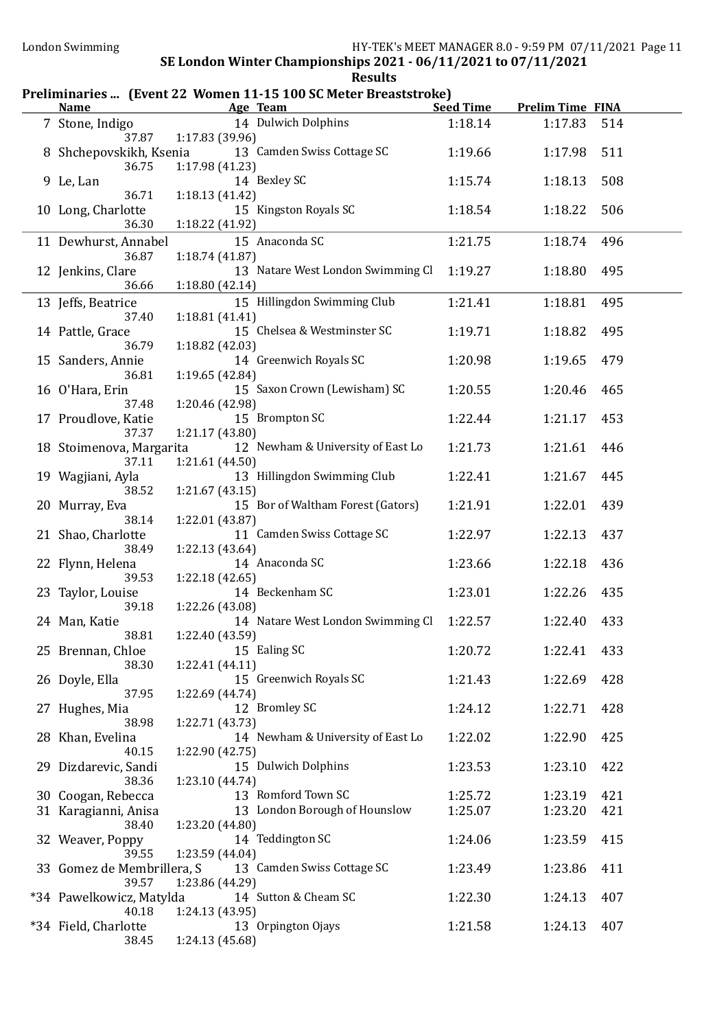| <b>Name</b>                         |                                    | Preliminaries  (Event 22 Women 11-15 100 SC Meter Breaststroke)<br>Age Team | <b>Seed Time</b> | <b>Prelim Time FINA</b> |     |
|-------------------------------------|------------------------------------|-----------------------------------------------------------------------------|------------------|-------------------------|-----|
|                                     |                                    |                                                                             |                  |                         |     |
| 7 Stone, Indigo<br>37.87            | 1:17.83 (39.96)                    | 14 Dulwich Dolphins                                                         | 1:18.14          | 1:17.83                 | 514 |
| 8 Shchepovskikh, Ksenia<br>36.75    | 1:17.98 (41.23)                    | 13 Camden Swiss Cottage SC                                                  | 1:19.66          | 1:17.98                 | 511 |
| 9 Le, Lan<br>36.71                  | 1:18.13(41.42)                     | 14 Bexley SC                                                                | 1:15.74          | 1:18.13                 | 508 |
| 10 Long, Charlotte<br>36.30         | 1:18.22 (41.92)                    | 15 Kingston Royals SC                                                       | 1:18.54          | 1:18.22                 | 506 |
| 11 Dewhurst, Annabel                |                                    | 15 Anaconda SC                                                              | 1:21.75          | 1:18.74                 | 496 |
| 36.87<br>12 Jenkins, Clare<br>36.66 | 1:18.74(41.87)<br>1:18.80(42.14)   | 13 Natare West London Swimming Cl                                           | 1:19.27          | 1:18.80                 | 495 |
| 13 Jeffs, Beatrice<br>37.40         | 1:18.81(41.41)                     | 15 Hillingdon Swimming Club                                                 | 1:21.41          | 1:18.81                 | 495 |
| 14 Pattle, Grace<br>36.79           | 1:18.82 (42.03)                    | 15 Chelsea & Westminster SC                                                 | 1:19.71          | 1:18.82                 | 495 |
| 15 Sanders, Annie<br>36.81          | 1:19.65 (42.84)                    | 14 Greenwich Royals SC                                                      | 1:20.98          | 1:19.65                 | 479 |
| 16 O'Hara, Erin<br>37.48            | 1:20.46 (42.98)                    | 15 Saxon Crown (Lewisham) SC                                                | 1:20.55          | 1:20.46                 | 465 |
| 17 Proudlove, Katie<br>37.37        | 1:21.17(43.80)                     | 15 Brompton SC                                                              | 1:22.44          | 1:21.17                 | 453 |
| 18 Stoimenova, Margarita<br>37.11   | 1:21.61 (44.50)                    | 12 Newham & University of East Lo                                           | 1:21.73          | 1:21.61                 | 446 |
| 19 Wagjiani, Ayla<br>38.52          | 1:21.67(43.15)                     | 13 Hillingdon Swimming Club                                                 | 1:22.41          | 1:21.67                 | 445 |
| 20 Murray, Eva<br>38.14             | 1:22.01 (43.87)                    | 15 Bor of Waltham Forest (Gators)                                           | 1:21.91          | 1:22.01                 | 439 |
| 21 Shao, Charlotte<br>38.49         | 1:22.13(43.64)                     | 11 Camden Swiss Cottage SC                                                  | 1:22.97          | 1:22.13                 | 437 |
| 22 Flynn, Helena<br>39.53           | 1:22.18(42.65)                     | 14 Anaconda SC                                                              | 1:23.66          | 1:22.18                 | 436 |
| 23 Taylor, Louise<br>39.18          | 1:22.26 (43.08)                    | 14 Beckenham SC                                                             | 1:23.01          | 1:22.26                 | 435 |
| 24 Man, Katie<br>38.81              | 1:22.40 (43.59)                    | 14 Natare West London Swimming Cl                                           | 1:22.57          | 1:22.40                 | 433 |
| 25 Brennan, Chloe<br>38.30          | 1:22.41 (44.11)                    | 15 Ealing SC                                                                | 1:20.72          | 1:22.41                 | 433 |
| 26 Doyle, Ella<br>37.95             | 1:22.69 (44.74)                    | 15 Greenwich Royals SC                                                      | 1:21.43          | 1:22.69                 | 428 |
| 27 Hughes, Mia<br>38.98             | 1:22.71 (43.73)                    | 12 Bromley SC                                                               | 1:24.12          | 1:22.71                 | 428 |
| 28 Khan, Evelina<br>40.15           | 1:22.90 (42.75)                    | 14 Newham & University of East Lo                                           | 1:22.02          | 1:22.90                 | 425 |
| 29 Dizdarevic, Sandi<br>38.36       | 1:23.10 (44.74)                    | 15 Dulwich Dolphins                                                         | 1:23.53          | 1:23.10                 | 422 |
| 30 Coogan, Rebecca                  |                                    | 13 Romford Town SC                                                          | 1:25.72          | 1:23.19                 | 421 |
| 31 Karagianni, Anisa                |                                    | 13 London Borough of Hounslow                                               | 1:25.07          | 1:23.20                 | 421 |
| 38.40<br>32 Weaver, Poppy<br>39.55  | 1:23.20 (44.80)<br>1:23.59 (44.04) | 14 Teddington SC                                                            | 1:24.06          | 1:23.59                 | 415 |
| 33 Gomez de Membrillera, S<br>39.57 | 1:23.86 (44.29)                    | 13 Camden Swiss Cottage SC                                                  | 1:23.49          | 1:23.86                 | 411 |
| *34 Pawelkowicz, Matylda<br>40.18   | 1:24.13 (43.95)                    | 14 Sutton & Cheam SC                                                        | 1:22.30          | 1:24.13                 | 407 |
| *34 Field, Charlotte<br>38.45       | 1:24.13 (45.68)                    | 13 Orpington Ojays                                                          | 1:21.58          | 1:24.13                 | 407 |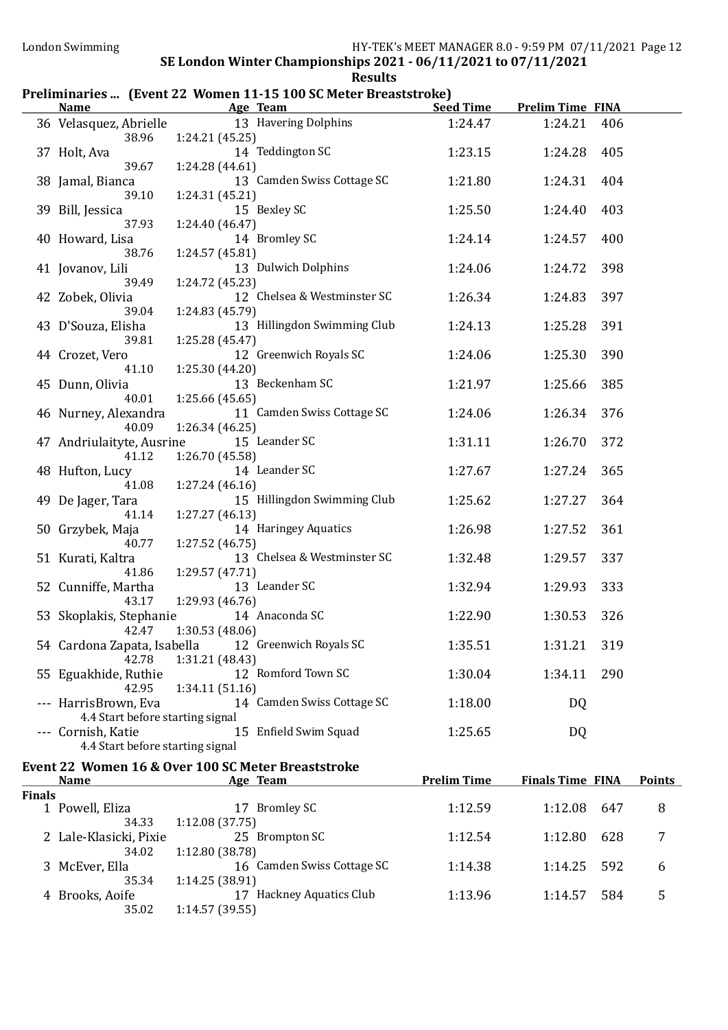#### Preliminaries ... (Event 22 Women 11-15 100 SC Meter Breaststroke)

|        | <b>Name</b>                                              | Age Team                                                              | <b>Seed Time</b>   | <b>Prelim Time FINA</b> |     |                |
|--------|----------------------------------------------------------|-----------------------------------------------------------------------|--------------------|-------------------------|-----|----------------|
|        | 36 Velasquez, Abrielle<br>38.96                          | 13 Havering Dolphins<br>1:24.21 (45.25)                               | 1:24.47            | 1:24.21                 | 406 |                |
|        | 37 Holt, Ava<br>39.67                                    | 14 Teddington SC<br>1:24.28 (44.61)                                   | 1:23.15            | 1:24.28                 | 405 |                |
|        | 38 Jamal, Bianca<br>39.10                                | 13 Camden Swiss Cottage SC<br>1:24.31 (45.21)                         | 1:21.80            | 1:24.31                 | 404 |                |
|        | 39 Bill, Jessica<br>37.93                                | 15 Bexley SC<br>1:24.40(46.47)                                        | 1:25.50            | 1:24.40                 | 403 |                |
|        | 40 Howard, Lisa<br>38.76                                 | 14 Bromley SC<br>1:24.57(45.81)                                       | 1:24.14            | 1:24.57                 | 400 |                |
|        | 41 Jovanov, Lili<br>39.49                                | 13 Dulwich Dolphins<br>1:24.72 (45.23)                                | 1:24.06            | 1:24.72                 | 398 |                |
|        | 42 Zobek, Olivia<br>39.04                                | 12 Chelsea & Westminster SC<br>1:24.83 (45.79)                        | 1:26.34            | 1:24.83                 | 397 |                |
|        | 43 D'Souza, Elisha<br>39.81                              | 13 Hillingdon Swimming Club<br>1:25.28(45.47)                         | 1:24.13            | 1:25.28                 | 391 |                |
|        | 44 Crozet, Vero<br>41.10                                 | 12 Greenwich Royals SC<br>1:25.30(44.20)                              | 1:24.06            | 1:25.30                 | 390 |                |
|        | 45 Dunn, Olivia<br>40.01                                 | 13 Beckenham SC<br>1:25.66 (45.65)                                    | 1:21.97            | 1:25.66                 | 385 |                |
|        | 46 Nurney, Alexandra<br>40.09                            | 11 Camden Swiss Cottage SC<br>1:26.34 (46.25)                         | 1:24.06            | 1:26.34                 | 376 |                |
|        | 47 Andriulaityte, Ausrine<br>41.12                       | 15 Leander SC<br>1:26.70 (45.58)                                      | 1:31.11            | 1:26.70                 | 372 |                |
|        | 48 Hufton, Lucy<br>41.08                                 | 14 Leander SC<br>1:27.24(46.16)                                       | 1:27.67            | 1:27.24                 | 365 |                |
|        | 49 De Jager, Tara<br>41.14                               | 15 Hillingdon Swimming Club<br>1:27.27(46.13)                         | 1:25.62            | 1:27.27                 | 364 |                |
|        | 50 Grzybek, Maja<br>40.77                                | 14 Haringey Aquatics<br>1:27.52 (46.75)                               | 1:26.98            | 1:27.52                 | 361 |                |
|        | 51 Kurati, Kaltra<br>41.86                               | 13 Chelsea & Westminster SC<br>1:29.57 (47.71)                        | 1:32.48            | 1:29.57                 | 337 |                |
|        | 52 Cunniffe, Martha<br>43.17                             | 13 Leander SC<br>1:29.93 (46.76)                                      | 1:32.94            | 1:29.93                 | 333 |                |
|        | 53 Skoplakis, Stephanie<br>42.47                         | 14 Anaconda SC<br>1:30.53 (48.06)                                     | 1:22.90            | 1:30.53                 | 326 |                |
|        | 42.78                                                    | 54 Cardona Zapata, Isabella 12 Greenwich Royals SC<br>1:31.21 (48.43) | 1:35.51            | 1:31.21                 | 319 |                |
|        | 55 Eguakhide, Ruthie<br>42.95                            | 12 Romford Town SC<br>1:34.11(51.16)                                  | 1:30.04            | 1:34.11                 | 290 |                |
|        | --- HarrisBrown, Eva<br>4.4 Start before starting signal | 14 Camden Swiss Cottage SC                                            | 1:18.00            | <b>DQ</b>               |     |                |
|        | --- Cornish, Katie<br>4.4 Start before starting signal   | 15 Enfield Swim Squad                                                 | 1:25.65            | <b>DQ</b>               |     |                |
|        | <b>Name</b>                                              | Event 22 Women 16 & Over 100 SC Meter Breaststroke<br>Age Team        | <b>Prelim Time</b> | <b>Finals Time FINA</b> |     | <b>Points</b>  |
| Finals |                                                          |                                                                       |                    |                         |     |                |
|        | 1 Powell, Eliza<br>34.33                                 | 17 Bromley SC<br>1:12.08 (37.75)                                      | 1:12.59            | 1:12.08                 | 647 | 8              |
|        | 2 Lale-Klasicki, Pixie<br>34.02                          | 25 Brompton SC<br>1:12.80 (38.78)                                     | 1:12.54            | 1:12.80                 | 628 | 7              |
|        | 3 McEver, Ella<br>35.34                                  | 16 Camden Swiss Cottage SC<br>1:14.25 (38.91)                         | 1:14.38            | 1:14.25                 | 592 | 6              |
|        | 4 Brooks, Aoife<br>35.02                                 | 17 Hackney Aquatics Club<br>1:14.57 (39.55)                           | 1:13.96            | 1:14.57                 | 584 | $\overline{5}$ |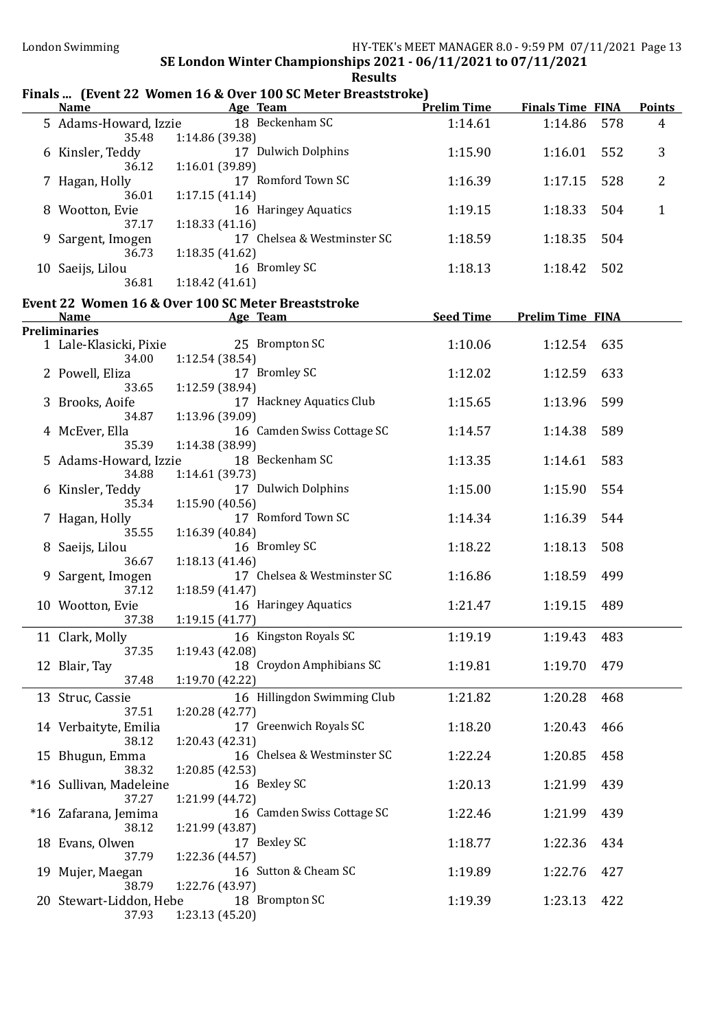### Finals ... (Event 22 Women 16 & Over 100 SC Meter Breaststroke)

| <b>Name</b>                      | <b>Example 2018 Age Team</b>                             |                  | <b>Prelim Time Finals Time FINA</b> | <b>Points</b> |
|----------------------------------|----------------------------------------------------------|------------------|-------------------------------------|---------------|
| 35.48                            | 5 Adams-Howard, Izzie 18 Beckenham SC<br>1:14.86 (39.38) | 1:14.61          | 1:14.86<br>578                      | 4             |
| 6 Kinsler, Teddy<br>36.12        | 17 Dulwich Dolphins<br>1:16.01 (39.89)                   | 1:15.90          | 552<br>1:16.01                      | 3             |
| 7 Hagan, Holly<br>36.01          | 17 Romford Town SC                                       | 1:16.39          | 1:17.15<br>528                      | 2             |
| 8 Wootton, Evie                  | 1:17.15(41.14)<br>16 Haringey Aquatics                   | 1:19.15          | 1:18.33<br>504                      | $\mathbf{1}$  |
| 37.17<br>9 Sargent, Imogen       | 1:18.33(41.16)<br>17 Chelsea & Westminster SC            | 1:18.59          | 1:18.35<br>504                      |               |
| 36.73<br>10 Saeijs, Lilou        | 1:18.35(41.62)<br>16 Bromley SC                          | 1:18.13          | 502<br>1:18.42                      |               |
| 36.81                            | 1:18.42(41.61)                                           |                  |                                     |               |
|                                  | Event 22 Women 16 & Over 100 SC Meter Breaststroke       |                  |                                     |               |
| <b>Name</b>                      | <u>Age Team</u>                                          | <b>Seed Time</b> | <b>Prelim Time FINA</b>             |               |
| <b>Preliminaries</b>             |                                                          |                  |                                     |               |
| 1 Lale-Klasicki, Pixie<br>34.00  | 25 Brompton SC<br>1:12.54 (38.54)                        | 1:10.06          | 1:12.54<br>635                      |               |
| 2 Powell, Eliza<br>33.65         | 17 Bromley SC<br>1:12.59 (38.94)                         | 1:12.02          | 1:12.59<br>633                      |               |
| 3 Brooks, Aoife<br>34.87         | 17 Hackney Aquatics Club<br>1:13.96 (39.09)              | 1:15.65          | 599<br>1:13.96                      |               |
| 4 McEver, Ella<br>35.39          | 16 Camden Swiss Cottage SC<br>1:14.38 (38.99)            | 1:14.57          | 589<br>1:14.38                      |               |
| 5 Adams-Howard, Izzie<br>34.88   | 18 Beckenham SC<br>1:14.61 (39.73)                       | 1:13.35          | 583<br>1:14.61                      |               |
| 6 Kinsler, Teddy                 | 17 Dulwich Dolphins                                      | 1:15.00          | 1:15.90<br>554                      |               |
| 35.34<br>7 Hagan, Holly          | 1:15.90(40.56)<br>17 Romford Town SC                     | 1:14.34          | 1:16.39<br>544                      |               |
| 35.55<br>8 Saeijs, Lilou         | 1:16.39(40.84)<br>16 Bromley SC                          | 1:18.22          | 1:18.13<br>508                      |               |
| 36.67<br>9 Sargent, Imogen       | 1:18.13(41.46)<br>17 Chelsea & Westminster SC            | 1:16.86          | 1:18.59<br>499                      |               |
| 37.12<br>10 Wootton, Evie        | 1:18.59(41.47)<br>16 Haringey Aquatics                   | 1:21.47          | 1:19.15<br>489                      |               |
| 37.38<br>11 Clark, Molly         | 1:19.15(41.77)<br>16 Kingston Royals SC                  | 1:19.19          | 1:19.43<br>483                      |               |
| 37.35<br>12 Blair, Tay           | 1:19.43 (42.08)<br>18 Croydon Amphibians SC              | 1:19.81          | 1:19.70<br>479                      |               |
| 37.48                            | 1:19.70 (42.22)                                          |                  |                                     |               |
| 13 Struc, Cassie<br>37.51        | 16 Hillingdon Swimming Club<br>1:20.28(42.77)            | 1:21.82          | 1:20.28<br>468                      |               |
| 14 Verbaityte, Emilia<br>38.12   | 17 Greenwich Royals SC<br>1:20.43 (42.31)                | 1:18.20          | 1:20.43<br>466                      |               |
| 15 Bhugun, Emma                  | 16 Chelsea & Westminster SC                              | 1:22.24          | 1:20.85<br>458                      |               |
| 38.32<br>*16 Sullivan, Madeleine | 1:20.85 (42.53)<br>16 Bexley SC                          | 1:20.13          | 439<br>1:21.99                      |               |
| 37.27<br>*16 Zafarana, Jemima    | 1:21.99 (44.72)<br>16 Camden Swiss Cottage SC            | 1:22.46          | 1:21.99<br>439                      |               |
| 38.12<br>18 Evans, Olwen         | 1:21.99 (43.87)<br>17 Bexley SC                          | 1:18.77          | 1:22.36<br>434                      |               |
| 37.79<br>19 Mujer, Maegan        | 1:22.36 (44.57)<br>16 Sutton & Cheam SC                  | 1:19.89          | 1:22.76<br>427                      |               |
| 38.79                            | 1:22.76 (43.97)                                          |                  |                                     |               |
| 20 Stewart-Liddon, Hebe<br>37.93 | 18 Brompton SC<br>1:23.13 (45.20)                        | 1:19.39          | 1:23.13<br>422                      |               |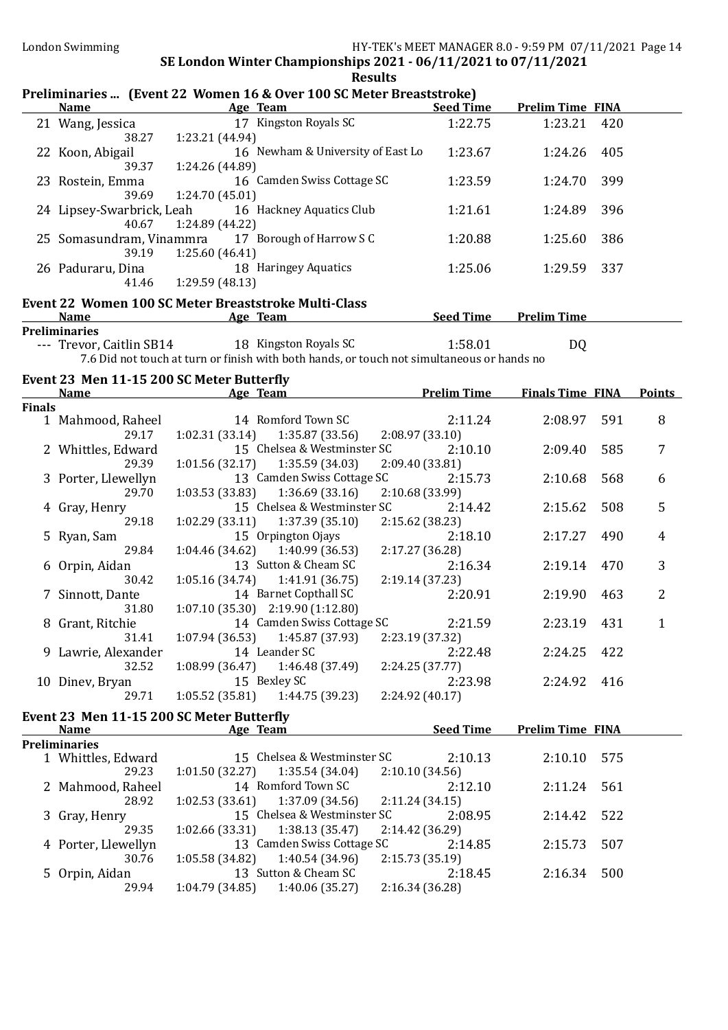|               | London Swimming                      | SE London Winter Championships 2021 - 06/11/2021 to 07/11/2021                                                                                          | HY-TEK's MEET MANAGER 8.0 - 9:59 PM 07/11/2021 Page 14 |                         |     |                |
|---------------|--------------------------------------|---------------------------------------------------------------------------------------------------------------------------------------------------------|--------------------------------------------------------|-------------------------|-----|----------------|
|               | <b>Name</b>                          | <b>Results</b><br>Preliminaries  (Event 22 Women 16 & Over 100 SC Meter Breaststroke)<br><b>Example 20 Age Team Age Team Seed Time Prelim Time FINA</b> |                                                        |                         |     |                |
|               | 21 Wang, Jessica                     | 17 Kingston Royals SC                                                                                                                                   | 1:22.75                                                | 1:23.21 420             |     |                |
|               | 38.27<br>22 Koon, Abigail<br>39.37   | 1:23.21 (44.94)<br>16 Newham & University of East Lo<br>1:24.26 (44.89)                                                                                 | 1:23.67                                                | 1:24.26                 | 405 |                |
|               | 23 Rostein, Emma<br>39.69            | 16 Camden Swiss Cottage SC<br>1:24.70 (45.01)                                                                                                           | 1:23.59                                                | 1:24.70                 | 399 |                |
|               | 40.67                                | 24 Lipsey-Swarbrick, Leah 16 Hackney Aquatics Club<br>1:24.89 (44.22)                                                                                   | 1:21.61                                                | 1:24.89                 | 396 |                |
|               | 39.19                                | 25 Somasundram, Vinammra 17 Borough of Harrow SC<br>1:25.60(46.41)                                                                                      | 1:20.88                                                | 1:25.60                 | 386 |                |
|               | 26 Paduraru, Dina<br>41.46           | 18 Haringey Aquatics<br>1:29.59 (48.13)                                                                                                                 | 1:25.06                                                | 1:29.59                 | 337 |                |
|               | <b>Name</b>                          | Event 22 Women 100 SC Meter Breaststroke Multi-Class<br><b>Example 2</b> Age Team                                                                       | <b>Example 2 Seed Time Prelim Time</b>                 |                         |     |                |
|               | <b>Preliminaries</b>                 | --- Trevor, Caitlin SB14 18 Kingston Royals SC                                                                                                          | 1:58.01                                                | D <sub>Q</sub>          |     |                |
|               |                                      | 7.6 Did not touch at turn or finish with both hands, or touch not simultaneous or hands no                                                              |                                                        |                         |     |                |
|               |                                      | Event 23 Men 11-15 200 SC Meter Butterfly<br>Name <b>Age Team</b> Age Team <b>Prelim Time</b> Finals Time FINA                                          |                                                        |                         |     | <b>Points</b>  |
| <b>Finals</b> |                                      |                                                                                                                                                         |                                                        |                         |     |                |
|               | 1 Mahmood, Raheel                    | 14 Romford Town SC                                                                                                                                      | 2:11.24                                                | 2:08.97                 | 591 | 8              |
|               | 29.17<br>2 Whittles, Edward<br>29.39 | $1:02.31(33.14)$ $1:35.87(33.56)$<br>15 Chelsea & Westminster SC<br>$1:01.56(32.17)$ $1:35.59(34.03)$                                                   | 2:08.97(33.10)<br>2:10.10<br>2:09.40 (33.81)           | 2:09.40                 | 585 | $\overline{7}$ |
|               | 3 Porter, Llewellyn                  | 13 Camden Swiss Cottage SC                                                                                                                              | 2:15.73                                                | 2:10.68                 | 568 | 6              |
|               | 29.70<br>4 Gray, Henry               | $1:03.53(33.83)$ $1:36.69(33.16)$<br>15 Chelsea & Westminster SC                                                                                        | 2:10.68 (33.99)<br>2:14.42                             | 2:15.62                 | 508 | 5              |
|               | 29.18                                | $1:02.29(33.11)$ $1:37.39(35.10)$                                                                                                                       | 2:15.62 (38.23)                                        |                         |     |                |
|               | 5 Ryan, Sam<br>29.84                 | 15 Orpington Ojays<br>1:40.99 (36.53)<br>1:04.46(34.62)                                                                                                 | 2:18.10<br>2:17.27 (36.28)                             | 2:17.27                 | 490 | 4              |
|               | 6 Orpin, Aidan                       | 13 Sutton & Cheam SC                                                                                                                                    | 2:16.34                                                | 2:19.14                 | 470 | 3              |
|               | 30.42<br>7 Sinnott, Dante            | $1:05.16(34.74)$ $1:41.91(36.75)$<br>14 Barnet Copthall SC                                                                                              | 2:19.14(37.23)                                         | 2:20.91 2:19.90 463     |     | $\overline{2}$ |
|               | 31.80                                | $1:07.10(35.30)$ $2:19.90(1:12.80)$                                                                                                                     |                                                        |                         |     |                |
|               | 8 Grant, Ritchie<br>31.41            | 14 Camden Swiss Cottage SC<br>1:07.94(36.53)<br>1:45.87 (37.93)                                                                                         | 2:21.59<br>2:23.19 (37.32)                             | 2:23.19                 | 431 | 1              |
|               | 9 Lawrie, Alexander                  | 14 Leander SC                                                                                                                                           | 2:22.48                                                | 2:24.25                 | 422 |                |
|               | 32.52<br>10 Dinev, Bryan             | $1:08.99(36.47)$ $1:46.48(37.49)$<br>15 Bexley SC                                                                                                       | 2:24.25 (37.77)<br>2:23.98                             | 2:24.92                 | 416 |                |
|               | 29.71                                | $1:05.52(35.81)$ $1:44.75(39.23)$                                                                                                                       | 2:24.92 (40.17)                                        |                         |     |                |
|               | <b>Name</b>                          | Event 23 Men 11-15 200 SC Meter Butterfly<br>Age Team                                                                                                   | <b>Seed Time</b>                                       | <b>Prelim Time FINA</b> |     |                |
|               | <b>Preliminaries</b>                 |                                                                                                                                                         |                                                        |                         |     |                |
|               | 1 Whittles, Edward<br>29.23          | 15 Chelsea & Westminster SC<br>1:35.54(34.04)<br>1:01.50(32.27)                                                                                         | 2:10.13<br>2:10.10(34.56)                              | 2:10.10                 | 575 |                |
|               | 2 Mahmood, Raheel                    | 14 Romford Town SC                                                                                                                                      | 2:12.10                                                | 2:11.24                 | 561 |                |
|               | 28.92<br>3 Gray, Henry               | 1:02.53(33.61)<br>1:37.09 (34.56)<br>15 Chelsea & Westminster SC                                                                                        | 2:11.24(34.15)<br>2:08.95                              | 2:14.42                 | 522 |                |
|               | 29.35<br>4 Porter, Llewellyn         | 1:02.66(33.31)<br>1:38.13(35.47)<br>13 Camden Swiss Cottage SC                                                                                          | 2:14.42 (36.29)<br>2:14.85                             | 2:15.73                 | 507 |                |
|               | 30.76                                | 1:05.58 (34.82)<br>1:40.54 (34.96)                                                                                                                      | 2:15.73 (35.19)                                        |                         |     |                |

5 Orpin, Aidan 13 Sutton & Cheam SC 2:18.45 2:16.34 500

29.94 1:04.79 (34.85) 1:40.06 (35.27) 2:16.34 (36.28)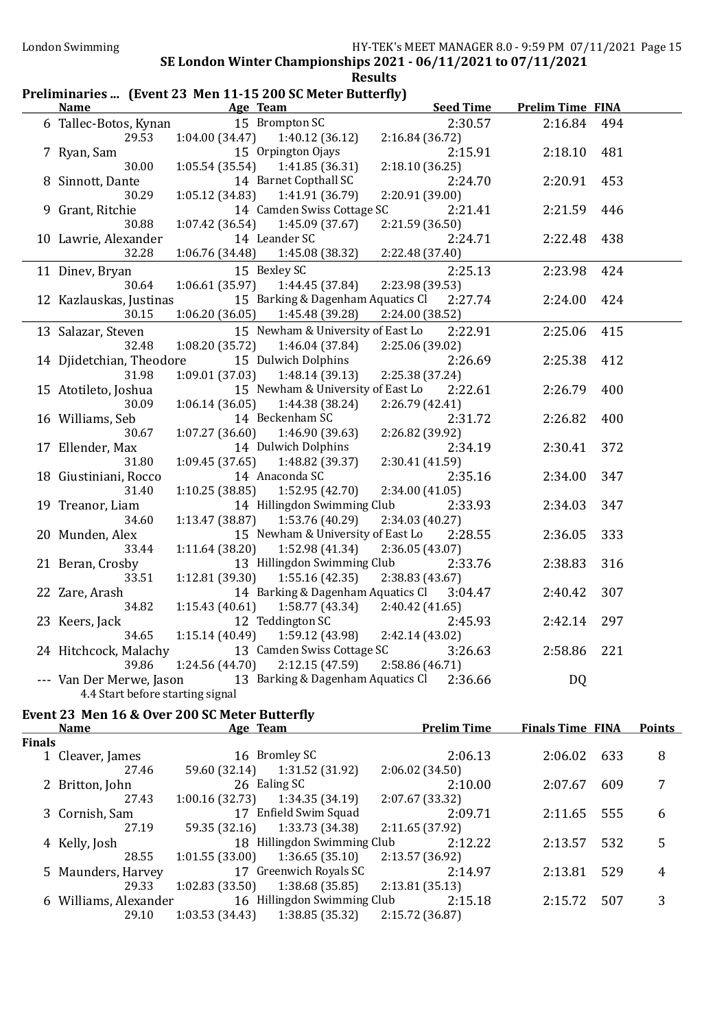| Preliminaries  (Event 23 Men 11-15 200 SC Meter Butterfly) |                                  |                 |                                   |                 |                  |                         |     |
|------------------------------------------------------------|----------------------------------|-----------------|-----------------------------------|-----------------|------------------|-------------------------|-----|
|                                                            | <b>Name</b>                      | Age Team        |                                   |                 | <b>Seed Time</b> | <b>Prelim Time FINA</b> |     |
|                                                            | 6 Tallec-Botos, Kynan            |                 | 15 Brompton SC                    |                 | 2:30.57          | 2:16.84                 | 494 |
|                                                            | 29.53                            | 1:04.00(34.47)  | 1:40.12(36.12)                    | 2:16.84 (36.72) |                  |                         |     |
|                                                            | 7 Ryan, Sam                      |                 | 15 Orpington Ojays                |                 | 2:15.91          | 2:18.10                 | 481 |
|                                                            | 30.00                            | 1:05.54(35.54)  | 1:41.85(36.31)                    | 2:18.10(36.25)  |                  |                         |     |
|                                                            | 8 Sinnott, Dante                 |                 | 14 Barnet Copthall SC             |                 | 2:24.70          | 2:20.91                 | 453 |
|                                                            | 30.29                            | 1:05.12(34.83)  | 1:41.91 (36.79)                   | 2:20.91 (39.00) |                  |                         |     |
|                                                            | 9 Grant, Ritchie                 |                 | 14 Camden Swiss Cottage SC        |                 | 2:21.41          | 2:21.59                 | 446 |
|                                                            | 30.88                            | 1:07.42(36.54)  | 1:45.09 (37.67)                   | 2:21.59 (36.50) |                  |                         |     |
|                                                            | 10 Lawrie, Alexander             |                 | 14 Leander SC                     |                 | 2:24.71          | 2:22.48                 | 438 |
|                                                            | 32.28                            | 1:06.76 (34.48) | 1:45.08 (38.32)                   | 2:22.48 (37.40) |                  |                         |     |
|                                                            | 11 Dinev, Bryan                  |                 | 15 Bexley SC                      |                 | 2:25.13          | 2:23.98                 | 424 |
|                                                            | 30.64                            | 1:06.61(35.97)  | 1:44.45 (37.84)                   | 2:23.98 (39.53) |                  |                         |     |
|                                                            | 12 Kazlauskas, Justinas          |                 | 15 Barking & Dagenham Aquatics Cl |                 | 2:27.74          | 2:24.00                 | 424 |
|                                                            | 30.15                            | 1:06.20(36.05)  | 1:45.48 (39.28)                   | 2:24.00 (38.52) |                  |                         |     |
|                                                            | 13 Salazar, Steven               |                 | 15 Newham & University of East Lo |                 | 2:22.91          | 2:25.06                 | 415 |
|                                                            | 32.48                            | 1:08.20(35.72)  | 1:46.04 (37.84)                   | 2:25.06 (39.02) |                  |                         |     |
|                                                            | 14 Djidetchian, Theodore         |                 | 15 Dulwich Dolphins               |                 | 2:26.69          | 2:25.38                 | 412 |
|                                                            | 31.98                            | 1:09.01(37.03)  | 1:48.14(39.13)                    | 2:25.38 (37.24) |                  |                         |     |
|                                                            | 15 Atotileto, Joshua             |                 | 15 Newham & University of East Lo |                 | 2:22.61          | 2:26.79                 | 400 |
|                                                            | 30.09                            | 1:06.14(36.05)  | 1:44.38 (38.24)                   | 2:26.79 (42.41) |                  |                         |     |
|                                                            | 16 Williams, Seb                 |                 | 14 Beckenham SC                   |                 | 2:31.72          | 2:26.82                 | 400 |
|                                                            | 30.67                            | 1:07.27(36.60)  | 1:46.90 (39.63)                   | 2:26.82 (39.92) |                  |                         |     |
|                                                            | 17 Ellender, Max                 |                 | 14 Dulwich Dolphins               |                 | 2:34.19          | 2:30.41                 | 372 |
|                                                            | 31.80                            | 1:09.45(37.65)  | 1:48.82 (39.37)                   | 2:30.41 (41.59) |                  |                         |     |
|                                                            | 18 Giustiniani, Rocco            |                 | 14 Anaconda SC                    |                 | 2:35.16          | 2:34.00                 | 347 |
|                                                            | 31.40                            | 1:10.25(38.85)  | 1:52.95 (42.70)                   | 2:34.00 (41.05) |                  |                         |     |
|                                                            | 19 Treanor, Liam                 |                 | 14 Hillingdon Swimming Club       |                 | 2:33.93          | 2:34.03                 | 347 |
|                                                            | 34.60                            | 1:13.47(38.87)  | 1:53.76 (40.29)                   | 2:34.03 (40.27) |                  |                         |     |
|                                                            | 20 Munden, Alex                  |                 | 15 Newham & University of East Lo |                 | 2:28.55          | 2:36.05                 | 333 |
|                                                            | 33.44                            | 1:11.64(38.20)  | 1:52.98 (41.34)                   | 2:36.05(43.07)  |                  |                         |     |
|                                                            | 21 Beran, Crosby                 |                 | 13 Hillingdon Swimming Club       |                 | 2:33.76          | 2:38.83                 | 316 |
|                                                            | 33.51                            | 1:12.81(39.30)  | 1:55.16(42.35)                    | 2:38.83(43.67)  |                  |                         |     |
|                                                            | 22 Zare, Arash                   |                 | 14 Barking & Dagenham Aquatics Cl |                 | 3:04.47          | 2:40.42                 | 307 |
|                                                            | 34.82                            | 1:15.43(40.61)  | 1:58.77(43.34)                    | 2:40.42 (41.65) |                  |                         |     |
|                                                            | 23 Keers, Jack                   |                 | 12 Teddington SC                  |                 | 2:45.93          | 2:42.14                 | 297 |
|                                                            | 34.65                            | 1:15.14(40.49)  | 1:59.12 (43.98)                   | 2:42.14 (43.02) |                  |                         |     |
|                                                            | 24 Hitchcock, Malachy            |                 | 13 Camden Swiss Cottage SC        |                 | 3:26.63          | 2:58.86                 | 221 |
|                                                            | 39.86                            | 1:24.56 (44.70) | 2:12.15(47.59)                    | 2:58.86 (46.71) |                  |                         |     |
|                                                            | --- Van Der Merwe, Jason         |                 | 13 Barking & Dagenham Aquatics Cl |                 | 2:36.66          | DQ                      |     |
|                                                            | 4.4 Start before starting signal |                 |                                   |                 |                  |                         |     |

# Event 23 Men 16 & Over 200 SC Meter Butterfly

|               | <b>Name</b>           | Age Team       |                             | <b>Prelim Time</b> | <b>Finals Time FINA</b> |     | <b>Points</b> |
|---------------|-----------------------|----------------|-----------------------------|--------------------|-------------------------|-----|---------------|
| <b>Finals</b> |                       |                |                             |                    |                         |     |               |
|               | 1 Cleaver, James      |                | 16 Bromley SC               | 2:06.13            | 2:06.02                 | 633 | 8             |
|               | 27.46                 | 59.60 (32.14)  | 1:31.52 (31.92)             | 2:06.02(34.50)     |                         |     |               |
|               | 2 Britton, John       |                | 26 Ealing SC                | 2:10.00            | 2:07.67                 | 609 |               |
|               | 27.43                 | 1:00.16(32.73) | 1:34.35 (34.19)             | 2:07.67 (33.32)    |                         |     |               |
|               | 3 Cornish, Sam        |                | 17 Enfield Swim Squad       | 2:09.71            | 2:11.65                 | 555 | 6             |
|               | 27.19                 | 59.35 (32.16)  | 1:33.73 (34.38)             | 2:11.65(37.92)     |                         |     |               |
|               | 4 Kelly, Josh         |                | 18 Hillingdon Swimming Club | 2:12.22            | 2:13.57                 | 532 | 5             |
|               | 28.55                 | 1:01.55(33.00) | 1:36.65(35.10)              | 2:13.57(36.92)     |                         |     |               |
|               | 5 Maunders, Harvey    |                | 17 Greenwich Royals SC      | 2:14.97            | 2:13.81                 | 529 | 4             |
|               | 29.33                 | 1:02.83(33.50) | 1:38.68(35.85)              | 2:13.81(35.13)     |                         |     |               |
|               | 6 Williams, Alexander |                | 16 Hillingdon Swimming Club | 2:15.18            | 2:15.72                 | 507 | 3             |
|               | 29.10                 | 1:03.53(34.43) | 1:38.85 (35.32)             | 2:15.72(36.87)     |                         |     |               |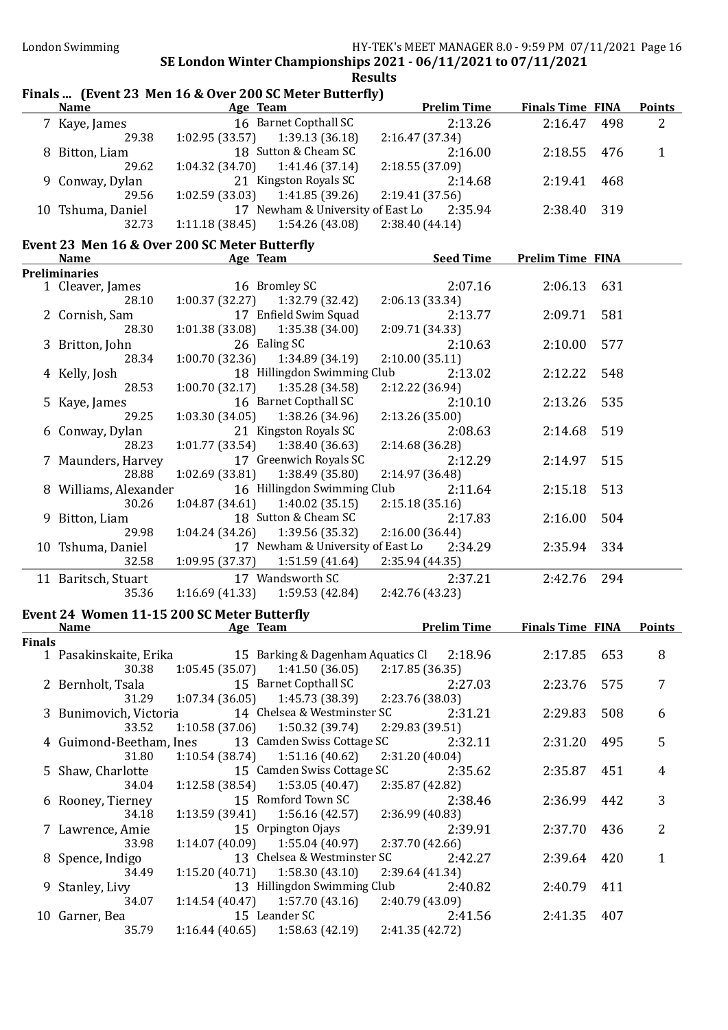#### Finals ... (Event 23 Men 16 & Over 200 SC Meter Butterfly) Name Age Team Prelim Time Finals Time FINA Points 7 Kaye, James 16 Barnet Copthall SC 2:13.26 2:16.47 498 2 29.38 1:02.95 (33.57) 1:39.13 (36.18) 2:16.47 (37.34) 8 Bitton, Liam 18 Sutton & Cheam SC 2:16.00 2:18.55 476 1 29.62 1:04.32 (34.70) 1:41.46 (37.14) 2:18.55 (37.09) 9 Conway, Dylan 21 Kingston Royals SC 2:14.68 2:19.41 468 29.56 1:02.59 (33.03) 1:41.85 (39.26) 2:19.41 (37.56) 10 Tshuma, Daniel 17 Newham & University of East Lo 2:35.94 2:38.40 319<br>32.73 1:11.18 (38.45) 1:54.26 (43.08) 2:38.40 (44.14)  $1:11.18(38.45)$

#### Event 23 Men 16 & Over 200 SC Meter Butterfly

| <b>Name</b>           |                 | Age Team                                  | <b>Seed Time</b> | <b>Prelim Time FINA</b> |     |
|-----------------------|-----------------|-------------------------------------------|------------------|-------------------------|-----|
| <b>Preliminaries</b>  |                 |                                           |                  |                         |     |
| 1 Cleaver, James      |                 | 16 Bromley SC                             | 2:07.16          | 2:06.13 631             |     |
| 28.10                 |                 | $1:00.37(32.27)$ $1:32.79(32.42)$         | 2:06.13(33.34)   |                         |     |
| 2 Cornish, Sam        |                 | 17 Enfield Swim Squad                     | 2:13.77          | 2:09.71 581             |     |
| 28.30                 |                 | $1:01.38(33.08)$ $1:35.38(34.00)$         | 2:09.71 (34.33)  |                         |     |
| 3 Britton, John       |                 | 26 Ealing SC                              | 2:10.63          | 2:10.00 577             |     |
| 28.34                 |                 | $1:00.70(32.36)$ $1:34.89(34.19)$         | 2:10.00(35.11)   |                         |     |
| 4 Kelly, Josh         |                 | 18 Hillingdon Swimming Club               | 2:13.02          | 2:12.22                 | 548 |
| 28.53                 |                 | $1:00.70(32.17)$ $1:35.28(34.58)$         | 2:12.22(36.94)   |                         |     |
| 5 Kaye, James         |                 | 16 Barnet Copthall SC                     | 2:10.10          | 2:13.26                 | 535 |
| 29.25                 |                 | $1:03.30(34.05)$ $1:38.26(34.96)$         | 2:13.26(35.00)   |                         |     |
| 6 Conway, Dylan       |                 | 21 Kingston Royals SC                     | 2:08.63          | 2:14.68 519             |     |
| 28.23                 |                 | $1:01.77(33.54)$ $1:38.40(36.63)$         | 2:14.68(36.28)   |                         |     |
| 7 Maunders, Harvey    |                 | 17 Greenwich Royals SC                    | 2:12.29          | 2:14.97 515             |     |
| 28.88                 |                 | $1:02.69(33.81)$ $1:38.49(35.80)$         | 2:14.97(36.48)   |                         |     |
| 8 Williams, Alexander |                 | 16 Hillingdon Swimming Club               | 2:11.64          | 2:15.18 513             |     |
| 30.26                 |                 | $1:04.87(34.61)$ $1:40.02(35.15)$         | 2:15.18(35.16)   |                         |     |
| 9 Bitton, Liam        |                 | 18 Sutton & Cheam SC                      | 2:17.83          | 2:16.00                 | 504 |
| 29.98                 |                 | $1:04.24(34.26)$ $1:39.56(35.32)$         | 2:16.00 (36.44)  |                         |     |
| 10 Tshuma, Daniel     |                 | 17 Newham & University of East Lo 2:34.29 |                  | 2:35.94                 | 334 |
| 32.58                 | 1:09.95 (37.37) | 1:51.59 (41.64)                           | 2:35.94 (44.35)  |                         |     |
| 11 Baritsch, Stuart   |                 | 17 Wandsworth SC                          | 2:37.21          | 2:42.76                 | 294 |
| 35.36                 |                 | $1:16.69(41.33)$ $1:59.53(42.84)$         | 2:42.76 (43.23)  |                         |     |

#### Event 24 Women 11-15 200 SC Meter Butterfly

|               | Name                   | Age Team |                                                                  |                 | <b>Prelim Time</b> | <b>Finals Time FINA</b> |     | <b>Points</b> |  |
|---------------|------------------------|----------|------------------------------------------------------------------|-----------------|--------------------|-------------------------|-----|---------------|--|
| <b>Finals</b> |                        |          |                                                                  |                 |                    |                         |     |               |  |
|               |                        |          | 1 Pasakinskaite, Erika 15 Barking & Dagenham Aquatics Cl 2:18.96 |                 |                    | 2:17.85                 | 653 | 8             |  |
|               | 30.38                  |          | $1:05.45(35.07)$ $1:41.50(36.05)$ $2:17.85(36.35)$               |                 |                    |                         |     |               |  |
|               |                        |          | 2 Bernholt, Tsala 15 Barnet Copthall SC                          |                 | 2:27.03            | 2:23.76                 | 575 | 7             |  |
|               | 31.29                  |          | $1:07.34(36.05)$ $1:45.73(38.39)$ $2:23.76(38.03)$               |                 |                    |                         |     |               |  |
|               | 3 Bunimovich, Victoria |          | 14 Chelsea & Westminster SC                                      |                 | 2:31.21            | 2:29.83                 | 508 | 6             |  |
|               | 33.52                  |          | $1:10.58(37.06)$ $1:50.32(39.74)$                                | 2:29.83 (39.51) |                    |                         |     |               |  |
|               |                        |          | 4 Guimond-Beetham, Ines 13 Camden Swiss Cottage SC               |                 | 2:32.11            | 2:31.20                 | 495 | 5             |  |
|               | 31.80                  |          | $1:10.54(38.74)$ $1:51.16(40.62)$                                | 2:31.20(40.04)  |                    |                         |     |               |  |
|               | 5 Shaw, Charlotte      |          | 15 Camden Swiss Cottage SC                                       |                 | 2:35.62            | 2:35.87                 | 451 | 4             |  |
|               | 34.04                  |          | $1:12.58(38.54)$ $1:53.05(40.47)$                                | 2:35.87 (42.82) |                    |                         |     |               |  |
|               | 6 Rooney, Tierney      |          | 15 Romford Town SC                                               |                 | 2:38.46            | 2:36.99                 | 442 | 3             |  |
|               | 34.18                  |          | $1:13.59(39.41)$ $1:56.16(42.57)$ $2:36.99(40.83)$               |                 |                    |                         |     |               |  |
|               | 7 Lawrence, Amie       |          | 15 Orpington Ojays                                               |                 | 2:39.91            | 2:37.70                 | 436 | 2             |  |
|               | 33.98                  |          | $1:14.07(40.09)$ $1:55.04(40.97)$ $2:37.70(42.66)$               |                 |                    |                         |     |               |  |
|               | 8 Spence, Indigo       |          | 13 Chelsea & Westminster SC                                      |                 | 2:42.27            | 2:39.64                 | 420 | 1             |  |
|               | 34.49                  |          | $1:15.20(40.71)$ $1:58.30(43.10)$                                | 2:39.64(41.34)  |                    |                         |     |               |  |
|               | 9 Stanley, Livy        |          | 13 Hillingdon Swimming Club                                      |                 | 2:40.82            | 2:40.79 411             |     |               |  |
|               | 34.07                  |          | $1:14.54(40.47)$ $1:57.70(43.16)$ $2:40.79(43.09)$               |                 |                    |                         |     |               |  |
|               | 10 Garner, Bea         |          | 15 Leander SC                                                    |                 | 2:41.56            | 2:41.35                 | 407 |               |  |
|               | 35.79                  |          | $1:16.44(40.65)$ $1:58.63(42.19)$ $2:41.35(42.72)$               |                 |                    |                         |     |               |  |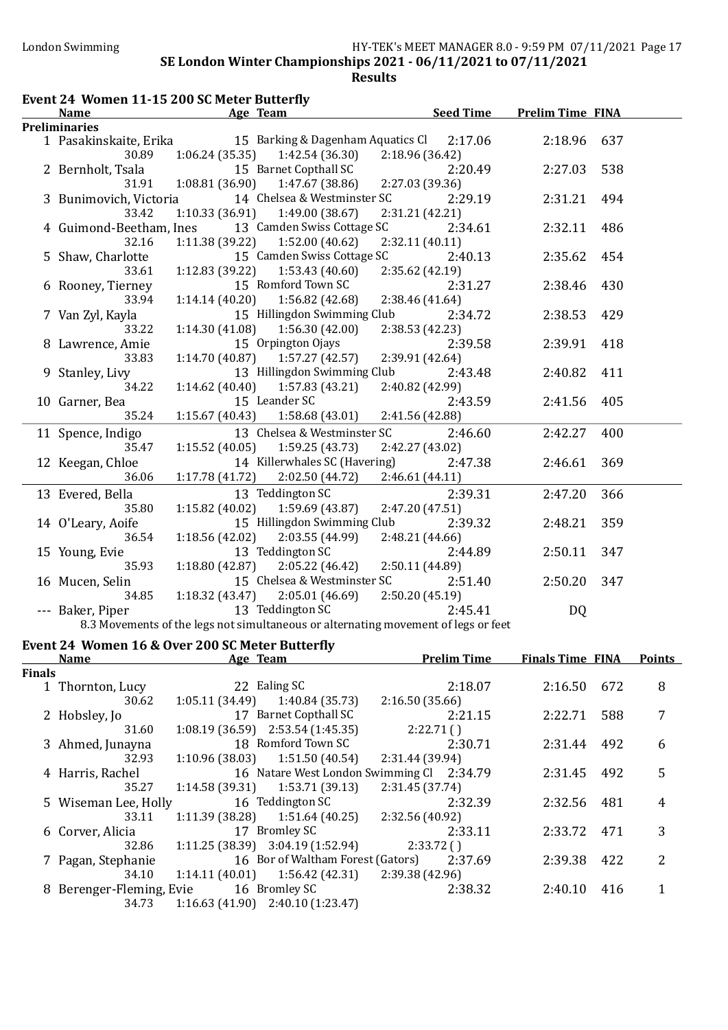| Event 24 Women 11-15 200 SC Meter Butterfly |                                                                                                     |                                   |                |  |  |  |  |
|---------------------------------------------|-----------------------------------------------------------------------------------------------------|-----------------------------------|----------------|--|--|--|--|
| <b>Name</b>                                 | <b>Age Team</b>                                                                                     | <b>Seed Time Prelim Time FINA</b> |                |  |  |  |  |
| <b>Preliminaries</b>                        |                                                                                                     |                                   |                |  |  |  |  |
|                                             | 1 Pasakinskaite, Erika 15 Barking & Dagenham Aquatics Cl 2:17.06                                    |                                   | 2:18.96 637    |  |  |  |  |
| 30.89                                       | $1:06.24(35.35)$ $1:42.54(36.30)$                                                                   | 2:18.96 (36.42)                   |                |  |  |  |  |
| 2 Bernholt, Tsala                           | 15 Barnet Copthall SC                                                                               | 2:20.49                           | 2:27.03<br>538 |  |  |  |  |
| 31.91                                       | $1:08.81(36.90)$ $1:47.67(38.86)$                                                                   | 2:27.03 (39.36)                   |                |  |  |  |  |
| 3 Bunimovich, Victoria                      | 14 Chelsea & Westminster SC                                                                         | 2:29.19                           | 2:31.21<br>494 |  |  |  |  |
| 33.42                                       | $1:10.33(36.91)$ $1:49.00(38.67)$                                                                   | 2:31.21 (42.21)                   |                |  |  |  |  |
| 4 Guimond-Beetham, Ines                     | 13 Camden Swiss Cottage SC                                                                          | 2:34.61                           | 2:32.11<br>486 |  |  |  |  |
| 32.16                                       | $1:11.38(39.22)$ $1:52.00(40.62)$                                                                   | 2:32.11 (40.11)                   |                |  |  |  |  |
| 5 Shaw, Charlotte                           | 15 Camden Swiss Cottage SC                                                                          | 2:40.13                           | 2:35.62<br>454 |  |  |  |  |
| 33.61                                       | $1:12.83(39.22)$ $1:53.43(40.60)$                                                                   | 2:35.62 (42.19)                   |                |  |  |  |  |
| 6 Rooney, Tierney                           | 15 Romford Town SC                                                                                  | 2:31.27                           | 2:38.46<br>430 |  |  |  |  |
| 33.94                                       | $1:14.14(40.20)$ $1:56.82(42.68)$                                                                   | 2:38.46 (41.64)                   |                |  |  |  |  |
| 7 Van Zyl, Kayla                            | 15 Hillingdon Swimming Club                                                                         | 2:34.72                           | 2:38.53<br>429 |  |  |  |  |
| 33.22                                       | $1:14.30(41.08)$ $1:56.30(42.00)$                                                                   | 2:38.53 (42.23)                   |                |  |  |  |  |
| 8 Lawrence, Amie                            | 15 Orpington Ojays                                                                                  | 2:39.58                           | 2:39.91<br>418 |  |  |  |  |
| 33.83                                       | $1:14.70(40.87)$ $1:57.27(42.57)$                                                                   | 2:39.91 (42.64)                   |                |  |  |  |  |
| 9 Stanley, Livy                             | 13 Hillingdon Swimming Club                                                                         | 2:43.48                           | 2:40.82<br>411 |  |  |  |  |
| 34.22                                       | $1:14.62$ (40.40) $1:57.83$ (43.21)                                                                 | 2:40.82 (42.99)                   |                |  |  |  |  |
| 10 Garner, Bea                              | 15 Leander SC                                                                                       | 2:43.59                           | 2:41.56<br>405 |  |  |  |  |
| 35.24                                       | $1:15.67(40.43)$ $1:58.68(43.01)$                                                                   | 2:41.56 (42.88)                   |                |  |  |  |  |
| 11 Spence, Indigo                           | 13 Chelsea & Westminster SC                                                                         | 2:46.60                           | 400<br>2:42.27 |  |  |  |  |
| 35.47                                       | $1:15.52(40.05)$ $1:59.25(43.73)$                                                                   | 2:42.27 (43.02)                   |                |  |  |  |  |
| 12 Keegan, Chloe                            | 14 Killerwhales SC (Havering)                                                                       | 2:47.38                           | 2:46.61<br>369 |  |  |  |  |
| 36.06                                       | $1:17.78(41.72)$ $2:02.50(44.72)$                                                                   | 2:46.61(44.11)                    |                |  |  |  |  |
| 13 Evered, Bella                            | 13 Teddington SC                                                                                    | 2:39.31                           | 2:47.20<br>366 |  |  |  |  |
| 35.80                                       | $1:15.82$ (40.02) $1:59.69$ (43.87)                                                                 | 2:47.20 (47.51)                   |                |  |  |  |  |
| 14 O'Leary, Aoife                           | 15 Hillingdon Swimming Club                                                                         | 2:39.32                           | 2:48.21<br>359 |  |  |  |  |
| 36.54                                       | $1:18.56(42.02)$ $2:03.55(44.99)$                                                                   | 2:48.21 (44.66)                   |                |  |  |  |  |
| 15 Young, Evie                              | 13 Teddington SC                                                                                    | 2:44.89                           | 2:50.11<br>347 |  |  |  |  |
| 35.93                                       | $1:18.80(42.87)$ $2:05.22(46.42)$                                                                   | 2:50.11 (44.89)                   |                |  |  |  |  |
| 16 Mucen, Selin                             | 15 Chelsea & Westminster SC                                                                         | 2:51.40                           | 347<br>2:50.20 |  |  |  |  |
| 34.85                                       | $1:18.32(43.47)$ $2:05.01(46.69)$                                                                   | 2:50.20(45.19)                    |                |  |  |  |  |
| --- Baker, Piper                            | 13 Teddington SC                                                                                    | 2:45.41                           | <b>DQ</b>      |  |  |  |  |
|                                             | 8.3 Movements of the legs not simultaneous or alternating movement of legs or feet                  |                                   |                |  |  |  |  |
|                                             | $F_{t}$ and 24 $M_{t}$ and $A \subseteq 0$ $Q_{t}$ and 200 $CC$ $M_{t}$ best $D_{t}$ , then $D_{t}$ |                                   |                |  |  |  |  |

### Event 24 Women 16 & Over 200 SC Meter Butterfly

|               | Event 24 Women 16 & Over 200 SC Meter Butterfly |          |                                               |                 |                    |                         |     |               |
|---------------|-------------------------------------------------|----------|-----------------------------------------------|-----------------|--------------------|-------------------------|-----|---------------|
|               | <b>Name</b>                                     | Age Team |                                               |                 | <b>Prelim Time</b> | <b>Finals Time FINA</b> |     | <b>Points</b> |
| <b>Finals</b> |                                                 |          |                                               |                 |                    |                         |     |               |
|               | 1 Thornton, Lucy                                |          | 22 Ealing SC                                  |                 | 2:18.07            | 2:16.50                 | 672 | 8             |
|               | 30.62                                           |          | $1:05.11(34.49)$ $1:40.84(35.73)$             | 2:16.50(35.66)  |                    |                         |     |               |
|               | 2 Hobsley, Jo                                   |          | 17 Barnet Copthall SC                         |                 | 2:21.15            | 2:22.71                 | 588 | 7             |
|               | 31.60                                           |          | $1:08.19(36.59)$ $2:53.54(1:45.35)$           |                 | 2:22.71()          |                         |     |               |
|               | 3 Ahmed, Junayna                                |          | 18 Romford Town SC                            |                 | 2:30.71            | 2:31.44                 | 492 | 6             |
|               | 32.93                                           |          | $1:10.96(38.03)$ $1:51.50(40.54)$             | 2:31.44 (39.94) |                    |                         |     |               |
|               | 4 Harris, Rachel                                |          | 16 Natare West London Swimming Cl 2:34.79     |                 |                    | 2:31.45                 | 492 | 5             |
|               | 35.27                                           |          | $1:14.58(39.31)$ $1:53.71(39.13)$             | 2:31.45 (37.74) |                    |                         |     |               |
|               | 5 Wiseman Lee, Holly                            |          | 16 Teddington SC                              |                 | 2:32.39            | 2:32.56                 | 481 | 4             |
|               | 33.11                                           |          | $1:11.39(38.28)$ $1:51.64(40.25)$             | 2:32.56 (40.92) |                    |                         |     |               |
|               | 6 Corver, Alicia                                |          | 17 Bromley SC                                 |                 | 2:33.11            | 2:33.72                 | 471 | 3             |
|               | 32.86                                           |          | $1:11.25(38.39)$ $3:04.19(1:52.94)$ 2:33.72() |                 |                    |                         |     |               |
|               | 7 Pagan, Stephanie                              |          | 16 Bor of Waltham Forest (Gators)             |                 | 2:37.69            | 2:39.38                 | 422 | 2             |
|               | 34.10                                           |          | $1:14.11(40.01)$ $1:56.42(42.31)$             | 2:39.38(42.96)  |                    |                         |     |               |
|               | 8 Berenger-Fleming, Evie                        |          | 16 Bromley SC                                 |                 | 2:38.32            | 2:40.10                 | 416 |               |
|               | 34.73                                           |          | $1:16.63(41.90)$ $2:40.10(1:23.47)$           |                 |                    |                         |     |               |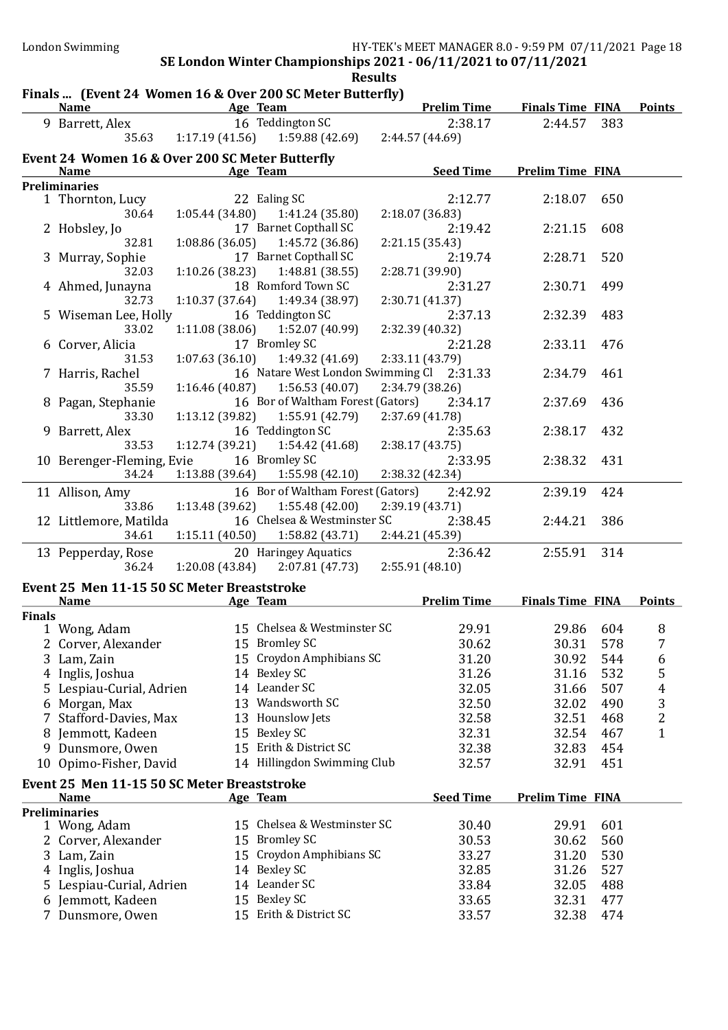#### Results Finals ... (Event 24 Women 16 & Over 200 SC Meter Butterfly) Name Age Team Prelim Time Finals Time FINA Points 9 Barrett, Alex 16 Teddington SC 2:38.17 2:44.57 383 35.63 1:17.19 (41.56) 1:59.88 (42.69) 2:44.57 (44.69) Event 24 Women 16 & Over 200 SC Meter Butterfly Name Age Team Age Team Seed Time Prelim Time FINA Preliminaries 1 Thornton, Lucy 22 Ealing SC 2:12.77 2:18.07 650<br>30.64 1:05.44 (34.80) 1:41.24 (35.80) 2:18.07 (36.83) 30.64 1:05.44 (34.80) 1:41.24 (35.80) 2:18.07 (36.83) 2 Hobsley, Jo 17 Barnet Copthall SC 2:19.42 2:21.15 608 32.81 1:08.86 (36.05) 1:45.72 (36.86) 2:21.15 (35.43) 3 Murray, Sophie 17 Barnet Copthall SC 2:19.74 2:28.71 520 32.03 1:10.26 (38.23) 1:48.81 (38.55) 2:28.71 (39.90) 4 Ahmed, Junayna 18 Romford Town SC 2:31.27 2:30.71 499<br>32.73 1:10.37 (37.64) 1:49.34 (38.97) 2:30.71 (41.37) 32.73 1:10.37 (37.64) 1:49.34 (38.97) 2:30.71 (41.37) 5 Wiseman Lee, Holly 16 Teddington SC 2:37.13 2:32.39 483 33.02 1:11.08 (38.06) 1:52.07 (40.99) 2:32.39 (40.32) 6 Corver, Alicia 17 Bromley SC 2:21.28 2:33.11 476 31.53 1:07.63 (36.10) 1:49.32 (41.69) 2:33.11 (43.79) 7 Harris, Rachel 16 Natare West London Swimming Cl 2:31.33 2:34.79 461 35.59 1:16.46 (40.87) 1:56.53 (40.07) 2:34.79 (38.26) 8 Pagan, Stephanie 16 Bor of Waltham Forest (Gators) 2:34.17 2:37.69 436 33.30 1:13.12 (39.82) 1:55.91 (42.79) 2:37.69 (41.78) 9 Barrett, Alex 16 Teddington SC 2:35.63 2:38.17 432 33.53 1:12.74 (39.21) 1:54.42 (41.68) 2:38.17 (43.75) 10 Berenger-Fleming, Evie 16 Bromley SC 2:33.95 2:38.32 431<br>34.24 1:13.88 (39.64) 1:55.98 (42.10) 2:38.32 (42.34)  $1:13.88$  (39.64)

| .                      | 1.10.00   0.00   1.00.70   12.10   2.00.02   12.01 |                                           |         |             |  |
|------------------------|----------------------------------------------------|-------------------------------------------|---------|-------------|--|
| 11 Allison, Amy        |                                                    | 16 Bor of Waltham Forest (Gators) 2:42.92 |         | 2:39.19 424 |  |
| 33.86                  | $1:13.48(39.62)$ $1:55.48(42.00)$ $2:39.19(43.71)$ |                                           |         |             |  |
| 12 Littlemore, Matilda |                                                    | 16 Chelsea & Westminster SC               | 2:38.45 | 2:44.21 386 |  |
| 34.61                  | $1:15.11(40.50)$ $1:58.82(43.71)$ $2:44.21(45.39)$ |                                           |         |             |  |
| 13 Pepperday, Rose     | 20 Haringey Aquatics                               |                                           | 2:36.42 | 2:55.91 314 |  |
| 36.24                  | $1:20.08(43.84)$ $2:07.81(47.73)$                  | 2:55.91 (48.10)                           |         |             |  |

#### Event 25 Men 11-15 50 SC Meter Breaststroke

|               | <b>Name</b>                                 |    | Age Team                    | <b>Prelim Time</b> | <b>Finals Time FINA</b> |     | <b>Points</b>  |
|---------------|---------------------------------------------|----|-----------------------------|--------------------|-------------------------|-----|----------------|
| <b>Finals</b> |                                             |    |                             |                    |                         |     |                |
|               | 1 Wong, Adam                                |    | 15 Chelsea & Westminster SC | 29.91              | 29.86                   | 604 | 8              |
|               | 2 Corver, Alexander                         | 15 | <b>Bromley SC</b>           | 30.62              | 30.31                   | 578 | 7              |
|               | 3 Lam, Zain                                 | 15 | Croydon Amphibians SC       | 31.20              | 30.92                   | 544 | 6              |
|               | 4 Inglis, Joshua                            | 14 | Bexley SC                   | 31.26              | 31.16                   | 532 | 5              |
|               | 5 Lespiau-Curial, Adrien                    |    | 14 Leander SC               | 32.05              | 31.66                   | 507 | $\overline{4}$ |
| 6             | Morgan, Max                                 | 13 | Wandsworth SC               | 32.50              | 32.02                   | 490 | 3              |
|               | 7 Stafford-Davies, Max                      | 13 | Hounslow Jets               | 32.58              | 32.51                   | 468 | 2              |
|               | 8 Jemmott, Kadeen                           | 15 | Bexley SC                   | 32.31              | 32.54                   | 467 | $\mathbf{1}$   |
| 9             | Dunsmore, Owen                              | 15 | Erith & District SC         | 32.38              | 32.83                   | 454 |                |
|               | 10 Opimo-Fisher, David                      | 14 | Hillingdon Swimming Club    | 32.57              | 32.91                   | 451 |                |
|               | Event 25 Men 11-15 50 SC Meter Breaststroke |    |                             |                    |                         |     |                |
|               | <b>Name</b>                                 |    | Age Team                    | <b>Seed Time</b>   | <b>Prelim Time FINA</b> |     |                |
|               | <b>Preliminaries</b>                        |    |                             |                    |                         |     |                |
|               | 1 Wong, Adam                                |    | 15 Chelsea & Westminster SC | 30.40              | 29.91                   | 601 |                |
|               | 2 Corver, Alexander                         | 15 | <b>Bromley SC</b>           | 30.53              | 30.62                   | 560 |                |
|               | 3 Lam, Zain                                 | 15 | Croydon Amphibians SC       | 33.27              | 31.20                   | 530 |                |
|               | 4 Inglis, Joshua                            | 14 | Bexley SC                   | 32.85              | 31.26                   | 527 |                |
|               | 5 Lespiau-Curial, Adrien                    |    | 14 Leander SC               | 33.84              | 32.05                   | 488 |                |
|               | 6 Jemmott, Kadeen                           | 15 | Bexley SC                   | 33.65              | 32.31                   | 477 |                |
|               | 7 Dunsmore, Owen                            | 15 | Erith & District SC         | 33.57              | 32.38                   | 474 |                |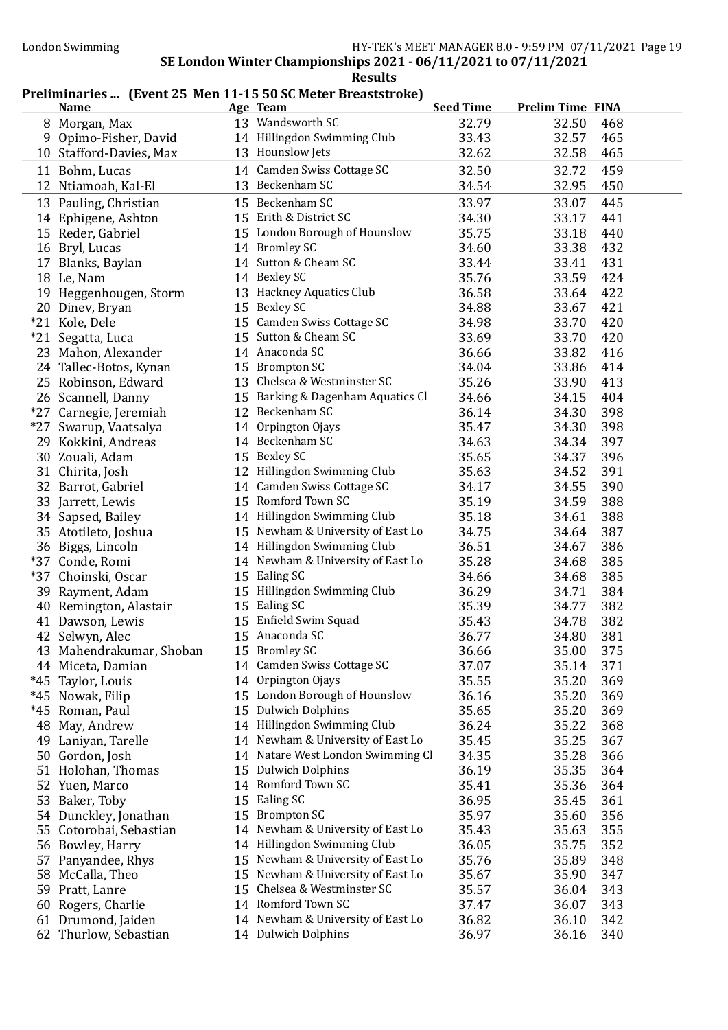### Preliminaries ... (Event 25 Men 11-15 50 SC Meter Breaststroke)

|       | <b>Name</b>                         |    | Age Team                                                         | <b>Seed Time</b> | <b>Prelim Time FINA</b> |
|-------|-------------------------------------|----|------------------------------------------------------------------|------------------|-------------------------|
|       | 8 Morgan, Max                       |    | 13 Wandsworth SC                                                 | 32.79            | 32.50<br>468            |
| 9     | Opimo-Fisher, David                 |    | 14 Hillingdon Swimming Club                                      | 33.43            | 32.57<br>465            |
|       | 10 Stafford-Davies, Max             |    | 13 Hounslow Jets                                                 | 32.62            | 32.58<br>465            |
|       | 11 Bohm, Lucas                      |    | 14 Camden Swiss Cottage SC                                       | 32.50            | 32.72<br>459            |
|       | 12 Ntiamoah, Kal-El                 |    | 13 Beckenham SC                                                  | 34.54            | 32.95<br>450            |
|       | 13 Pauling, Christian               |    | 15 Beckenham SC                                                  | 33.97            | 33.07<br>445            |
|       | 14 Ephigene, Ashton                 |    | 15 Erith & District SC                                           | 34.30            | 441<br>33.17            |
|       | 15 Reder, Gabriel                   |    | 15 London Borough of Hounslow                                    | 35.75            | 440<br>33.18            |
|       |                                     |    | 14 Bromley SC                                                    | 34.60            | 432<br>33.38            |
|       | 16 Bryl, Lucas<br>17 Blanks, Baylan |    | 14 Sutton & Cheam SC                                             | 33.44            | 33.41<br>431            |
|       | 18 Le, Nam                          |    | 14 Bexley SC                                                     | 35.76            | 33.59<br>424            |
|       | 19 Heggenhougen, Storm              |    | 13 Hackney Aquatics Club                                         | 36.58            | 422<br>33.64            |
|       | 20 Dinev, Bryan                     |    | 15 Bexley SC                                                     | 34.88            | 33.67<br>421            |
|       | *21 Kole, Dele                      |    | 15 Camden Swiss Cottage SC                                       | 34.98            | 420<br>33.70            |
|       | *21 Segatta, Luca                   |    | 15 Sutton & Cheam SC                                             | 33.69            | 420<br>33.70            |
|       |                                     |    | 14 Anaconda SC                                                   | 36.66            | 416<br>33.82            |
|       | 23 Mahon, Alexander                 |    | 15 Brompton SC                                                   |                  |                         |
|       | 24 Tallec-Botos, Kynan              |    | 13 Chelsea & Westminster SC                                      | 34.04            | 33.86<br>414<br>413     |
|       | 25 Robinson, Edward                 |    | 15 Barking & Dagenham Aquatics Cl                                | 35.26<br>34.66   | 33.90                   |
|       | 26 Scannell, Danny                  |    | 12 Beckenham SC                                                  |                  | 404<br>34.15            |
|       | *27 Carnegie, Jeremiah              |    | 14 Orpington Ojays                                               | 36.14            | 398<br>34.30<br>398     |
|       | *27 Swarup, Vaatsalya               |    | 14 Beckenham SC                                                  | 35.47            | 34.30<br>34.34<br>397   |
|       | 29 Kokkini, Andreas                 |    | 15 Bexley SC                                                     | 34.63            | 396                     |
|       | 30 Zouali, Adam                     |    | 12 Hillingdon Swimming Club                                      | 35.65            | 34.37<br>34.52<br>391   |
|       | 31 Chirita, Josh                    |    | 14 Camden Swiss Cottage SC                                       | 35.63            |                         |
|       | 32 Barrot, Gabriel                  |    | 15 Romford Town SC                                               | 34.17            | 34.55<br>390            |
|       | 33 Jarrett, Lewis                   |    |                                                                  | 35.19            | 388<br>34.59            |
|       | 34 Sapsed, Bailey                   |    | 14 Hillingdon Swimming Club                                      | 35.18            | 388<br>34.61            |
|       | 35 Atotileto, Joshua                |    | 15 Newham & University of East Lo                                | 34.75            | 387<br>34.64            |
|       | 36 Biggs, Lincoln                   |    | 14 Hillingdon Swimming Club                                      | 36.51            | 386<br>34.67            |
|       | *37 Conde, Romi                     |    | 14 Newham & University of East Lo                                | 35.28            | 385<br>34.68            |
|       | *37 Choinski, Oscar                 |    | 15 Ealing SC                                                     | 34.66            | 385<br>34.68            |
|       | 39 Rayment, Adam                    |    | 15 Hillingdon Swimming Club                                      | 36.29            | 384<br>34.71            |
|       | 40 Remington, Alastair              |    | 15 Ealing SC<br>15 Enfield Swim Squad                            | 35.39            | 382<br>34.77            |
|       | 41 Dawson, Lewis                    |    |                                                                  | 35.43            | 382<br>34.78            |
|       | 42 Selwyn, Alec                     |    | 15 Anaconda SC<br>15 Bromley SC                                  | 36.77            | 381<br>34.80            |
|       | 43 Mahendrakumar, Shoban            |    |                                                                  | 36.66            | 35.00<br>375            |
|       | 44 Miceta, Damian                   |    | 14 Camden Swiss Cottage SC                                       | 37.07            | 35.14<br>371            |
|       | *45 Taylor, Louis                   |    | 14 Orpington Ojays                                               | 35.55            | 35.20<br>369            |
|       | *45 Nowak, Filip                    |    | 15 London Borough of Hounslow<br><b>Dulwich Dolphins</b>         | 36.16            | 35.20<br>369            |
| $*45$ | Roman, Paul                         | 15 |                                                                  | 35.65            | 35.20<br>369            |
| 48    | May, Andrew                         |    | 14 Hillingdon Swimming Club<br>14 Newham & University of East Lo | 36.24            | 35.22<br>368            |
|       | 49 Laniyan, Tarelle                 |    |                                                                  | 35.45            | 35.25<br>367            |
| 50    | Gordon, Josh                        |    | 14 Natare West London Swimming Cl                                | 34.35            | 35.28<br>366            |
|       | 51 Holohan, Thomas                  |    | 15 Dulwich Dolphins                                              | 36.19            | 35.35<br>364            |
|       | 52 Yuen, Marco                      |    | 14 Romford Town SC                                               | 35.41            | 35.36<br>364            |
|       | 53 Baker, Toby                      | 15 | Ealing SC                                                        | 36.95            | 35.45<br>361            |
|       | 54 Dunckley, Jonathan               |    | 15 Brompton SC                                                   | 35.97            | 35.60<br>356            |
|       | 55 Cotorobai, Sebastian             |    | 14 Newham & University of East Lo                                | 35.43            | 35.63<br>355            |
|       | 56 Bowley, Harry                    |    | 14 Hillingdon Swimming Club                                      | 36.05            | 352<br>35.75            |
|       | 57 Panyandee, Rhys                  | 15 | Newham & University of East Lo                                   | 35.76            | 35.89<br>348            |
|       | 58 McCalla, Theo                    | 15 | Newham & University of East Lo                                   | 35.67            | 35.90<br>347            |
|       | 59 Pratt, Lanre                     | 15 | Chelsea & Westminster SC                                         | 35.57            | 343<br>36.04            |
| 60    | Rogers, Charlie                     |    | 14 Romford Town SC                                               | 37.47            | 36.07<br>343            |
|       | 61 Drumond, Jaiden                  |    | 14 Newham & University of East Lo                                | 36.82            | 36.10<br>342            |
|       | 62 Thurlow, Sebastian               |    | 14 Dulwich Dolphins                                              | 36.97            | 36.16<br>340            |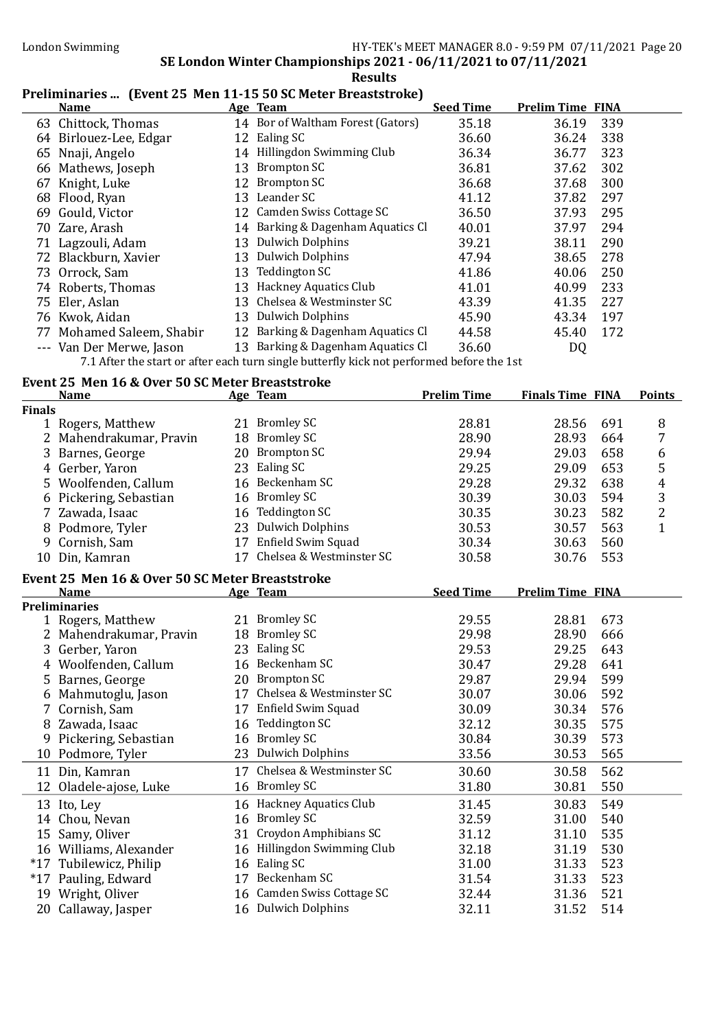### Preliminaries ... (Event 25 Men 11-15 50 SC Meter Breaststroke)

| <b>Name</b>               |    | Age Team                          | <b>Seed Time</b> | <b>Prelim Time FINA</b> |     |
|---------------------------|----|-----------------------------------|------------------|-------------------------|-----|
| 63 Chittock, Thomas       |    | 14 Bor of Waltham Forest (Gators) | 35.18            | 36.19                   | 339 |
| 64 Birlouez-Lee, Edgar    |    | 12 Ealing SC                      | 36.60            | 36.24                   | 338 |
| 65 Nnaji, Angelo          |    | 14 Hillingdon Swimming Club       | 36.34            | 36.77                   | 323 |
| 66 Mathews, Joseph        |    | 13 Brompton SC                    | 36.81            | 37.62                   | 302 |
| 67 Knight, Luke           |    | 12 Brompton SC                    | 36.68            | 37.68                   | 300 |
| 68 Flood, Ryan            |    | 13 Leander SC                     | 41.12            | 37.82                   | 297 |
| 69 Gould, Victor          |    | 12 Camden Swiss Cottage SC        | 36.50            | 37.93                   | 295 |
| 70 Zare, Arash            |    | 14 Barking & Dagenham Aquatics Cl | 40.01            | 37.97                   | 294 |
| 71 Lagzouli, Adam         |    | 13 Dulwich Dolphins               | 39.21            | 38.11                   | 290 |
| 72 Blackburn, Xavier      |    | 13 Dulwich Dolphins               | 47.94            | 38.65                   | 278 |
| 73 Orrock, Sam            |    | 13 Teddington SC                  | 41.86            | 40.06                   | 250 |
| 74 Roberts, Thomas        |    | 13 Hackney Aquatics Club          | 41.01            | 40.99                   | 233 |
| 75 Eler, Aslan            | 13 | Chelsea & Westminster SC          | 43.39            | 41.35                   | 227 |
| 76 Kwok, Aidan            |    | 13 Dulwich Dolphins               | 45.90            | 43.34                   | 197 |
| 77 Mohamed Saleem, Shabir |    | 12 Barking & Dagenham Aquatics Cl | 44.58            | 45.40                   | 172 |
| --- Van Der Merwe, Jason  |    | 13 Barking & Dagenham Aquatics Cl | 36.60            | DQ                      |     |
|                           |    | $\blacksquare$                    |                  |                         |     |

7.1 After the start or after each turn single butterfly kick not performed before the 1st

# Event 25 Men 16 & Over 50 SC Meter Breaststroke

|               | <b>Name</b>                                     |    | Age Team                    | <b>Prelim Time</b> | <b>Finals Time FINA</b> | <b>Points</b>  |
|---------------|-------------------------------------------------|----|-----------------------------|--------------------|-------------------------|----------------|
| <b>Finals</b> |                                                 |    |                             |                    |                         |                |
|               | 1 Rogers, Matthew                               |    | 21 Bromley SC               | 28.81              | 28.56<br>691            | 8              |
|               | 2 Mahendrakumar, Pravin                         | 18 | <b>Bromley SC</b>           | 28.90              | 28.93<br>664            | 7              |
| 3             | Barnes, George                                  |    | 20 Brompton SC              | 29.94              | 29.03<br>658            | 6              |
| 4             | Gerber, Yaron                                   |    | 23 Ealing SC                | 29.25              | 29.09<br>653            | 5              |
| 5.            | Woolfenden, Callum                              |    | 16 Beckenham SC             | 29.28              | 29.32<br>638            | $\overline{4}$ |
| 6             | Pickering, Sebastian                            | 16 | <b>Bromley SC</b>           | 30.39              | 594<br>30.03            | 3              |
|               | Zawada, Isaac                                   | 16 | <b>Teddington SC</b>        | 30.35              | 30.23<br>582            | $\overline{2}$ |
| 8             | Podmore, Tyler                                  |    | 23 Dulwich Dolphins         | 30.53              | 30.57<br>563            | $\mathbf{1}$   |
| 9             | Cornish, Sam                                    |    | 17 Enfield Swim Squad       | 30.34              | 560<br>30.63            |                |
| 10            | Din, Kamran                                     |    | 17 Chelsea & Westminster SC | 30.58              | 553<br>30.76            |                |
|               | Event 25 Men 16 & Over 50 SC Meter Breaststroke |    |                             |                    |                         |                |
|               | <b>Name</b>                                     |    | Age Team                    | <b>Seed Time</b>   | <b>Prelim Time FINA</b> |                |
|               | <b>Preliminaries</b>                            |    |                             |                    |                         |                |
|               | 1 Rogers, Matthew                               |    | 21 Bromley SC               | 29.55              | 28.81<br>673            |                |
|               | 2 Mahendrakumar, Pravin                         | 18 | <b>Bromley SC</b>           | 29.98              | 28.90<br>666            |                |
| 3             | Gerber, Yaron                                   |    | 23 Ealing SC                | 29.53              | 29.25<br>643            |                |
| 4             | Woolfenden, Callum                              |    | 16 Beckenham SC             | 30.47              | 29.28<br>641            |                |
| 5             | Barnes, George                                  |    | 20 Brompton SC              | 29.87              | 599<br>29.94            |                |
| 6             | Mahmutoglu, Jason                               | 17 | Chelsea & Westminster SC    | 30.07              | 592<br>30.06            |                |
|               | Cornish, Sam                                    | 17 | Enfield Swim Squad          | 30.09              | 576<br>30.34            |                |
| 8             | Zawada, Isaac                                   | 16 | <b>Teddington SC</b>        | 32.12              | 575<br>30.35            |                |
| 9             | Pickering, Sebastian                            | 16 | <b>Bromley SC</b>           | 30.84              | 573<br>30.39            |                |
|               | 10 Podmore, Tyler                               |    | 23 Dulwich Dolphins         | 33.56              | 565<br>30.53            |                |
|               | 11 Din, Kamran                                  | 17 | Chelsea & Westminster SC    | 30.60              | 562<br>30.58            |                |
|               | 12 Oladele-ajose, Luke                          |    | 16 Bromley SC               | 31.80              | 550<br>30.81            |                |
|               | 13 Ito, Ley                                     |    | 16 Hackney Aquatics Club    | 31.45              | 549<br>30.83            |                |
|               | 14 Chou, Nevan                                  | 16 | <b>Bromley SC</b>           | 32.59              | 540<br>31.00            |                |
| 15            | Samy, Oliver                                    | 31 | Croydon Amphibians SC       | 31.12              | 535<br>31.10            |                |
|               | 16 Williams, Alexander                          | 16 | Hillingdon Swimming Club    | 32.18              | 530<br>31.19            |                |
|               | *17 Tubilewicz, Philip                          | 16 | Ealing SC                   | 31.00              | 523<br>31.33            |                |
|               | *17 Pauling, Edward                             | 17 | Beckenham SC                | 31.54              | 523<br>31.33            |                |
|               | 19 Wright, Oliver                               |    | 16 Camden Swiss Cottage SC  | 32.44              | 521<br>31.36            |                |
|               | 20 Callaway, Jasper                             |    | 16 Dulwich Dolphins         | 32.11              | 514<br>31.52            |                |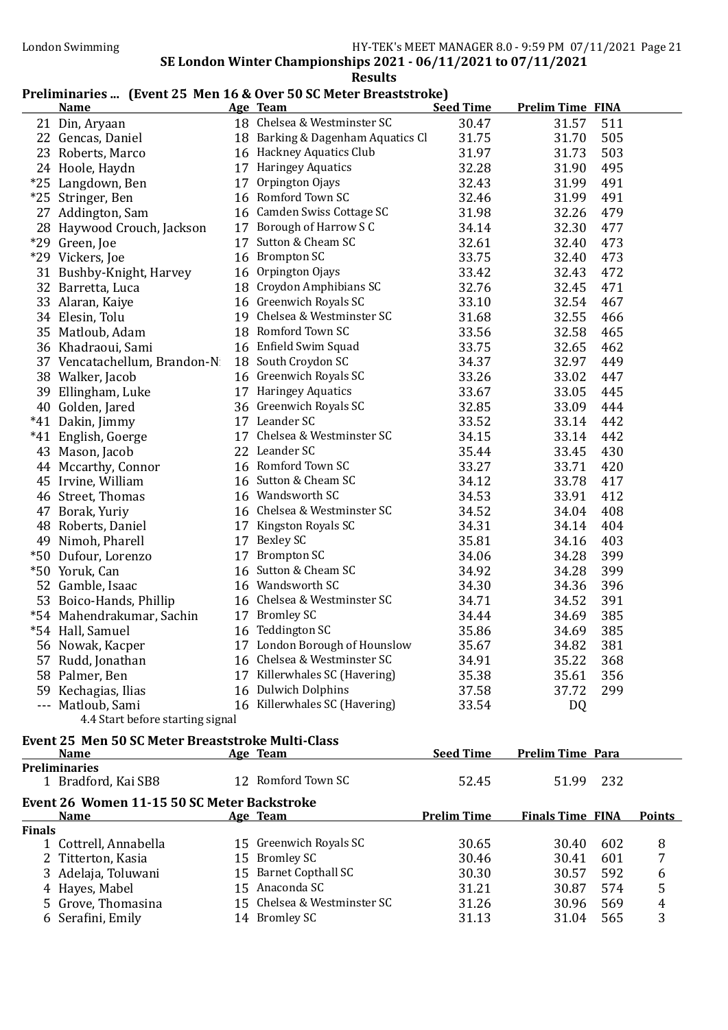### Preliminaries ... (Event 25 Men 16 & Over 50 SC Meter Breaststroke)

| <b>Name</b>                      |    | Age Team                          | <b>Seed Time</b> | <b>Prelim Time FINA</b> |     |
|----------------------------------|----|-----------------------------------|------------------|-------------------------|-----|
| 21 Din, Aryaan                   |    | 18 Chelsea & Westminster SC       | 30.47            | 31.57                   | 511 |
| 22 Gencas, Daniel                |    | 18 Barking & Dagenham Aquatics Cl | 31.75            | 31.70                   | 505 |
| 23 Roberts, Marco                |    | 16 Hackney Aquatics Club          | 31.97            | 31.73                   | 503 |
| 24 Hoole, Haydn                  |    | 17 Haringey Aquatics              | 32.28            | 31.90                   | 495 |
| *25 Langdown, Ben                |    | 17 Orpington Ojays                | 32.43            | 31.99                   | 491 |
| *25 Stringer, Ben                |    | 16 Romford Town SC                | 32.46            | 31.99                   | 491 |
| 27 Addington, Sam                |    | 16 Camden Swiss Cottage SC        | 31.98            | 32.26                   | 479 |
| 28 Haywood Crouch, Jackson       |    | 17 Borough of Harrow S C          | 34.14            | 32.30                   | 477 |
| *29 Green, Joe                   | 17 | Sutton & Cheam SC                 | 32.61            | 32.40                   | 473 |
| *29 Vickers, Joe                 |    | 16 Brompton SC                    | 33.75            | 32.40                   | 473 |
| 31 Bushby-Knight, Harvey         |    | 16 Orpington Ojays                | 33.42            | 32.43                   | 472 |
| 32 Barretta, Luca                |    | 18 Croydon Amphibians SC          | 32.76            | 32.45                   | 471 |
| 33 Alaran, Kaiye                 |    | 16 Greenwich Royals SC            | 33.10            | 32.54                   | 467 |
| 34 Elesin, Tolu                  |    | 19 Chelsea & Westminster SC       | 31.68            | 32.55                   | 466 |
| 35 Matloub, Adam                 |    | 18 Romford Town SC                | 33.56            | 32.58                   | 465 |
| 36 Khadraoui, Sami               |    | 16 Enfield Swim Squad             | 33.75            | 32.65                   | 462 |
| 37 Vencatachellum, Brandon-N     |    | 18 South Croydon SC               | 34.37            | 32.97                   | 449 |
| 38 Walker, Jacob                 |    | 16 Greenwich Royals SC            | 33.26            | 33.02                   | 447 |
| 39 Ellingham, Luke               |    | 17 Haringey Aquatics              | 33.67            | 33.05                   | 445 |
| 40 Golden, Jared                 |    | 36 Greenwich Royals SC            | 32.85            | 33.09                   | 444 |
| *41 Dakin, Jimmy                 |    | 17 Leander SC                     | 33.52            | 33.14                   | 442 |
| *41 English, Goerge              |    | 17 Chelsea & Westminster SC       | 34.15            | 33.14                   | 442 |
| 43 Mason, Jacob                  |    | 22 Leander SC                     | 35.44            | 33.45                   | 430 |
| 44 Mccarthy, Connor              |    | 16 Romford Town SC                | 33.27            | 33.71                   | 420 |
| 45 Irvine, William               |    | 16 Sutton & Cheam SC              | 34.12            | 33.78                   | 417 |
| 46 Street, Thomas                |    | 16 Wandsworth SC                  | 34.53            | 33.91                   | 412 |
| 47 Borak, Yuriy                  |    | 16 Chelsea & Westminster SC       | 34.52            | 34.04                   | 408 |
| 48 Roberts, Daniel               |    | 17 Kingston Royals SC             | 34.31            | 34.14                   | 404 |
| 49 Nimoh, Pharell                |    | 17 Bexley SC                      | 35.81            | 34.16                   | 403 |
| *50 Dufour, Lorenzo              |    | 17 Brompton SC                    | 34.06            | 34.28                   | 399 |
| *50 Yoruk, Can                   |    | 16 Sutton & Cheam SC              | 34.92            | 34.28                   | 399 |
| 52 Gamble, Isaac                 |    | 16 Wandsworth SC                  | 34.30            | 34.36                   | 396 |
| 53 Boico-Hands, Phillip          |    | 16 Chelsea & Westminster SC       | 34.71            | 34.52                   | 391 |
| *54 Mahendrakumar, Sachin        |    | 17 Bromley SC                     | 34.44            | 34.69                   | 385 |
| *54 Hall, Samuel                 |    | 16 Teddington SC                  | 35.86            | 34.69                   | 385 |
| 56 Nowak, Kacper                 |    | 17 London Borough of Hounslow     | 35.67            | 34.82                   | 381 |
| 57 Rudd, Jonathan                |    | 16 Chelsea & Westminster SC       | 34.91            | 35.22                   | 368 |
| 58 Palmer, Ben                   |    | 17 Killerwhales SC (Havering)     | 35.38            | 35.61                   | 356 |
| 59 Kechagias, Ilias              |    | 16 Dulwich Dolphins               | 37.58            | 37.72                   | 299 |
| --- Matloub, Sami                |    | 16 Killerwhales SC (Havering)     | 33.54            | DQ                      |     |
| 4.4 Start before starting signal |    |                                   |                  |                         |     |

### Event 25 Men 50 SC Meter Breaststroke Multi-Class

|                                             | <b>Name</b>                                 |     | Age Team                    | <b>Seed Time</b>   | <b>Prelim Time Para</b> |               |
|---------------------------------------------|---------------------------------------------|-----|-----------------------------|--------------------|-------------------------|---------------|
|                                             | <b>Preliminaries</b><br>1 Bradford, Kai SB8 |     | 12 Romford Town SC          | 52.45              | 232<br>51.99            |               |
| Event 26 Women 11-15 50 SC Meter Backstroke |                                             |     |                             |                    |                         |               |
|                                             | <b>Name</b>                                 |     | Age Team                    | <b>Prelim Time</b> | <b>Finals Time FINA</b> | <b>Points</b> |
| <b>Finals</b>                               |                                             |     |                             |                    |                         |               |
|                                             | 1 Cottrell, Annabella                       |     | 15 Greenwich Royals SC      | 30.65              | 602<br>30.40            | 8             |
|                                             | 2 Titterton, Kasia                          | 15. | <b>Bromley SC</b>           | 30.46              | 30.41<br>601            |               |
|                                             | 3 Adelaja, Toluwani                         |     | 15 Barnet Copthall SC       | 30.30              | 30.57<br>592            | 6             |
|                                             | 4 Hayes, Mabel                              |     | 15 Anaconda SC              | 31.21              | 30.87<br>574            | 5             |
|                                             | 5 Grove, Thomasina                          |     | 15 Chelsea & Westminster SC | 31.26              | 30.96<br>569            | 4             |
|                                             | 6 Serafini, Emily                           |     | 14 Bromley SC               | 31.13              | 31.04<br>565            | 3             |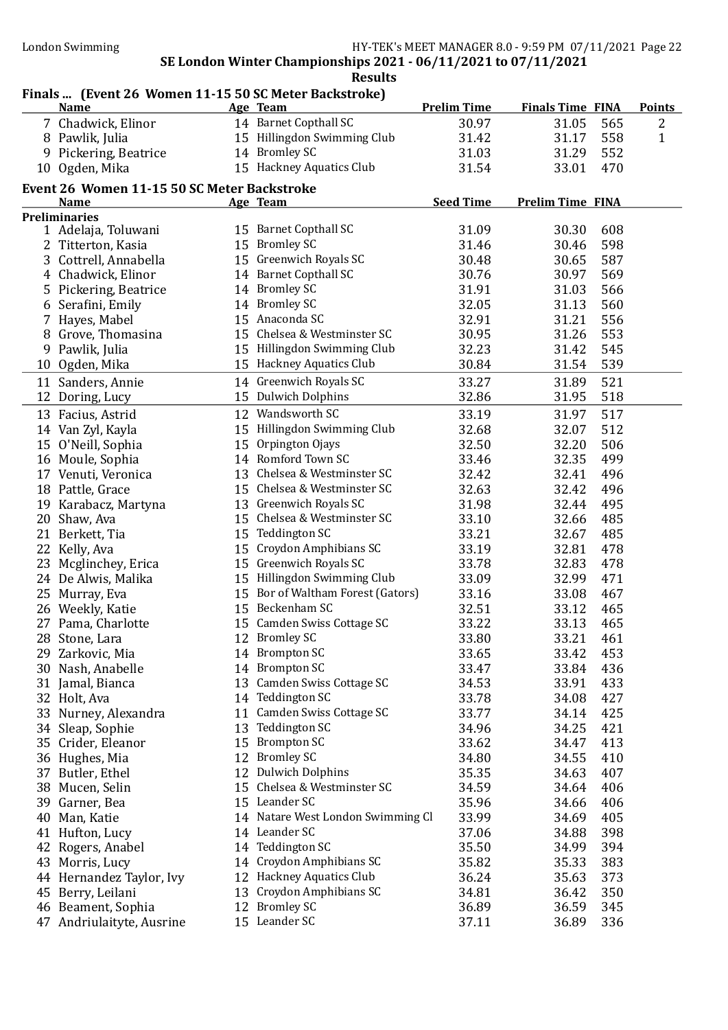# Finals ... (Event 26 Women 11-15 50 SC Meter Backstroke)

|    | <b>Name</b>                                 |    | $\frac{1}{2}$<br>Age Team         | <b>Prelim Time</b> | <b>Finals Time FINA</b> |     | <b>Points</b>  |
|----|---------------------------------------------|----|-----------------------------------|--------------------|-------------------------|-----|----------------|
|    | 7 Chadwick, Elinor                          |    | 14 Barnet Copthall SC             | 30.97              | 31.05                   | 565 | $\overline{2}$ |
|    | 8 Pawlik, Julia                             |    | 15 Hillingdon Swimming Club       | 31.42              | 31.17                   | 558 | 1              |
|    | 9 Pickering, Beatrice                       |    | 14 Bromley SC                     | 31.03              | 31.29                   | 552 |                |
|    | 10 Ogden, Mika                              |    | 15 Hackney Aquatics Club          | 31.54              | 33.01                   | 470 |                |
|    | Event 26 Women 11-15 50 SC Meter Backstroke |    |                                   |                    |                         |     |                |
|    | <b>Name</b>                                 |    | Age Team                          | <b>Seed Time</b>   | <b>Prelim Time FINA</b> |     |                |
|    | <b>Preliminaries</b>                        |    |                                   |                    |                         |     |                |
|    | 1 Adelaja, Toluwani                         |    | 15 Barnet Copthall SC             | 31.09              | 30.30                   | 608 |                |
|    | 2 Titterton, Kasia                          |    | 15 Bromley SC                     | 31.46              | 30.46                   | 598 |                |
|    | 3 Cottrell, Annabella                       |    | 15 Greenwich Royals SC            | 30.48              | 30.65                   | 587 |                |
|    | 4 Chadwick, Elinor                          |    | 14 Barnet Copthall SC             | 30.76              | 30.97                   | 569 |                |
|    | 5 Pickering, Beatrice                       |    | 14 Bromley SC                     | 31.91              | 31.03                   | 566 |                |
|    | 6 Serafini, Emily                           |    | 14 Bromley SC                     | 32.05              | 31.13                   | 560 |                |
|    | 7 Hayes, Mabel                              |    | 15 Anaconda SC                    | 32.91              | 31.21                   | 556 |                |
|    | 8 Grove, Thomasina                          |    | 15 Chelsea & Westminster SC       | 30.95              | 31.26                   | 553 |                |
|    | 9 Pawlik, Julia                             |    | 15 Hillingdon Swimming Club       | 32.23              | 31.42                   | 545 |                |
|    | 10 Ogden, Mika                              |    | 15 Hackney Aquatics Club          | 30.84              | 31.54                   | 539 |                |
|    | 11 Sanders, Annie                           |    | 14 Greenwich Royals SC            | 33.27              | 31.89                   | 521 |                |
|    | 12 Doring, Lucy                             |    | 15 Dulwich Dolphins               | 32.86              | 31.95                   | 518 |                |
|    | 13 Facius, Astrid                           |    | 12 Wandsworth SC                  | 33.19              | 31.97                   | 517 |                |
|    | 14 Van Zyl, Kayla                           |    | 15 Hillingdon Swimming Club       | 32.68              | 32.07                   | 512 |                |
|    | 15 O'Neill, Sophia                          |    | 15 Orpington Ojays                | 32.50              | 32.20                   | 506 |                |
|    | 16 Moule, Sophia                            |    | 14 Romford Town SC                | 33.46              | 32.35                   | 499 |                |
|    | 17 Venuti, Veronica                         |    | 13 Chelsea & Westminster SC       | 32.42              | 32.41                   | 496 |                |
|    | 18 Pattle, Grace                            |    | 15 Chelsea & Westminster SC       | 32.63              | 32.42                   | 496 |                |
|    | 19 Karabacz, Martyna                        |    | 13 Greenwich Royals SC            | 31.98              | 32.44                   | 495 |                |
|    | 20 Shaw, Ava                                |    | 15 Chelsea & Westminster SC       | 33.10              | 32.66                   | 485 |                |
|    | 21 Berkett, Tia                             |    | 15 Teddington SC                  | 33.21              | 32.67                   | 485 |                |
|    | 22 Kelly, Ava                               |    | 15 Croydon Amphibians SC          | 33.19              | 32.81                   | 478 |                |
|    | 23 Mcglinchey, Erica                        |    | 15 Greenwich Royals SC            | 33.78              | 32.83                   | 478 |                |
|    | 24 De Alwis, Malika                         |    | 15 Hillingdon Swimming Club       | 33.09              | 32.99                   | 471 |                |
|    | 25 Murray, Eva                              |    | 15 Bor of Waltham Forest (Gators) | 33.16              | 33.08                   | 467 |                |
|    | 26 Weekly, Katie                            |    | 15 Beckenham SC                   | 32.51              | 33.12                   | 465 |                |
|    | 27 Pama, Charlotte                          |    | 15 Camden Swiss Cottage SC        | 33.22              | 33.13                   | 465 |                |
|    | 28 Stone, Lara                              |    | 12 Bromley SC                     | 33.80              | 33.21                   | 461 |                |
|    | 29 Zarkovic, Mia                            |    | 14 Brompton SC                    | 33.65              | 33.42                   | 453 |                |
|    | 30 Nash, Anabelle                           |    | 14 Brompton SC                    | 33.47              | 33.84                   | 436 |                |
|    | 31 Jamal, Bianca                            |    | 13 Camden Swiss Cottage SC        | 34.53              | 33.91                   | 433 |                |
|    | 32 Holt, Ava                                |    | 14 Teddington SC                  | 33.78              | 34.08                   | 427 |                |
|    | 33 Nurney, Alexandra                        | 11 | Camden Swiss Cottage SC           | 33.77              | 34.14                   | 425 |                |
|    | 34 Sleap, Sophie                            | 13 | <b>Teddington SC</b>              | 34.96              | 34.25                   | 421 |                |
|    | 35 Crider, Eleanor                          | 15 | <b>Brompton SC</b>                | 33.62              | 34.47                   | 413 |                |
|    | 36 Hughes, Mia                              | 12 | <b>Bromley SC</b>                 | 34.80              | 34.55                   | 410 |                |
| 37 | Butler, Ethel                               | 12 | <b>Dulwich Dolphins</b>           | 35.35              | 34.63                   | 407 |                |
|    | 38 Mucen, Selin                             | 15 | Chelsea & Westminster SC          | 34.59              | 34.64                   | 406 |                |
| 39 | Garner, Bea                                 |    | 15 Leander SC                     | 35.96              | 34.66                   | 406 |                |
| 40 | Man, Katie                                  |    | 14 Natare West London Swimming Cl | 33.99              | 34.69                   | 405 |                |
|    | 41 Hufton, Lucy                             |    | 14 Leander SC                     | 37.06              | 34.88                   | 398 |                |
| 42 | Rogers, Anabel                              |    | 14 Teddington SC                  | 35.50              | 34.99                   | 394 |                |
|    | 43 Morris, Lucy                             | 14 | Croydon Amphibians SC             | 35.82              | 35.33                   | 383 |                |
|    | 44 Hernandez Taylor, Ivy                    |    | 12 Hackney Aquatics Club          | 36.24              | 35.63                   | 373 |                |
|    | 45 Berry, Leilani                           | 13 | Croydon Amphibians SC             | 34.81              | 36.42                   | 350 |                |
|    | 46 Beament, Sophia                          |    | 12 Bromley SC                     | 36.89              | 36.59                   | 345 |                |
|    | 47 Andriulaityte, Ausrine                   |    | 15 Leander SC                     | 37.11              | 36.89                   | 336 |                |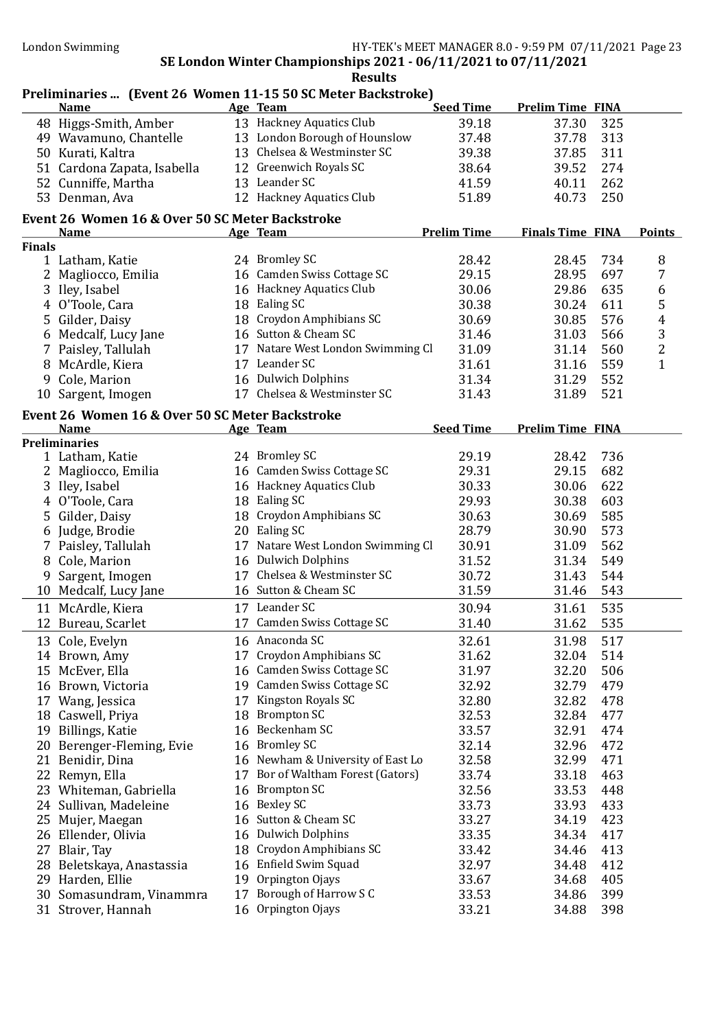|               |                                                 |    | Preliminaries  (Event 26 Women 11-15 50 SC Meter Backstroke) |                    |                         |                |
|---------------|-------------------------------------------------|----|--------------------------------------------------------------|--------------------|-------------------------|----------------|
|               | <b>Name</b>                                     |    | Age Team                                                     | <b>Seed Time</b>   | <b>Prelim Time FINA</b> |                |
|               | 48 Higgs-Smith, Amber                           |    | 13 Hackney Aquatics Club                                     | 39.18              | 37.30<br>325            |                |
|               | 49 Wavamuno, Chantelle                          |    | 13 London Borough of Hounslow                                | 37.48              | 37.78<br>313            |                |
|               | 50 Kurati, Kaltra                               |    | 13 Chelsea & Westminster SC                                  | 39.38              | 37.85<br>311            |                |
|               | 51 Cardona Zapata, Isabella                     |    | 12 Greenwich Royals SC                                       | 38.64              | 274<br>39.52            |                |
|               | 52 Cunniffe, Martha                             |    | 13 Leander SC                                                | 41.59              | 40.11<br>262            |                |
|               | 53 Denman, Ava                                  |    | 12 Hackney Aquatics Club                                     | 51.89              | 250<br>40.73            |                |
|               | Event 26 Women 16 & Over 50 SC Meter Backstroke |    |                                                              |                    |                         |                |
|               | <b>Name</b>                                     |    | Age Team                                                     | <b>Prelim Time</b> | <b>Finals Time FINA</b> | <b>Points</b>  |
| <b>Finals</b> |                                                 |    |                                                              |                    |                         |                |
|               | 1 Latham, Katie                                 |    | 24 Bromley SC                                                | 28.42              | 28.45<br>734            | 8              |
|               | 2 Magliocco, Emilia                             |    | 16 Camden Swiss Cottage SC                                   | 29.15              | 697<br>28.95            | 7              |
|               | 3 Iley, Isabel                                  |    | 16 Hackney Aquatics Club                                     | 30.06              | 635<br>29.86            | 6              |
|               | 4 O'Toole, Cara                                 |    | 18 Ealing SC                                                 | 30.38              | 30.24<br>611            | 5              |
|               | 5 Gilder, Daisy                                 |    | 18 Croydon Amphibians SC                                     | 30.69              | 576<br>30.85            | $\overline{4}$ |
|               | 6 Medcalf, Lucy Jane                            |    | 16 Sutton & Cheam SC                                         | 31.46              | 31.03<br>566            | 3              |
|               | 7 Paisley, Tallulah                             |    | 17 Natare West London Swimming Cl                            | 31.09              | 560<br>31.14            | $\overline{2}$ |
|               | 8 McArdle, Kiera                                |    | 17 Leander SC                                                | 31.61              | 559<br>31.16            | $\mathbf{1}$   |
| 9             | Cole, Marion                                    |    | 16 Dulwich Dolphins                                          | 31.34              | 552<br>31.29            |                |
| 10            | Sargent, Imogen                                 |    | 17 Chelsea & Westminster SC                                  | 31.43              | 521<br>31.89            |                |
|               | Event 26 Women 16 & Over 50 SC Meter Backstroke |    |                                                              |                    |                         |                |
|               | <b>Name</b>                                     |    | Age Team                                                     | <b>Seed Time</b>   | <b>Prelim Time FINA</b> |                |
|               | <b>Preliminaries</b>                            |    |                                                              |                    |                         |                |
|               | 1 Latham, Katie                                 |    | 24 Bromley SC                                                | 29.19              | 736<br>28.42            |                |
|               | 2 Magliocco, Emilia                             |    | 16 Camden Swiss Cottage SC                                   | 29.31              | 29.15<br>682            |                |
|               | 3 Iley, Isabel                                  |    | 16 Hackney Aquatics Club                                     | 30.33              | 622<br>30.06            |                |
|               | 4 O'Toole, Cara                                 |    | 18 Ealing SC                                                 | 29.93              | 603<br>30.38            |                |
|               | 5 Gilder, Daisy                                 |    | 18 Croydon Amphibians SC                                     | 30.63              | 585<br>30.69            |                |
|               | 6 Judge, Brodie                                 |    | 20 Ealing SC                                                 | 28.79              | 573<br>30.90            |                |
|               | 7 Paisley, Tallulah                             |    | 17 Natare West London Swimming Cl                            | 30.91              | 562<br>31.09            |                |
| 8             | Cole, Marion                                    |    | 16 Dulwich Dolphins                                          | 31.52              | 549<br>31.34            |                |
| 9             | Sargent, Imogen                                 |    | 17 Chelsea & Westminster SC                                  | 30.72              | 544<br>31.43            |                |
|               | 10 Medcalf, Lucy Jane                           |    | 16 Sutton & Cheam SC                                         | 31.59              | 543<br>31.46            |                |
|               | 11 McArdle, Kiera                               |    | 17 Leander SC                                                | 30.94              | 535<br>31.61            |                |
|               | 12 Bureau, Scarlet                              |    | 17 Camden Swiss Cottage SC                                   | 31.40              | 535<br>31.62            |                |
|               |                                                 |    |                                                              |                    |                         |                |
|               | 13 Cole, Evelyn                                 |    | 16 Anaconda SC                                               | 32.61              | 31.98<br>517            |                |
|               | 14 Brown, Amy                                   |    | 17 Croydon Amphibians SC                                     | 31.62              | 514<br>32.04            |                |
|               | 15 McEver, Ella                                 |    | 16 Camden Swiss Cottage SC                                   | 31.97              | 32.20<br>506            |                |
|               | 16 Brown, Victoria                              |    | 19 Camden Swiss Cottage SC                                   | 32.92              | 32.79<br>479            |                |
|               | 17 Wang, Jessica                                | 17 | Kingston Royals SC                                           | 32.80              | 32.82<br>478            |                |
|               | 18 Caswell, Priya                               |    | 18 Brompton SC                                               | 32.53              | 32.84<br>477            |                |
|               | 19 Billings, Katie                              |    | 16 Beckenham SC                                              | 33.57              | 32.91<br>474            |                |
|               | 20 Berenger-Fleming, Evie                       |    | 16 Bromley SC                                                | 32.14              | 32.96<br>472            |                |
|               | 21 Benidir, Dina                                |    | 16 Newham & University of East Lo                            | 32.58              | 32.99<br>471            |                |
|               | 22 Remyn, Ella                                  | 17 | Bor of Waltham Forest (Gators)                               | 33.74              | 33.18<br>463            |                |
|               | 23 Whiteman, Gabriella                          | 16 | <b>Brompton SC</b>                                           | 32.56              | 33.53<br>448            |                |
|               | 24 Sullivan, Madeleine                          |    | 16 Bexley SC                                                 | 33.73              | 33.93<br>433            |                |
|               | 25 Mujer, Maegan                                |    | 16 Sutton & Cheam SC                                         | 33.27              | 34.19<br>423            |                |
|               | 26 Ellender, Olivia                             | 16 | <b>Dulwich Dolphins</b>                                      | 33.35              | 34.34<br>417            |                |
|               | 27 Blair, Tay                                   | 18 | Croydon Amphibians SC                                        | 33.42              | 34.46<br>413            |                |
|               | 28 Beletskaya, Anastassia                       | 16 | Enfield Swim Squad                                           | 32.97              | 34.48<br>412            |                |
|               | 29 Harden, Ellie                                | 19 | Orpington Ojays                                              | 33.67              | 405<br>34.68            |                |
|               | 30 Somasundram, Vinammra                        | 17 | Borough of Harrow S C                                        | 33.53              | 34.86<br>399            |                |
|               | 31 Strover, Hannah                              |    | 16 Orpington Ojays                                           | 33.21              | 34.88<br>398            |                |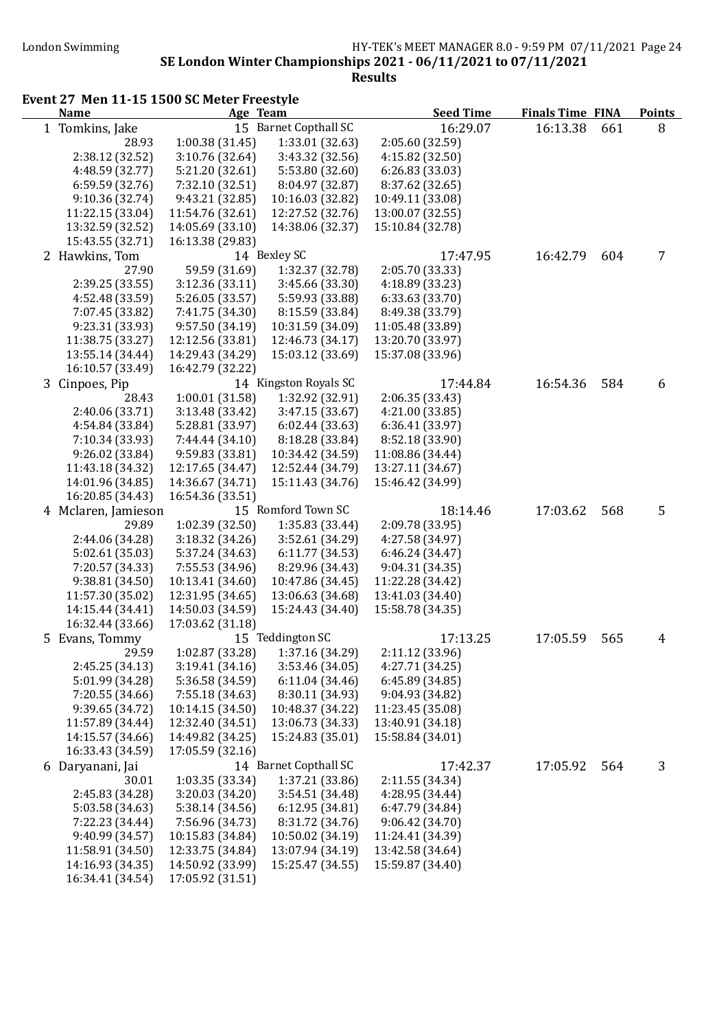#### London Swimming HY-TEK's MEET MANAGER 8.0 - 9:59 PM 07/11/2021 Page 24 SE London Winter Championships 2021 - 06/11/2021 to 07/11/2021 Results

Event 27 Men 11-15 1500 SC Meter Freestyle<br>Name Age Team Name **Age Team** Age Team Seed Time Finals Time FINA Points 1 Tomkins, Jake 15 Barnet Copthall SC 16:29.07 16:13.38 661 8 28.93 1:00.38 (31.45) 1:33.01 (32.63) 2:05.60 (32.59) 2:38.12 (32.52) 3:10.76 (32.64) 3:43.32 (32.56) 4:15.82 (32.50) 4:48.59 (32.77) 5:21.20 (32.61) 5:53.80 (32.60) 6:26.83 (33.03) 6:59.59 (32.76) 7:32.10 (32.51) 8:04.97 (32.87) 8:37.62 (32.65) 9:10.36 (32.74) 9:43.21 (32.85) 10:16.03 (32.82) 10:49.11 (33.08) 11:22.15 (33.04) 11:54.76 (32.61) 12:27.52 (32.76) 13:00.07 (32.55) 13:32.59 (32.52) 14:05.69 (33.10) 14:38.06 (32.37) 15:10.84 (32.78) 15:43.55 (32.71) 16:13.38 (29.83) 2 Hawkins, Tom 14 Bexley SC 17:47.95 16:42.79 604 7 27.90 59.59 (31.69) 1:32.37 (32.78) 2:05.70 (33.33) 2:39.25 (33.55) 3:12.36 (33.11) 3:45.66 (33.30) 4:18.89 (33.23) 4:52.48 (33.59) 5:26.05 (33.57) 5:59.93 (33.88) 6:33.63 (33.70) 7:07.45 (33.82) 7:41.75 (34.30) 8:15.59 (33.84) 8:49.38 (33.79) 9:23.31 (33.93) 9:57.50 (34.19) 10:31.59 (34.09) 11:05.48 (33.89) 11:38.75 (33.27) 12:12.56 (33.81) 12:46.73 (34.17) 13:20.70 (33.97) 13:55.14 (34.44) 14:29.43 (34.29) 15:03.12 (33.69) 15:37.08 (33.96) 16:10.57 (33.49) 16:42.79 (32.22) 3 Cinpoes, Pip 14 Kingston Royals SC 17:44.84 16:54.36 584 6 28.43 1:00.01 (31.58) 1:32.92 (32.91) 2:06.35 (33.43) 2:40.06 (33.71) 3:13.48 (33.42) 3:47.15 (33.67) 4:21.00 (33.85) 4:54.84 (33.84) 5:28.81 (33.97) 6:02.44 (33.63) 6:36.41 (33.97) 7:10.34 (33.93) 7:44.44 (34.10) 8:18.28 (33.84) 9:26.02 (33.84) 9:59.83 (33.81) 10:34.42 (34.59) 11:08.86 (34.44) 11:43.18 (34.32) 12:17.65 (34.47) 12:52.44 (34.79) 13:27.11 (34.67) 14:01.96 (34.85) 14:36.67 (34.71) 15:11.43 (34.76) 15:46.42 (34.99) 16:20.85 (34.43) 16:54.36 (33.51) 4 Mclaren, Jamieson 15 Romford Town SC 18:14.46 17:03.62 568 5 29.89 1:02.39 (32.50) 1:35.83 (33.44) 2:09.78 (33.95) 2:44.06 (34.28) 3:18.32 (34.26) 3:52.61 (34.29) 4:27.58 (34.97) 5:02.61 (35.03) 5:37.24 (34.63) 6:11.77 (34.53) 6:46.24 (34.47) 7:20.57 (34.33) 7:55.53 (34.96) 8:29.96 (34.43) 9:38.81 (34.50) 10:13.41 (34.60) 10:47.86 (34.45) 11:22.28 (34.42) 11:57.30 (35.02) 12:31.95 (34.65) 13:06.63 (34.68) 13:41.03 (34.40) 14:15.44 (34.41) 14:50.03 (34.59) 15:24.43 (34.40) 15:58.78 (34.35) 16:32.44 (33.66) 17:03.62 (31.18) 5 Evans, Tommy 15 Teddington SC 17:13.25 17:05.59 565 4 29.59 1:02.87 (33.28) 1:37.16 (34.29) 2:11.12 (33.96) 2:45.25 (34.13) 3:19.41 (34.16) 3:53.46 (34.05) 4:27.71 (34.25) 5:01.99 (34.28) 5:36.58 (34.59) 6:11.04 (34.46) 6:45.89 (34.85) 7:20.55 (34.66) 7:55.18 (34.63) 8:30.11 (34.93) 9:04.93 (34.82) 9:39.65 (34.72) 10:14.15 (34.50) 10:48.37 (34.22) 11:23.45 (35.08) 11:57.89 (34.44) 12:32.40 (34.51) 13:06.73 (34.33) 13:40.91 (34.18) 14:15.57 (34.66) 14:49.82 (34.25) 15:24.83 (35.01) 15:58.84 (34.01) 16:33.43 (34.59) 17:05.59 (32.16) 6 Daryanani, Jai 14 Barnet Copthall SC 17:42.37 17:05.92 564 3 30.01 1:03.35 (33.34) 1:37.21 (33.86) 2:11.55 (34.34) 2:45.83 (34.28) 3:20.03 (34.20) 3:54.51 (34.48) 4:28.95 (34.44) 5:03.58 (34.63) 5:38.14 (34.56) 6:12.95 (34.81) 6:47.79 (34.84) 7:22.23 (34.44) 7:56.96 (34.73) 8:31.72 (34.76) 9:06.42 (34.70) 9:40.99 (34.57) 10:15.83 (34.84) 10:50.02 (34.19) 11:24.41 (34.39) 11:58.91 (34.50) 12:33.75 (34.84) 13:07.94 (34.19) 13:42.58 (34.64) 14:16.93 (34.35) 14:50.92 (33.99) 15:25.47 (34.55) 15:59.87 (34.40) 16:34.41 (34.54) 17:05.92 (31.51)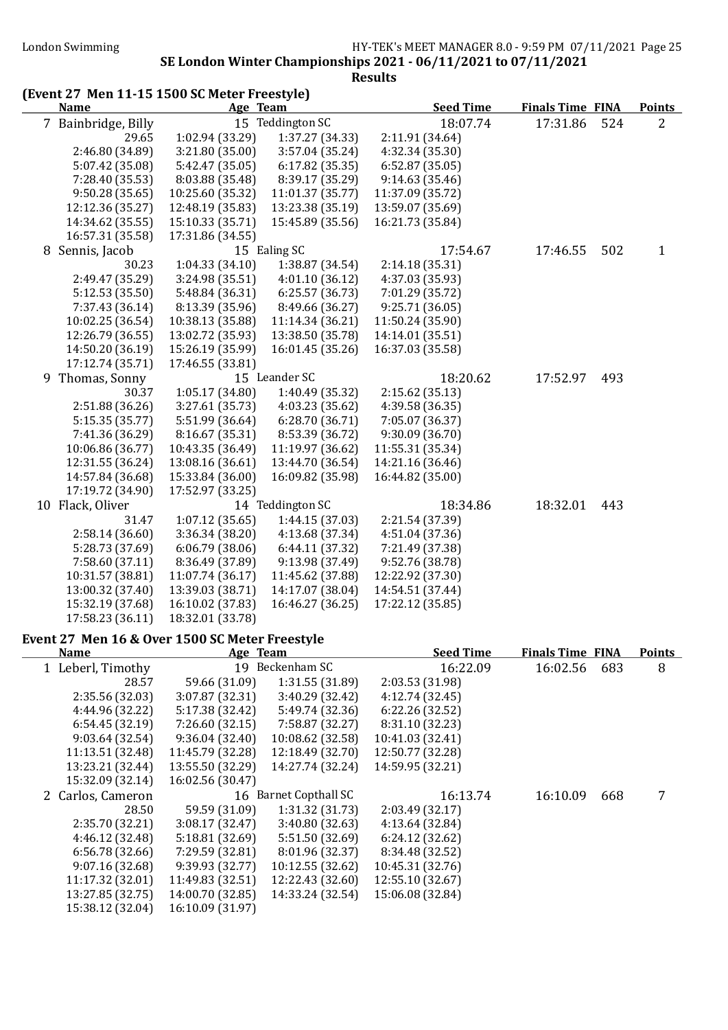| (Event 27 Men 11-15 1500 SC Meter Freestyle)   |                  |                       |                  |                         |     |                |
|------------------------------------------------|------------------|-----------------------|------------------|-------------------------|-----|----------------|
| <b>Name</b>                                    |                  | Age Team              | <b>Seed Time</b> | <b>Finals Time FINA</b> |     | <b>Points</b>  |
| 7 Bainbridge, Billy                            |                  | 15 Teddington SC      | 18:07.74         | 17:31.86                | 524 | $\overline{2}$ |
| 29.65                                          | 1:02.94 (33.29)  | 1:37.27 (34.33)       | 2:11.91 (34.64)  |                         |     |                |
| 2:46.80 (34.89)                                | 3:21.80 (35.00)  | 3:57.04 (35.24)       | 4:32.34 (35.30)  |                         |     |                |
| 5:07.42 (35.08)                                | 5:42.47 (35.05)  | 6:17.82(35.35)        | 6:52.87(35.05)   |                         |     |                |
| 7:28.40 (35.53)                                | 8:03.88 (35.48)  | 8:39.17 (35.29)       | 9:14.63(35.46)   |                         |     |                |
| 9:50.28(35.65)                                 | 10:25.60 (35.32) | 11:01.37 (35.77)      | 11:37.09 (35.72) |                         |     |                |
| 12:12.36 (35.27)                               | 12:48.19 (35.83) | 13:23.38 (35.19)      | 13:59.07 (35.69) |                         |     |                |
| 14:34.62 (35.55)                               | 15:10.33 (35.71) | 15:45.89 (35.56)      | 16:21.73 (35.84) |                         |     |                |
| 16:57.31 (35.58)                               | 17:31.86 (34.55) |                       |                  |                         |     |                |
| 8 Sennis, Jacob                                |                  | 15 Ealing SC          | 17:54.67         | 17:46.55                | 502 | $\mathbf{1}$   |
| 30.23                                          | 1:04.33(34.10)   | 1:38.87 (34.54)       | 2:14.18 (35.31)  |                         |     |                |
| 2:49.47 (35.29)                                | 3:24.98 (35.51)  | 4:01.10(36.12)        | 4:37.03 (35.93)  |                         |     |                |
| 5:12.53 (35.50)                                | 5:48.84 (36.31)  | 6:25.57(36.73)        | 7:01.29 (35.72)  |                         |     |                |
| 7:37.43 (36.14)                                | 8:13.39 (35.96)  | 8:49.66 (36.27)       | 9:25.71(36.05)   |                         |     |                |
| 10:02.25 (36.54)                               | 10:38.13 (35.88) | 11:14.34 (36.21)      | 11:50.24 (35.90) |                         |     |                |
| 12:26.79 (36.55)                               | 13:02.72 (35.93) | 13:38.50 (35.78)      | 14:14.01 (35.51) |                         |     |                |
| 14:50.20 (36.19)                               | 15:26.19 (35.99) | 16:01.45 (35.26)      | 16:37.03 (35.58) |                         |     |                |
| 17:12.74 (35.71)                               | 17:46.55 (33.81) |                       |                  |                         |     |                |
| 9 Thomas, Sonny                                |                  | 15 Leander SC         | 18:20.62         | 17:52.97                | 493 |                |
| 30.37                                          | 1:05.17 (34.80)  | 1:40.49 (35.32)       | 2:15.62(35.13)   |                         |     |                |
| 2:51.88 (36.26)                                | 3:27.61 (35.73)  | 4:03.23 (35.62)       | 4:39.58 (36.35)  |                         |     |                |
| 5:15.35 (35.77)                                | 5:51.99 (36.64)  | 6:28.70 (36.71)       | 7:05.07 (36.37)  |                         |     |                |
| 7:41.36 (36.29)                                | 8:16.67 (35.31)  | 8:53.39 (36.72)       | 9:30.09 (36.70)  |                         |     |                |
| 10:06.86 (36.77)                               | 10:43.35 (36.49) | 11:19.97 (36.62)      | 11:55.31 (35.34) |                         |     |                |
| 12:31.55 (36.24)                               | 13:08.16 (36.61) | 13:44.70 (36.54)      | 14:21.16 (36.46) |                         |     |                |
| 14:57.84 (36.68)                               | 15:33.84 (36.00) | 16:09.82 (35.98)      | 16:44.82 (35.00) |                         |     |                |
| 17:19.72 (34.90)                               | 17:52.97 (33.25) |                       |                  |                         |     |                |
|                                                |                  | 14 Teddington SC      | 18:34.86         | 18:32.01                | 443 |                |
| 10 Flack, Oliver                               |                  |                       | 2:21.54 (37.39)  |                         |     |                |
| 31.47                                          | 1:07.12(35.65)   | 1:44.15 (37.03)       |                  |                         |     |                |
| 2:58.14(36.60)                                 | 3:36.34 (38.20)  | 4:13.68 (37.34)       | 4:51.04 (37.36)  |                         |     |                |
| 5:28.73 (37.69)                                | 6:06.79(38.06)   | 6:44.11 (37.32)       | 7:21.49 (37.38)  |                         |     |                |
| 7:58.60 (37.11)                                | 8:36.49 (37.89)  | 9:13.98 (37.49)       | 9:52.76 (38.78)  |                         |     |                |
| 10:31.57 (38.81)                               | 11:07.74 (36.17) | 11:45.62 (37.88)      | 12:22.92 (37.30) |                         |     |                |
| 13:00.32 (37.40)                               | 13:39.03 (38.71) | 14:17.07 (38.04)      | 14:54.51 (37.44) |                         |     |                |
| 15:32.19 (37.68)                               | 16:10.02 (37.83) | 16:46.27 (36.25)      | 17:22.12 (35.85) |                         |     |                |
| 17:58.23 (36.11)                               | 18:32.01 (33.78) |                       |                  |                         |     |                |
| Event 27 Men 16 & Over 1500 SC Meter Freestyle |                  |                       |                  |                         |     |                |
| <b>Name</b>                                    | Age Team         |                       | <b>Seed Time</b> | <b>Finals Time FINA</b> |     | <b>Points</b>  |
| 1 Leberl, Timothy                              |                  | 19 Beckenham SC       | 16:22.09         | 16:02.56                | 683 | 8              |
| 28.57                                          | 59.66 (31.09)    | 1:31.55 (31.89)       | 2:03.53 (31.98)  |                         |     |                |
| 2:35.56 (32.03)                                | 3:07.87 (32.31)  | 3:40.29 (32.42)       | 4:12.74(32.45)   |                         |     |                |
| 4:44.96 (32.22)                                | 5:17.38 (32.42)  | 5:49.74 (32.36)       | 6:22.26 (32.52)  |                         |     |                |
| 6:54.45(32.19)                                 | 7:26.60 (32.15)  | 7:58.87 (32.27)       | 8:31.10 (32.23)  |                         |     |                |
| 9:03.64(32.54)                                 | 9:36.04 (32.40)  | 10:08.62 (32.58)      | 10:41.03 (32.41) |                         |     |                |
| 11:13.51 (32.48)                               | 11:45.79 (32.28) | 12:18.49 (32.70)      | 12:50.77 (32.28) |                         |     |                |
| 13:23.21 (32.44)                               | 13:55.50 (32.29) | 14:27.74 (32.24)      | 14:59.95 (32.21) |                         |     |                |
| 15:32.09 (32.14)                               | 16:02.56 (30.47) |                       |                  |                         |     |                |
| 2 Carlos, Cameron                              |                  | 16 Barnet Copthall SC | 16:13.74         | 16:10.09                | 668 | 7              |
| 28.50                                          | 59.59 (31.09)    | 1:31.32 (31.73)       | 2:03.49 (32.17)  |                         |     |                |
| 2:35.70 (32.21)                                | 3:08.17 (32.47)  | 3:40.80 (32.63)       | 4:13.64 (32.84)  |                         |     |                |
| 4:46.12 (32.48)                                | 5:18.81 (32.69)  | 5:51.50 (32.69)       | 6:24.12 (32.62)  |                         |     |                |
| 6:56.78(32.66)                                 | 7:29.59 (32.81)  | 8:01.96 (32.37)       | 8:34.48 (32.52)  |                         |     |                |
| 9:07.16 (32.68)                                | 9:39.93 (32.77)  | 10:12.55 (32.62)      | 10:45.31 (32.76) |                         |     |                |
| 11:17.32 (32.01)                               | 11:49.83 (32.51) | 12:22.43 (32.60)      | 12:55.10 (32.67) |                         |     |                |
| 13:27.85 (32.75)                               | 14:00.70 (32.85) | 14:33.24 (32.54)      | 15:06.08 (32.84) |                         |     |                |
| 15:38.12 (32.04)                               | 16:10.09 (31.97) |                       |                  |                         |     |                |